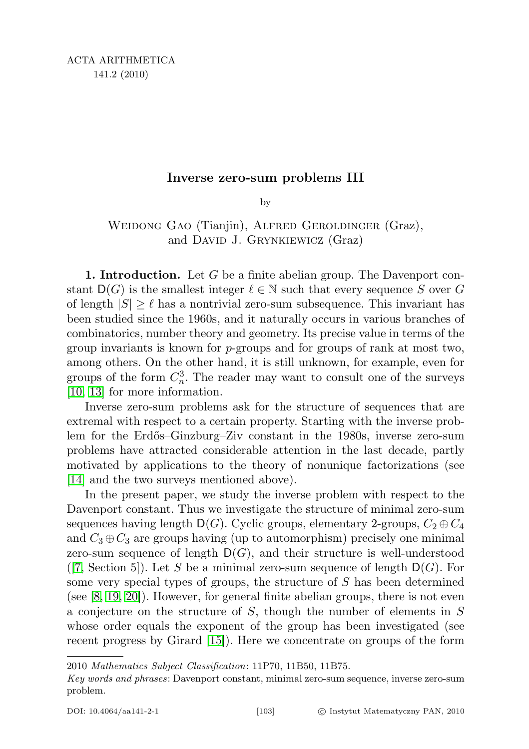# Inverse zero-sum problems III

by

WEIDONG GAO (Tianjin), ALFRED GEROLDINGER (Graz), and DAVID J. GRYNKIEWICZ (Graz)

**1. Introduction.** Let G be a finite abelian group. The Davenport constant  $D(G)$  is the smallest integer  $\ell \in \mathbb{N}$  such that every sequence S over G of length  $|S| \geq \ell$  has a nontrivial zero-sum subsequence. This invariant has been studied since the 1960s, and it naturally occurs in various branches of combinatorics, number theory and geometry. Its precise value in terms of the group invariants is known for  $p$ -groups and for groups of rank at most two, among others. On the other hand, it is still unknown, for example, even for groups of the form  $C_n^3$ . The reader may want to consult one of the surveys [\[10,](#page-48-0) [13\]](#page-48-1) for more information.

Inverse zero-sum problems ask for the structure of sequences that are extremal with respect to a certain property. Starting with the inverse problem for the Erd˝os–Ginzburg–Ziv constant in the 1980s, inverse zero-sum problems have attracted considerable attention in the last decade, partly motivated by applications to the theory of nonunique factorizations (see [\[14\]](#page-48-2) and the two surveys mentioned above).

In the present paper, we study the inverse problem with respect to the Davenport constant. Thus we investigate the structure of minimal zero-sum sequences having length  $D(G)$ . Cyclic groups, elementary 2-groups,  $C_2 \oplus C_4$ and  $C_3 \oplus C_3$  are groups having (up to automorphism) precisely one minimal zero-sum sequence of length  $D(G)$ , and their structure is well-understood  $(7, \text{Section 5})$ . Let S be a minimal zero-sum sequence of length  $D(G)$ . For some very special types of groups, the structure of S has been determined (see [\[8,](#page-48-4) [19,](#page-48-5) [20\]](#page-49-0)). However, for general finite abelian groups, there is not even a conjecture on the structure of S, though the number of elements in S whose order equals the exponent of the group has been investigated (see recent progress by Girard [\[15\]](#page-48-6)). Here we concentrate on groups of the form

2010 Mathematics Subject Classification: 11P70, 11B50, 11B75.

Key words and phrases: Davenport constant, minimal zero-sum sequence, inverse zero-sum problem.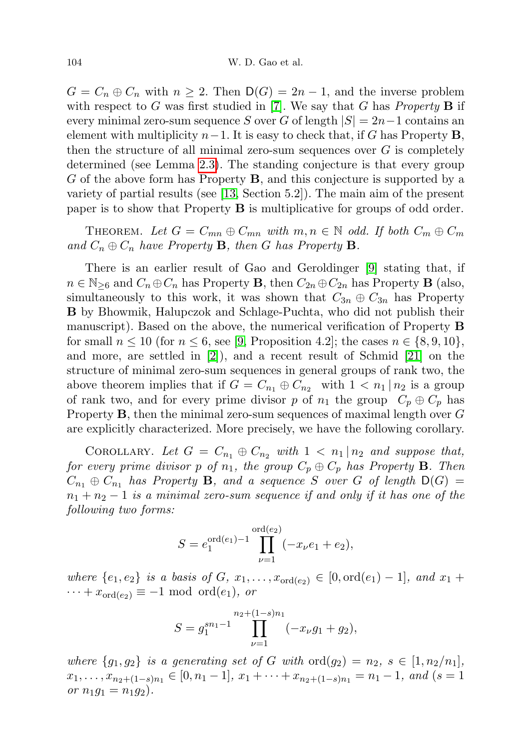$G = C_n \oplus C_n$  with  $n \geq 2$ . Then  $D(G) = 2n - 1$ , and the inverse problem with respect to G was first studied in [\[7\]](#page-48-3). We say that G has *Property* **B** if every minimal zero-sum sequence S over G of length  $|S| = 2n-1$  contains an element with multiplicity  $n-1$ . It is easy to check that, if G has Property **B**, then the structure of all minimal zero-sum sequences over  $G$  is completely determined (see Lemma [2.3\)](#page-4-0). The standing conjecture is that every group G of the above form has Property B, and this conjecture is supported by a variety of partial results (see [\[13,](#page-48-1) Section 5.2]). The main aim of the present paper is to show that Property B is multiplicative for groups of odd order.

THEOREM. Let  $G = C_{mn} \oplus C_{mn}$  with  $m, n \in \mathbb{N}$  odd. If both  $C_m \oplus C_m$ and  $C_n \oplus C_n$  have Property **B**, then G has Property **B**.

There is an earlier result of Gao and Geroldinger [\[9\]](#page-48-7) stating that, if  $n \in \mathbb{N}_{\geq 6}$  and  $C_n \oplus C_n$  has Property **B**, then  $C_{2n} \oplus C_{2n}$  has Property **B** (also, simultaneously to this work, it was shown that  $C_{3n} \oplus C_{3n}$  has Property B by Bhowmik, Halupczok and Schlage-Puchta, who did not publish their manuscript). Based on the above, the numerical verification of Property B for small  $n \le 10$  (for  $n \le 6$ , see [\[9,](#page-48-7) Proposition 4.2]; the cases  $n \in \{8, 9, 10\}$ , and more, are settled in [\[2\]](#page-48-8)), and a recent result of Schmid [\[21\]](#page-49-1) on the structure of minimal zero-sum sequences in general groups of rank two, the above theorem implies that if  $G = C_{n_1} \oplus C_{n_2}$  with  $1 < n_1 | n_2$  is a group of rank two, and for every prime divisor p of  $n_1$  the group  $C_p \oplus C_p$  has Property  $\bf{B}$ , then the minimal zero-sum sequences of maximal length over  $G$ are explicitly characterized. More precisely, we have the following corollary.

COROLLARY. Let  $G = C_{n_1} \oplus C_{n_2}$  with  $1 < n_1 | n_2$  and suppose that, for every prime divisor p of  $n_1$ , the group  $C_p \oplus C_p$  has Property **B**. Then  $C_{n_1} \oplus C_{n_1}$  has Property B, and a sequence S over G of length  $D(G)$  =  $n_1 + n_2 - 1$  is a minimal zero-sum sequence if and only if it has one of the following two forms:

$$
S = e_1^{\text{ord}(e_1)-1} \prod_{\nu=1}^{\text{ord}(e_2)} (-x_{\nu}e_1 + e_2),
$$

where  $\{e_1, e_2\}$  is a basis of G,  $x_1, \ldots, x_{\text{ord}(e_2)} \in [0, \text{ord}(e_1) - 1]$ , and  $x_1 +$  $\cdots + x_{\text{ord}(e_2)} \equiv -1 \text{ mod } \text{ord}(e_1), \text{ or }$ 

$$
S = g_1^{sn_1 - 1} \prod_{\nu=1}^{n_2 + (1-s)n_1} (-x_{\nu}g_1 + g_2),
$$

where  ${g_1, g_2}$  is a generating set of G with  $\text{ord}(g_2) = n_2, s \in [1, n_2/n_1],$  $x_1, \ldots, x_{n_2+(1-s)n_1} \in [0, n_1-1], x_1 + \cdots + x_{n_2+(1-s)n_1} = n_1-1, \text{ and } (s=1)$ or  $n_1g_1 = n_1g_2$ .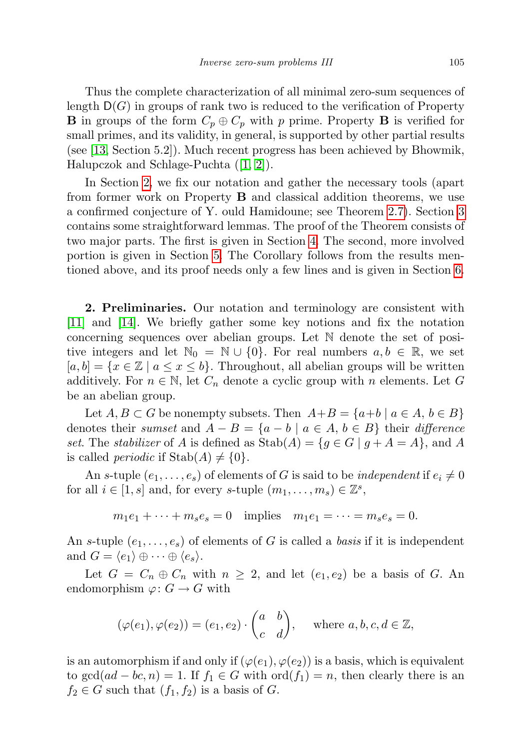Thus the complete characterization of all minimal zero-sum sequences of length  $D(G)$  in groups of rank two is reduced to the verification of Property **B** in groups of the form  $C_p \oplus C_p$  with p prime. Property **B** is verified for small primes, and its validity, in general, is supported by other partial results (see [\[13,](#page-48-1) Section 5.2]). Much recent progress has been achieved by Bhowmik, Halupczok and Schlage-Puchta ([\[1,](#page-48-9) [2\]](#page-48-8)).

In Section [2,](#page-2-0) we fix our notation and gather the necessary tools (apart from former work on Property B and classical addition theorems, we use a confirmed conjecture of Y. ould Hamidoune; see Theorem [2.7\)](#page-5-0). Section [3](#page-6-0) contains some straightforward lemmas. The proof of the Theorem consists of two major parts. The first is given in Section [4.](#page-9-0) The second, more involved portion is given in Section [5.](#page-18-0) The Corollary follows from the results mentioned above, and its proof needs only a few lines and is given in Section [6.](#page-47-0)

<span id="page-2-0"></span>2. Preliminaries. Our notation and terminology are consistent with [\[11\]](#page-48-10) and [\[14\]](#page-48-2). We briefly gather some key notions and fix the notation concerning sequences over abelian groups. Let N denote the set of positive integers and let  $\mathbb{N}_0 = \mathbb{N} \cup \{0\}$ . For real numbers  $a, b \in \mathbb{R}$ , we set  $[a, b] = \{x \in \mathbb{Z} \mid a \le x \le b\}.$  Throughout, all abelian groups will be written additively. For  $n \in \mathbb{N}$ , let  $C_n$  denote a cyclic group with n elements. Let G be an abelian group.

Let  $A, B \subset G$  be nonempty subsets. Then  $A+B = \{a+b \mid a \in A, b \in B\}$ denotes their sumset and  $A - B = \{a - b \mid a \in A, b \in B\}$  their difference set. The stabilizer of A is defined as  $\text{Stab}(A) = \{g \in G \mid g + A = A\}$ , and A is called *periodic* if  $\text{Stab}(A) \neq \{0\}.$ 

An s-tuple  $(e_1, \ldots, e_s)$  of elements of G is said to be *independent* if  $e_i \neq 0$ for all  $i \in [1, s]$  and, for every s-tuple  $(m_1, \ldots, m_s) \in \mathbb{Z}^s$ ,

 $m_1e_1 + \cdots + m_se_s = 0$  implies  $m_1e_1 = \cdots = m_se_s = 0$ .

An s-tuple  $(e_1, \ldots, e_s)$  of elements of G is called a *basis* if it is independent and  $G = \langle e_1 \rangle \oplus \cdots \oplus \langle e_s \rangle$ .

Let  $G = C_n \oplus C_n$  with  $n \geq 2$ , and let  $(e_1, e_2)$  be a basis of G. An endomorphism  $\varphi: G \to G$  with

$$
(\varphi(e_1), \varphi(e_2)) = (e_1, e_2) \cdot \begin{pmatrix} a & b \\ c & d \end{pmatrix}, \text{ where } a, b, c, d \in \mathbb{Z},
$$

is an automorphism if and only if  $(\varphi(e_1), \varphi(e_2))$  is a basis, which is equivalent to  $gcd(ad - bc, n) = 1$ . If  $f_1 \in G$  with  $ord(f_1) = n$ , then clearly there is an  $f_2 \in G$  such that  $(f_1, f_2)$  is a basis of G.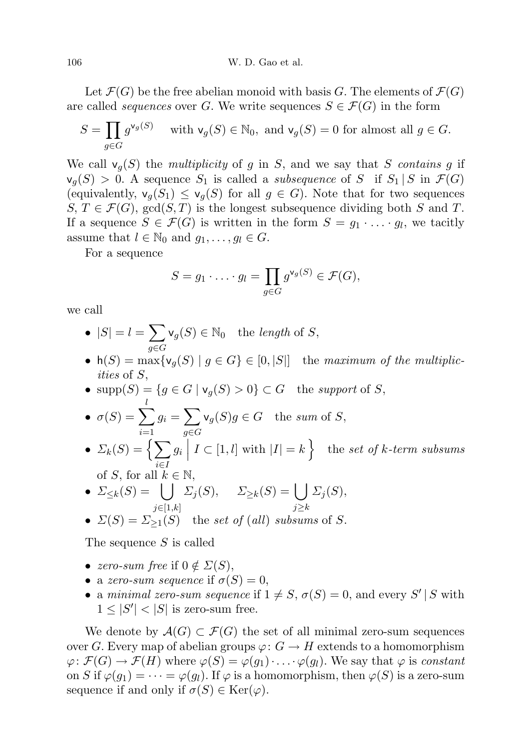Let  $\mathcal{F}(G)$  be the free abelian monoid with basis G. The elements of  $\mathcal{F}(G)$ are called *sequences* over G. We write sequences  $S \in \mathcal{F}(G)$  in the form

$$
S = \prod_{g \in G} g^{\mathsf{v}_g(S)} \quad \text{ with } \mathsf{v}_g(S) \in \mathbb{N}_0, \text{ and } \mathsf{v}_g(S) = 0 \text{ for almost all } g \in G.
$$

We call  $v_q(S)$  the multiplicity of g in S, and we say that S contains g if  $\mathsf{v}_q(S) > 0$ . A sequence  $S_1$  is called a *subsequence* of S if  $S_1 | S$  in  $\mathcal{F}(G)$ (equivalently,  $\mathsf{v}_g(S_1) \leq \mathsf{v}_g(S)$  for all  $g \in G$ ). Note that for two sequences  $S, T \in \mathcal{F}(G)$ , gcd $(S, T)$  is the longest subsequence dividing both S and T. If a sequence  $S \in \mathcal{F}(G)$  is written in the form  $S = g_1 \cdot \ldots \cdot g_l$ , we tacitly assume that  $l \in \mathbb{N}_0$  and  $g_1, \ldots, g_l \in G$ .

For a sequence

$$
S = g_1 \cdot \ldots \cdot g_l = \prod_{g \in G} g^{\mathsf{v}_g(S)} \in \mathcal{F}(G),
$$

we call

• 
$$
|S| = l = \sum_{g \in G} \mathsf{v}_g(S) \in \mathbb{N}_0
$$
 the length of S,

• h(S) = max{ $\mathsf{v}_g(S) \mid g \in G$ }  $\in [0, |S|]$  the maximum of the multiplicities of S,

• 
$$
\text{supp}(S) = \{g \in G \mid \mathsf{v}_g(S) > 0\} \subset G
$$
 the *support* of *S*,

• 
$$
\sigma(S) = \sum_{i=1} g_i = \sum_{g \in G} \mathsf{v}_g(S)g \in G
$$
 the sum of S,

- $\Sigma_k(S) = \left\{ \sum_{k=1}^{N} a_k \right\}$ i∈I  $g_i\bigg|$  $I \subset [1, l]$  with  $|I| = k$  the set of k-term subsums of S, for all  $k \in \mathbb{N}$ ,
- $\Sigma_{\leq k}(S) = \bigcup$  $j\in [1,k]$  $\Sigma_j(S), \quad \Sigma_{\geq k}(S) = \begin{bmatrix} \end{bmatrix}$ j≥k  $\Sigma_j(S),$

• 
$$
\Sigma(S) = \Sigma_{\geq 1}(S)
$$
 the set of (all) subsums of S.

The sequence S is called

- zero-sum free if  $0 \notin \Sigma(S)$ ,
- a zero-sum sequence if  $\sigma(S) = 0$ ,
- a minimal zero-sum sequence if  $1 \neq S$ ,  $\sigma(S) = 0$ , and every S' | S with  $1 \leq |S'| < |S|$  is zero-sum free.

We denote by  $\mathcal{A}(G) \subset \mathcal{F}(G)$  the set of all minimal zero-sum sequences over G. Every map of abelian groups  $\varphi: G \to H$  extends to a homomorphism  $\varphi: \mathcal{F}(G) \to \mathcal{F}(H)$  where  $\varphi(S) = \varphi(g_1) \cdot \ldots \cdot \varphi(g_l)$ . We say that  $\varphi$  is constant on S if  $\varphi(g_1) = \cdots = \varphi(g_l)$ . If  $\varphi$  is a homomorphism, then  $\varphi(S)$  is a zero-sum sequence if and only if  $\sigma(S) \in \text{Ker}(\varphi)$ .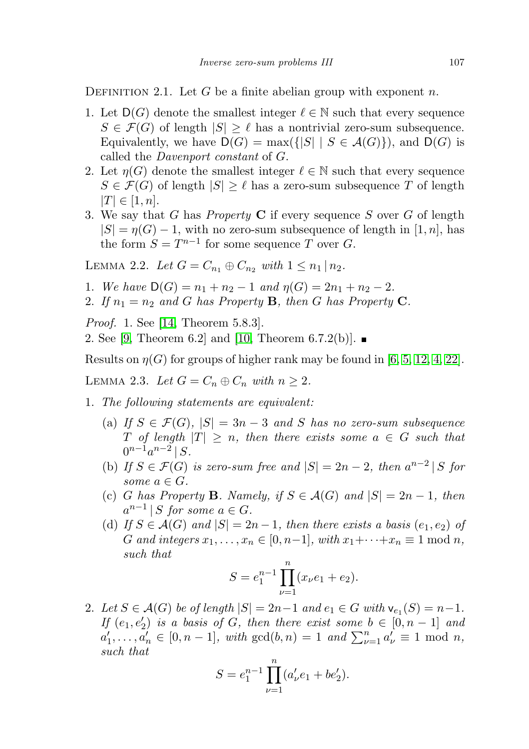<span id="page-4-2"></span>DEFINITION 2.1. Let G be a finite abelian group with exponent n.

- 1. Let  $D(G)$  denote the smallest integer  $\ell \in \mathbb{N}$  such that every sequence  $S \in \mathcal{F}(G)$  of length  $|S| \geq \ell$  has a nontrivial zero-sum subsequence. Equivalently, we have  $D(G) = \max(\{|S| | S \in \mathcal{A}(G)\})$ , and  $D(G)$  is called the Davenport constant of G.
- 2. Let  $\eta(G)$  denote the smallest integer  $\ell \in \mathbb{N}$  such that every sequence  $S \in \mathcal{F}(G)$  of length  $|S| \geq \ell$  has a zero-sum subsequence T of length  $|T| \in [1, n].$
- 3. We say that G has *Property*  $C$  if every sequence S over G of length  $|S| = \eta(G) - 1$ , with no zero-sum subsequence of length in [1, n], has the form  $S = T^{n-1}$  for some sequence T over G.

<span id="page-4-1"></span>LEMMA 2.2. Let  $G = C_{n_1} \oplus C_{n_2}$  with  $1 \leq n_1 \mid n_2$ .

- 1. We have  $D(G) = n_1 + n_2 1$  and  $\eta(G) = 2n_1 + n_2 2$ .
- 2. If  $n_1 = n_2$  and G has Property B, then G has Property C.

*Proof.* 1. See [\[14,](#page-48-2) Theorem 5.8.3].

2. See [\[9,](#page-48-7) Theorem 6.2] and [\[10,](#page-48-0) Theorem 6.7.2(b)].  $\blacksquare$ 

Results on  $\eta(G)$  for groups of higher rank may be found in [\[6,](#page-48-11) [5,](#page-48-12) [12,](#page-48-13) [4,](#page-48-14) [22\]](#page-49-2).

<span id="page-4-0"></span>LEMMA 2.3. Let  $G = C_n \oplus C_n$  with  $n \geq 2$ .

- 1. The following statements are equivalent:
	- (a) If  $S \in \mathcal{F}(G)$ ,  $|S| = 3n 3$  and S has no zero-sum subsequence T of length  $|T| \geq n$ , then there exists some  $a \in G$  such that  $0^{n-1}a^{n-2}$  | S.
	- (b) If  $S \in \mathcal{F}(G)$  is zero-sum free and  $|S| = 2n 2$ , then  $a^{n-2} |S$  for some  $a \in G$ .
	- (c) G has Property B. Namely, if  $S \in \mathcal{A}(G)$  and  $|S| = 2n 1$ , then  $a^{n-1}$  | S for some  $a \in G$ .
	- (d) If  $S \in \mathcal{A}(G)$  and  $|S| = 2n 1$ , then there exists a basis  $(e_1, e_2)$  of G and integers  $x_1, \ldots, x_n \in [0, n-1]$ , with  $x_1 + \cdots + x_n \equiv 1 \text{ mod } n$ , such that

$$
S = e_1^{n-1} \prod_{\nu=1}^n (x_\nu e_1 + e_2).
$$

2. Let  $S \in \mathcal{A}(G)$  be of length  $|S| = 2n-1$  and  $e_1 \in G$  with  $\mathsf{v}_{e_1}(S) = n-1$ . If  $(e_1, e'_2)$  is a basis of G, then there exist some  $b \in [0, n-1]$  and  $a'_1, \ldots, a'_n \in [0, n-1]$ , with  $gcd(b, n) = 1$  and  $\sum_{\nu=1}^n a'_\nu \equiv 1 \mod n$ , such that

$$
S = e_1^{n-1} \prod_{\nu=1}^n (a'_\nu e_1 + b e'_2).
$$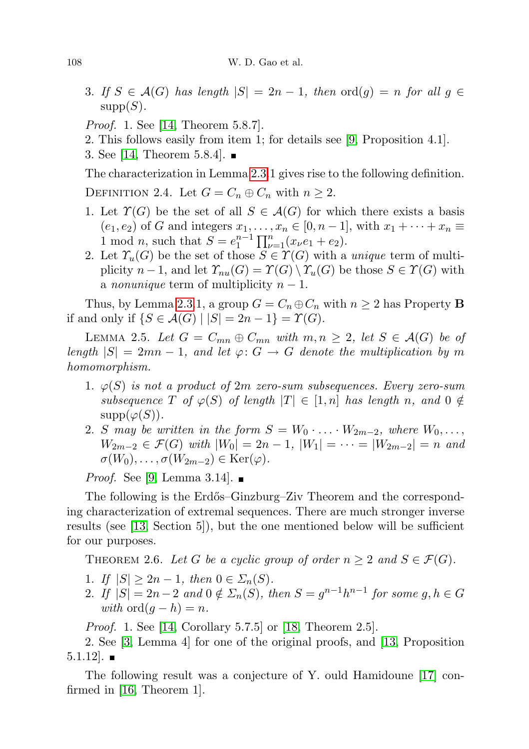- 3. If  $S \in \mathcal{A}(G)$  has length  $|S| = 2n 1$ , then  $\text{ord}(g) = n$  for all  $g \in$  $supp(S)$ .
- *Proof.* 1. See [\[14,](#page-48-2) Theorem 5.8.7].
- 2. This follows easily from item 1; for details see [\[9,](#page-48-7) Proposition 4.1].
- 3. See [\[14,](#page-48-2) Theorem 5.8.4].

The characterization in Lemma [2.3.](#page-4-0)1 gives rise to the following definition.

DEFINITION 2.4. Let  $G = C_n \oplus C_n$  with  $n \geq 2$ .

- 1. Let  $\Upsilon(G)$  be the set of all  $S \in \mathcal{A}(G)$  for which there exists a basis  $(e_1, e_2)$  of G and integers  $x_1, \ldots, x_n \in [0, n-1]$ , with  $x_1 + \cdots + x_n \equiv$ 1 mod *n*, such that  $S = e_1^{n-1} \prod_{\nu=1}^n (x_{\nu}e_1 + e_2)$ .
- 2. Let  $\mathcal{T}_u(G)$  be the set of those  $S \in \mathcal{T}(G)$  with a unique term of multiplicity  $n-1$ , and let  $\mathcal{T}_{nu}(G) = \mathcal{T}(G) \setminus \mathcal{T}_{u}(G)$  be those  $S \in \mathcal{T}(G)$  with a *nonunique* term of multiplicity  $n-1$ .

Thus, by Lemma [2.3.](#page-4-0)1, a group  $G = C_n \oplus C_n$  with  $n \geq 2$  has Property **B** if and only if  $\{S \in \mathcal{A}(G) \mid |S| = 2n - 1\} = \Upsilon(G)$ .

<span id="page-5-1"></span>LEMMA 2.5. Let  $G = C_{mn} \oplus C_{mn}$  with  $m, n \geq 2$ , let  $S \in \mathcal{A}(G)$  be of length  $|S| = 2mn - 1$ , and let  $\varphi: G \to G$  denote the multiplication by m homomorphism.

- 1.  $\varphi(S)$  is not a product of 2m zero-sum subsequences. Every zero-sum subsequence T of  $\varphi(S)$  of length  $|T| \in [1,n]$  has length n, and  $0 \notin$  $supp(\varphi(S)).$
- 2. S may be written in the form  $S = W_0 \cdot \ldots \cdot W_{2m-2}$ , where  $W_0, \ldots$ ,  $W_{2m-2} \in \mathcal{F}(G)$  with  $|W_0| = 2n - 1$ ,  $|W_1| = \cdots = |W_{2m-2}| = n$  and  $\sigma(W_0), \ldots, \sigma(W_{2m-2}) \in \text{Ker}(\varphi).$

*Proof.* See [\[9,](#page-48-7) Lemma 3.14].  $\blacksquare$ 

The following is the Erdős–Ginzburg–Ziv Theorem and the corresponding characterization of extremal sequences. There are much stronger inverse results (see [\[13,](#page-48-1) Section 5]), but the one mentioned below will be sufficient for our purposes.

<span id="page-5-2"></span>THEOREM 2.6. Let G be a cyclic group of order  $n \geq 2$  and  $S \in \mathcal{F}(G)$ .

- 1. If  $|S| \ge 2n 1$ , then  $0 \in \Sigma_n(S)$ .
- 2. If  $|S| = 2n 2$  and  $0 \notin \Sigma_n(S)$ , then  $S = g^{n-1}h^{n-1}$  for some  $g, h \in G$ with ord $(q-h)=n$ .

Proof. 1. See [\[14,](#page-48-2) Corollary 5.7.5] or [\[18,](#page-48-15) Theorem 2.5].

2. See [\[3,](#page-48-16) Lemma 4] for one of the original proofs, and [\[13,](#page-48-1) Proposition  $5.1.12$ .

<span id="page-5-0"></span>The following result was a conjecture of Y. ould Hamidoune [\[17\]](#page-48-17) confirmed in [\[16,](#page-48-18) Theorem 1].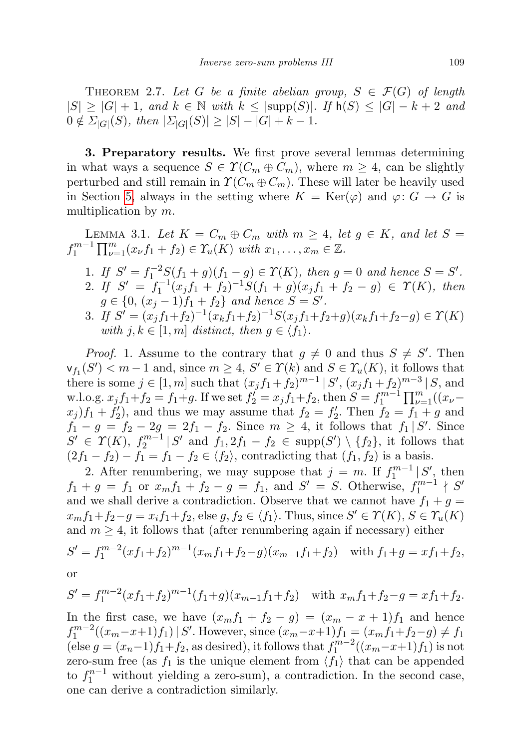THEOREM 2.7. Let G be a finite abelian group,  $S \in \mathcal{F}(G)$  of length  $|S| \geq |G| + 1$ , and  $k \in \mathbb{N}$  with  $k \leq |\text{supp}(S)|$ . If  $h(S) \leq |G| - k + 2$  and  $0 \notin \Sigma_{|G|}(S)$ , then  $|\Sigma_{|G|}(S)| \geq |S| - |G| + k - 1$ .

<span id="page-6-0"></span>3. Preparatory results. We first prove several lemmas determining in what ways a sequence  $S \in \Upsilon(C_m \oplus C_m)$ , where  $m \geq 4$ , can be slightly perturbed and still remain in  $\Upsilon(C_m \oplus C_m)$ . These will later be heavily used in Section [5,](#page-18-0) always in the setting where  $K = \text{Ker}(\varphi)$  and  $\varphi: G \to G$  is multiplication by m.

<span id="page-6-1"></span>LEMMA 3.1. Let  $K = C_m \oplus C_m$  with  $m \geq 4$ , let  $g \in K$ , and let  $S =$  $f_1^{m-1} \prod_{\nu=1}^m (x_{\nu} f_1 + f_2) \in \Upsilon_u(K)$  with  $x_1, \ldots, x_m \in \mathbb{Z}$ .

- 1. If  $S' = f_1^{-2}S(f_1 + g)(f_1 g) \in \Upsilon(K)$ , then  $g = 0$  and hence  $S = S'$ . 2. If  $S' = f_1^{-1}(x_jf_1+f_2)^{-1}S(f_1+g)(x_jf_1+f_2-g) \in \Upsilon(K)$ , then  $g \in \{0, (x_j - 1)f_1 + f_2\}$  and hence  $S = S'$ .
- 3. If  $S' = (x_j f_1 + f_2)^{-1} (x_k f_1 + f_2)^{-1} S(x_j f_1 + f_2 + g)(x_k f_1 + f_2 g) \in \Upsilon(K)$ with  $j, k \in [1, m]$  distinct, then  $g \in \langle f_1 \rangle$ .

*Proof.* 1. Assume to the contrary that  $g \neq 0$  and thus  $S \neq S'$ . Then  $\mathsf{v}_{f_1}(S') < m-1$  and, since  $m \geq 4$ ,  $S' \in \Upsilon(k)$  and  $S \in \Upsilon_u(K)$ , it follows that there is some  $j \in [1, m]$  such that  $(x_j f_1 + f_2)^{m-1} | S', (x_j f_1 + f_2)^{m-3} | S$ , and w.l.o.g.  $x_j f_1 + f_2 = f_1 + g$ . If we set  $f'_2 = x_j f_1 + f_2$ , then  $S = f_1^{m-1} \prod_{\nu=1}^m ((x_{\nu} (x_j)f_1 + f_2'$ , and thus we may assume that  $f_2 = f_2'$ . Then  $f_2 = f_1 + g$  and  $f_1 - g = f_2 - 2g = 2f_1 - f_2$ . Since  $m \geq 4$ , it follows that  $f_1 | S'$ . Since  $S' \in \Upsilon(K)$ ,  $f_2^{m-1} | S'$  and  $f_1, 2f_1 - f_2 \in \text{supp}(S') \setminus \{f_2\}$ , it follows that  $(2f_1 - f_2) - f_1 = f_1 - f_2 \in \langle f_2 \rangle$ , contradicting that  $(f_1, f_2)$  is a basis.

2. After renumbering, we may suppose that  $j = m$ . If  $f_1^{m-1} | S'$ , then  $f_1 + g = f_1$  or  $x_m f_1 + f_2 - g = f_1$ , and  $S' = S$ . Otherwise,  $f_1^{m-1} \nmid S'$ and we shall derive a contradiction. Observe that we cannot have  $f_1 + g =$  $x_m f_1 + f_2 - g = x_i f_1 + f_2$ , else  $g, f_2 \in \langle f_1 \rangle$ . Thus, since  $S' \in \Upsilon(K)$ ,  $S \in \Upsilon_u(K)$ and  $m \geq 4$ , it follows that (after renumbering again if necessary) either

$$
S' = f_1^{m-2} (xf_1+f_2)^{m-1} (x_mf_1+f_2-g)(x_{m-1}f_1+f_2) \quad \text{with } f_1+g = xf_1+f_2,
$$
  
or

$$
\alpha
$$

$$
S' = f_1^{m-2} (xf_1+f_2)^{m-1} (f_1+g)(x_{m-1}f_1+f_2) \quad \text{with } x_m f_1+f_2-g = xf_1+f_2.
$$

In the first case, we have  $(x_m f_1 + f_2 - g) = (x_m - x + 1)f_1$  and hence  $f_1^{m-2}((x_m-x+1)f_1) \mid S'$ . However, since  $(x_m-x+1)f_1 = (x_m f_1 + f_2 - g) \neq f_1$ (else  $g = (x_n-1)f_1+f_2$ , as desired), it follows that  $f_1^{m-2}((x_m-x+1)f_1)$  is not zero-sum free (as  $f_1$  is the unique element from  $\langle f_1 \rangle$  that can be appended to  $f_1^{n-1}$  without yielding a zero-sum), a contradiction. In the second case, one can derive a contradiction similarly.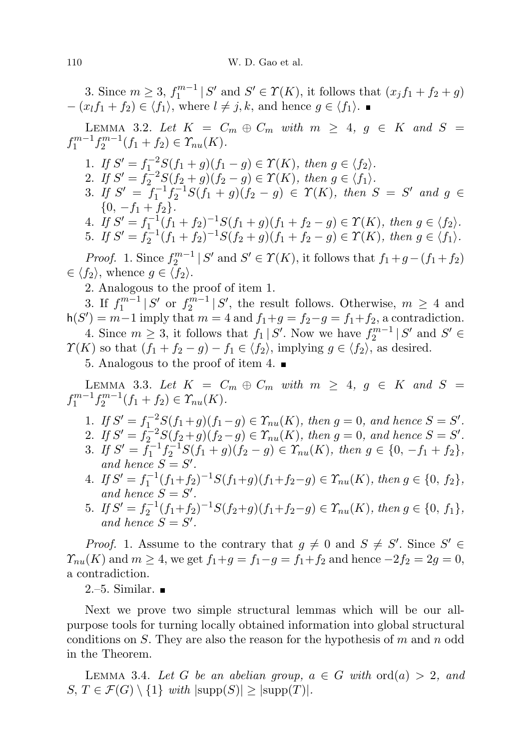3. Since  $m \geq 3$ ,  $f_1^{m-1} | S'$  and  $S' \in \Upsilon(K)$ , it follows that  $(x_j f_1 + f_2 + g)$  $-(x_l f_1 + f_2) \in \langle f_1 \rangle$ , where  $l \neq j, k$ , and hence  $g \in \langle f_1 \rangle$ .

<span id="page-7-1"></span>LEMMA 3.2. Let  $K = C_m \oplus C_m$  with  $m \geq 4$ ,  $g \in K$  and  $S =$  $f_1^{m-1}f_2^{m-1}(f_1+f_2) \in \Upsilon_{nu}(K)$ .

- 1. If  $S' = f_1^{-2}S(f_1+g)(f_1-g) \in \Upsilon(K)$ , then  $g \in \langle f_2 \rangle$ .
- 2. If  $S' = f_2^{-2}S(f_2 + g)(f_2 g) \in \Upsilon(K)$ , then  $g \in \langle f_1 \rangle$ .
- 3. If  $S' = f_1^{-1}f_2^{-1}S(f_1 + g)(f_2 g) \in \Upsilon(K)$ , then  $S = S'$  and  $g \in$  ${0, -f_1 + f_2}.$
- 4. If  $S' = f_1^{-1}(f_1 + f_2)^{-1}S(f_1 + g)(f_1 + f_2 g) \in \Upsilon(K)$ , then  $g \in \langle f_2 \rangle$ .
- 5. If  $S' = f_2^{-1}(f_1 + f_2)^{-1}S(f_2 + g)(f_1 + f_2 g) \in \Upsilon(K)$ , then  $g \in \langle f_1 \rangle$ .

*Proof.* 1. Since  $f_2^{m-1} | S'$  and  $S' \in \Upsilon(K)$ , it follows that  $f_1 + g - (f_1 + f_2)$  $\in \langle f_2 \rangle$ , whence  $g \in \langle f_2 \rangle$ .

2. Analogous to the proof of item 1.

3. If  $f_1^{m-1} | S'$  or  $f_2^{m-1} | S'$ , the result follows. Otherwise,  $m \geq 4$  and  $h(S') = m-1$  imply that  $m = 4$  and  $f_1+g = f_2-g = f_1+f_2$ , a contradiction. 4. Since  $m \geq 3$ , it follows that  $f_1 | S'$ . Now we have  $f_2^{m-1} | S'$  and  $S' \in$  $\Upsilon(K)$  so that  $(f_1 + f_2 - g) - f_1 \in \langle f_2 \rangle$ , implying  $g \in \langle f_2 \rangle$ , as desired.

5. Analogous to the proof of item 4.

<span id="page-7-0"></span>LEMMA 3.3. Let  $K = C_m \oplus C_m$  with  $m \geq 4$ ,  $g \in K$  and  $S =$  $f_1^{m-1}f_2^{m-1}(f_1+f_2) \in \Upsilon_{nu}(K)$ .

- 1. If  $S' = f_1^{-2}S(f_1+g)(f_1-g) \in \Upsilon_{nu}(K)$ , then  $g=0$ , and hence  $S=S'$ .
- 2. If  $S' = f_2^{-2}S(f_2+g)(f_2-g) \in \mathcal{X}_{nu}(K)$ , then  $g=0$ , and hence  $S=S'$ .
- 3. If  $S' = \tilde{f}_1^{-1} f_2^{-1} S(f_1 + g)(f_2 g) \in \Upsilon_{nu}(K)$ , then  $g \in \{0, -f_1 + f_2\}$ , and hence  $S = S'$ .
- 4. If  $S' = f_1^{-1}(f_1+f_2)^{-1}S(f_1+g)(f_1+f_2-g) \in \mathcal{X}_{nu}(K)$ , then  $g \in \{0, f_2\}$ , and hence  $S = S'$ .
- 5. If  $S' = f_2^{-1}(f_1+f_2)^{-1}S(f_2+g)(f_1+f_2-g) \in \mathcal{X}_{nu}(K)$ , then  $g \in \{0, f_1\}$ , and hence  $S = S'$ .

*Proof.* 1. Assume to the contrary that  $g \neq 0$  and  $S \neq S'$ . Since  $S' \in$  $\mathcal{T}_{nu}(K)$  and  $m \geq 4$ , we get  $f_1 + g = f_1 - g = f_1 + f_2$  and hence  $-2f_2 = 2g = 0$ , a contradiction.

 $2.-5.$  Similar.  $\blacksquare$ 

Next we prove two simple structural lemmas which will be our allpurpose tools for turning locally obtained information into global structural conditions on S. They are also the reason for the hypothesis of  $m$  and  $n$  odd in the Theorem.

<span id="page-7-2"></span>LEMMA 3.4. Let G be an abelian group,  $a \in G$  with  $\text{ord}(a) > 2$ , and  $S, T \in \mathcal{F}(G) \setminus \{1\}$  with  $|\text{supp}(S)| \ge |\text{supp}(T)|$ .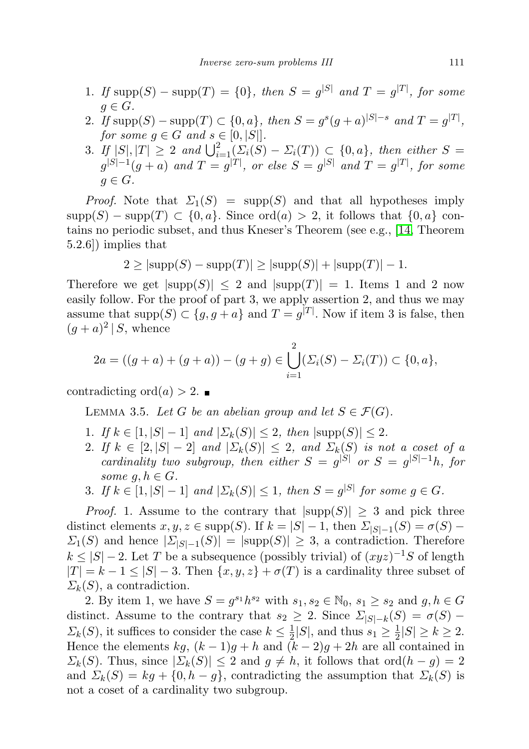- 1. If  $\text{supp}(S) \text{supp}(T) = \{0\}$ , then  $S = g^{|S|}$  and  $T = g^{|T|}$ , for some  $g \in G$ .
- 2. If  $\text{supp}(S) \text{supp}(T) \subset \{0, a\},\$  then  $S = g^s(g+a)^{|S|-s}$  and  $T = g^{|T|},$ for some  $g \in G$  and  $s \in [0, |S|]$ .
- 3. If  $|S|, |T| \geq 2$  and  $\bigcup_{i=1}^{2} (\Sigma_i(S) \Sigma_i(T)) \subset \{0, a\}$ , then either  $S =$  $g^{|S|-1}(g+a)$  and  $T=g^{|T|},$  or else  $S=g^{|S|}$  and  $T=g^{|T|},$  for some  $q \in G$ .

*Proof.* Note that  $\Sigma_1(S) = \text{supp}(S)$  and that all hypotheses imply  $\text{supp}(S) - \text{supp}(T) \subset \{0, a\}.$  Since  $\text{ord}(a) > 2$ , it follows that  $\{0, a\}$  contains no periodic subset, and thus Kneser's Theorem (see e.g., [\[14,](#page-48-2) Theorem 5.2.6]) implies that

$$
2 \ge |\text{supp}(S) - \text{supp}(T)| \ge |\text{supp}(S)| + |\text{supp}(T)| - 1.
$$

Therefore we get  $|\text{supp}(S)| \leq 2$  and  $|\text{supp}(T)| = 1$ . Items 1 and 2 now easily follow. For the proof of part 3, we apply assertion 2, and thus we may assume that supp $(S) \subset \{g, g + a\}$  and  $T = g^{|T|}$ . Now if item 3 is false, then  $(g+a)^2 \mid S$ , whence

$$
2a = ((g+a) + (g+a)) - (g+g) \in \bigcup_{i=1}^{2} (\Sigma_i(S) - \Sigma_i(T)) \subset \{0, a\},
$$

<span id="page-8-0"></span>contradicting ord $(a) > 2$ .

LEMMA 3.5. Let G be an abelian group and let  $S \in \mathcal{F}(G)$ .

- 1. If  $k \in [1, |S| 1]$  and  $|\Sigma_k(S)| \leq 2$ , then  $|\text{supp}(S)| \leq 2$ .
- 2. If  $k \in [2, |S| 2]$  and  $|\Sigma_k(S)| \leq 2$ , and  $\Sigma_k(S)$  is not a coset of a cardinality two subgroup, then either  $S = g^{|S|}$  or  $S = g^{|S|-1}h$ , for some  $g, h \in G$ .
- 3. If  $k \in [1, |S| 1]$  and  $|\Sigma_k(S)| \leq 1$ , then  $S = g^{|S|}$  for some  $g \in G$ .

*Proof.* 1. Assume to the contrary that  $|\text{supp}(S)| \geq 3$  and pick three distinct elements  $x, y, z \in \text{supp}(S)$ . If  $k = |S| - 1$ , then  $\sum_{|S| - 1}(S) = \sigma(S) \Sigma_1(S)$  and hence  $|\Sigma_{|S|=1}(S)| = |\text{supp}(S)| \geq 3$ , a contradiction. Therefore  $k \leq |S| - 2$ . Let T be a subsequence (possibly trivial) of  $(xyz)^{-1}S$  of length  $|T| = k - 1 \leq |S| - 3$ . Then  $\{x, y, z\} + \sigma(T)$  is a cardinality three subset of  $\Sigma_k(S)$ , a contradiction.

2. By item 1, we have  $S = g^{s_1}h^{s_2}$  with  $s_1, s_2 \in \mathbb{N}_0$ ,  $s_1 \geq s_2$  and  $g, h \in G$ distinct. Assume to the contrary that  $s_2 \geq 2$ . Since  $\Sigma_{|S|=k}(S) = \sigma(S)$  $\Sigma_k(S)$ , it suffices to consider the case  $k \leq \frac{1}{2}$  $\frac{1}{2}|S|$ , and thus  $s_1 \geq \frac{1}{2}$  $\frac{1}{2}|S| \geq k \geq 2.$ Hence the elements kg,  $(k-1)g+h$  and  $(k-2)g+2h$  are all contained in  $\Sigma_k(S)$ . Thus, since  $|\Sigma_k(S)| \leq 2$  and  $g \neq h$ , it follows that ord $(h - g) = 2$ and  $\Sigma_k(S) = kg + \{0, h - g\}$ , contradicting the assumption that  $\Sigma_k(S)$  is not a coset of a cardinality two subgroup.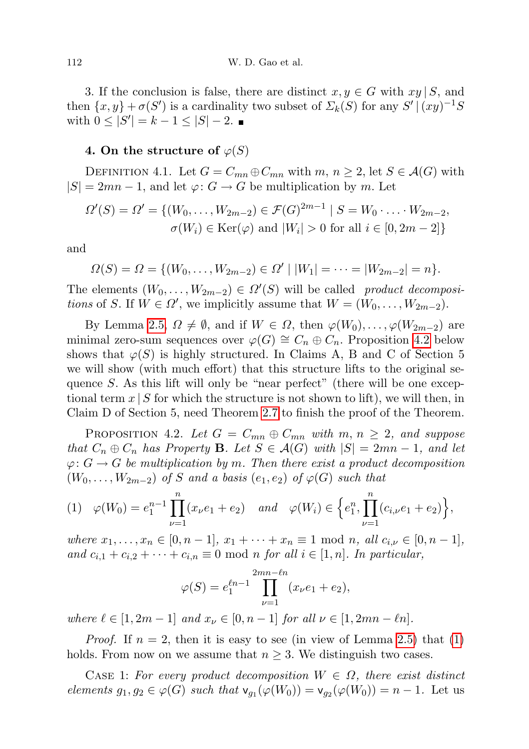3. If the conclusion is false, there are distinct  $x, y \in G$  with  $xy \mid S$ , and then  $\{x, y\} + \sigma(S')$  is a cardinality two subset of  $\Sigma_k(S)$  for any  $S' | (xy)^{-1}S$ with  $0 \leq |S'| = k - 1 \leq |S| - 2$ .

## <span id="page-9-0"></span>4. On the structure of  $\varphi(S)$

<span id="page-9-3"></span>DEFINITION 4.1. Let  $G = C_{mn} \oplus C_{mn}$  with  $m, n \geq 2$ , let  $S \in \mathcal{A}(G)$  with  $|S| = 2mn - 1$ , and let  $\varphi: G \to G$  be multiplication by m. Let

$$
\Omega'(S) = \Omega' = \{ (W_0, \dots, W_{2m-2}) \in \mathcal{F}(G)^{2m-1} \mid S = W_0 \cdot \dots \cdot W_{2m-2},
$$
  

$$
\sigma(W_i) \in \text{Ker}(\varphi) \text{ and } |W_i| > 0 \text{ for all } i \in [0, 2m-2] \}
$$

and

$$
\Omega(S) = \Omega = \{ (W_0, \dots, W_{2m-2}) \in \Omega' \mid |W_1| = \dots = |W_{2m-2}| = n \}.
$$

The elements  $(W_0, \ldots, W_{2m-2}) \in \Omega'(S)$  will be called product decompositions of S. If  $W \in \Omega'$ , we implicitly assume that  $W = (W_0, \ldots, W_{2m-2})$ .

By Lemma [2.5,](#page-5-1)  $\Omega \neq \emptyset$ , and if  $W \in \Omega$ , then  $\varphi(W_0), \ldots, \varphi(W_{2m-2})$  are minimal zero-sum sequences over  $\varphi(G) \cong C_n \oplus C_n$ . Proposition [4.2](#page-9-1) below shows that  $\varphi(S)$  is highly structured. In Claims A, B and C of Section 5 we will show (with much effort) that this structure lifts to the original sequence S. As this lift will only be "near perfect" (there will be one exceptional term  $x \mid S$  for which the structure is not shown to lift), we will then, in Claim D of Section 5, need Theorem [2.7](#page-5-0) to finish the proof of the Theorem.

<span id="page-9-1"></span>PROPOSITION 4.2. Let  $G = C_{mn} \oplus C_{mn}$  with  $m, n \geq 2$ , and suppose that  $C_n \oplus C_n$  has Property **B**. Let  $S \in \mathcal{A}(G)$  with  $|S| = 2mn - 1$ , and let  $\varphi: G \to G$  be multiplication by m. Then there exist a product decomposition  $(W_0, \ldots, W_{2m-2})$  of S and a basis  $(e_1, e_2)$  of  $\varphi(G)$  such that

<span id="page-9-2"></span>
$$
(1) \quad \varphi(W_0) = e_1^{n-1} \prod_{\nu=1}^n (x_\nu e_1 + e_2) \quad and \quad \varphi(W_i) \in \left\{ e_1^n, \prod_{\nu=1}^n (c_{i,\nu} e_1 + e_2) \right\},
$$

where  $x_1, \ldots, x_n \in [0, n-1], x_1 + \cdots + x_n \equiv 1 \text{ mod } n, \text{ all } c_{i,\nu} \in [0, n-1],$ and  $c_{i,1} + c_{i,2} + \cdots + c_{i,n} \equiv 0 \mod n$  for all  $i \in [1,n]$ . In particular,

$$
\varphi(S) = e_1^{\ell n - 1} \prod_{\nu=1}^{2mn - \ell n} (x_{\nu}e_1 + e_2),
$$

where  $\ell \in [1, 2m - 1]$  and  $x_{\nu} \in [0, n - 1]$  for all  $\nu \in [1, 2mn - \ell n]$ .

*Proof.* If  $n = 2$ , then it is easy to see (in view of Lemma [2.5\)](#page-5-1) that [\(1\)](#page-9-2) holds. From now on we assume that  $n \geq 3$ . We distinguish two cases.

CASE 1: For every product decomposition  $W \in \Omega$ , there exist distinct elements  $g_1, g_2 \in \varphi(G)$  such that  $\mathsf{v}_{g_1}(\varphi(W_0)) = \mathsf{v}_{g_2}(\varphi(W_0)) = n - 1$ . Let us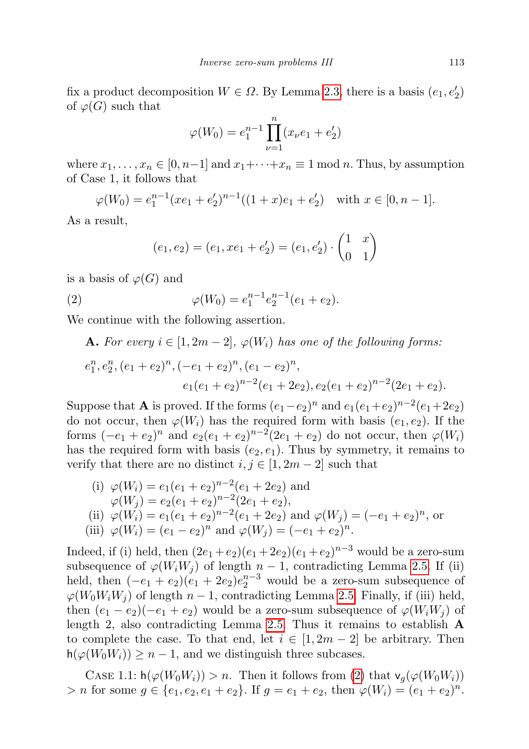fix a product decomposition  $W \in \Omega$ . By Lemma [2.3,](#page-4-0) there is a basis  $(e_1, e'_2)$ of  $\varphi(G)$  such that

$$
\varphi(W_0) = e_1^{n-1} \prod_{\nu=1}^n (x_\nu e_1 + e_2')
$$

where  $x_1, \ldots, x_n \in [0, n-1]$  and  $x_1 + \cdots + x_n \equiv 1 \mod n$ . Thus, by assumption of Case 1, it follows that

 $\varphi(W_0) = e_1^{n-1}(xe_1 + e_2')^{n-1}((1+x)e_1 + e_2')$  with  $x \in [0, n-1]$ .

As a result,

<span id="page-10-0"></span>
$$
(e_1, e_2) = (e_1, xe_1 + e'_2) = (e_1, e'_2) \cdot \begin{pmatrix} 1 & x \\ 0 & 1 \end{pmatrix}
$$

is a basis of  $\varphi(G)$  and

(2) 
$$
\varphi(W_0) = e_1^{n-1} e_2^{n-1} (e_1 + e_2).
$$

We continue with the following assertion.

**A.** For every  $i \in [1, 2m-2], \varphi(W_i)$  has one of the following forms:

$$
e_1^n, e_2^n, (e_1 + e_2)^n, (-e_1 + e_2)^n, (e_1 - e_2)^n,
$$
  

$$
e_1(e_1 + e_2)^{n-2}(e_1 + 2e_2), e_2(e_1 + e_2)^{n-2}(2e_1 + e_2).
$$

Suppose that **A** is proved. If the forms  $(e_1 - e_2)^n$  and  $e_1(e_1 + e_2)^{n-2}(e_1 + 2e_2)$ do not occur, then  $\varphi(W_i)$  has the required form with basis  $(e_1, e_2)$ . If the forms  $(-e_1 + e_2)^n$  and  $e_2(e_1 + e_2)^{n-2}(2e_1 + e_2)$  do not occur, then  $\varphi(W_i)$ has the required form with basis  $(e_2, e_1)$ . Thus by symmetry, it remains to verify that there are no distinct  $i, j \in [1, 2m - 2]$  such that

(i) 
$$
\varphi(W_i) = e_1(e_1 + e_2)^{n-2}(e_1 + 2e_2)
$$
 and  
\n $\varphi(W_j) = e_2(e_1 + e_2)^{n-2}(2e_1 + e_2),$   
\n(ii)  $\varphi(W_i) = e_1(e_1 + e_2)^{n-2}(e_1 + 2e_2)$  and  $\varphi(W_j) = (-e_1 + e_2)^n$ , or  
\n(iii)  $\varphi(W_i) = (e_1 - e_2)^n$  and  $\varphi(W_j) = (-e_1 + e_2)^n$ .

Indeed, if (i) held, then  $(2e_1+e_2)(e_1+2e_2)(e_1+e_2)^{n-3}$  would be a zero-sum subsequence of  $\varphi(W_iW_j)$  of length  $n-1$ , contradicting Lemma [2.5.](#page-5-1) If (ii) held, then  $(-e_1 + e_2)(e_1 + 2e_2)e_2^{n-3}$  would be a zero-sum subsequence of  $\varphi(W_0W_iW_j)$  of length  $n-1$ , contradicting Lemma [2.5.](#page-5-1) Finally, if (iii) held, then  $(e_1 - e_2)(-e_1 + e_2)$  would be a zero-sum subsequence of  $\varphi(W_i W_j)$  of length 2, also contradicting Lemma [2.5.](#page-5-1) Thus it remains to establish  $\bf{A}$ to complete the case. To that end, let  $i \in [1, 2m - 2]$  be arbitrary. Then  $h(\varphi(W_0W_i)) \geq n-1$ , and we distinguish three subcases.

CASE 1.1:  $h(\varphi(W_0W_i)) > n$ . Then it follows from [\(2\)](#page-10-0) that  $v_q(\varphi(W_0W_i))$  $> n$  for some  $g \in \{e_1, e_2, e_1 + e_2\}$ . If  $g = e_1 + e_2$ , then  $\varphi(W_i) = (e_1 + e_2)^n$ .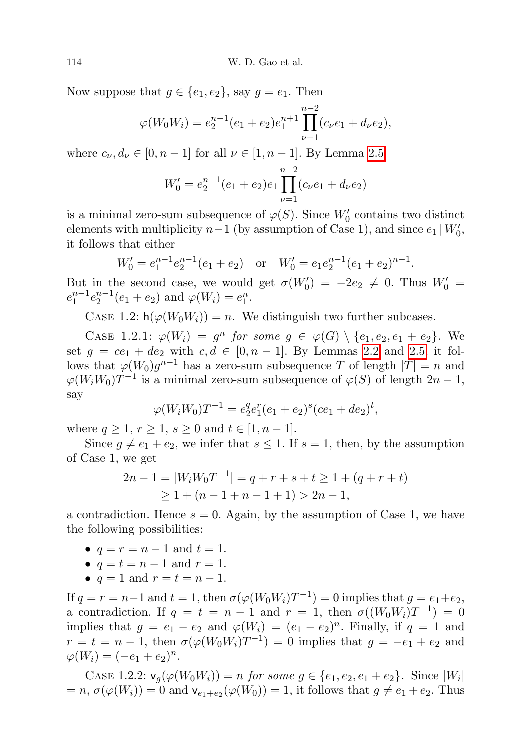Now suppose that  $g \in \{e_1, e_2\}$ , say  $g = e_1$ . Then

$$
\varphi(W_0 W_i) = e_2^{n-1} (e_1 + e_2) e_1^{n+1} \prod_{\nu=1}^{n-2} (c_\nu e_1 + d_\nu e_2),
$$

where  $c_{\nu}, d_{\nu} \in [0, n-1]$  for all  $\nu \in [1, n-1]$ . By Lemma [2.5,](#page-5-1)

$$
W_0' = e_2^{n-1}(e_1 + e_2)e_1 \prod_{\nu=1}^{n-2} (c_\nu e_1 + d_\nu e_2)
$$

is a minimal zero-sum subsequence of  $\varphi(S)$ . Since  $W_0'$  contains two distinct elements with multiplicity  $n-1$  (by assumption of Case 1), and since  $e_1 | W'_0$ , it follows that either

$$
W'_0 = e_1^{n-1} e_2^{n-1} (e_1 + e_2) \quad \text{or} \quad W'_0 = e_1 e_2^{n-1} (e_1 + e_2)^{n-1}.
$$

But in the second case, we would get  $\sigma(W_0') = -2e_2 \neq 0$ . Thus  $W_0' =$  $e_1^{n-1}e_2^{n-1}(e_1+e_2)$  and  $\varphi(W_i)=e_1^n$ .

CASE 1.2:  $h(\varphi(W_0 W_i)) = n$ . We distinguish two further subcases.

CASE 1.2.1:  $\varphi(W_i) = g^n$  for some  $g \in \varphi(G) \setminus \{e_1, e_2, e_1 + e_2\}$ . We set  $g = ce_1 + de_2$  with  $c, d \in [0, n-1]$ . By Lemmas [2.2](#page-4-1) and [2.5,](#page-5-1) it follows that  $\varphi(W_0)g^{n-1}$  has a zero-sum subsequence T of length  $|T|=n$  and  $\varphi(W_i W_0) T^{-1}$  is a minimal zero-sum subsequence of  $\varphi(S)$  of length  $2n - 1$ , say

$$
\varphi(W_i W_0) T^{-1} = e_2^q e_1^r (e_1 + e_2)^s (ce_1 + de_2)^t,
$$

where  $q \ge 1, r \ge 1, s \ge 0$  and  $t \in [1, n-1]$ .

Since  $g \neq e_1 + e_2$ , we infer that  $s \leq 1$ . If  $s = 1$ , then, by the assumption of Case 1, we get

$$
2n - 1 = |W_i W_0 T^{-1}| = q + r + s + t \ge 1 + (q + r + t)
$$
  
 
$$
\ge 1 + (n - 1 + n - 1 + 1) > 2n - 1,
$$

a contradiction. Hence  $s = 0$ . Again, by the assumption of Case 1, we have the following possibilities:

- $q = r = n 1$  and  $t = 1$ .
- $q = t = n 1$  and  $r = 1$ .
- $q = 1$  and  $r = t = n 1$ .

If  $q = r = n-1$  and  $t = 1$ , then  $\sigma(\varphi(W_0 W_i)T^{-1}) = 0$  implies that  $g = e_1 + e_2$ , a contradiction. If  $q = t = n - 1$  and  $r = 1$ , then  $\sigma((W_0 W_i) T^{-1}) = 0$ implies that  $g = e_1 - e_2$  and  $\varphi(W_i) = (e_1 - e_2)^n$ . Finally, if  $q = 1$  and  $r = t = n - 1$ , then  $\sigma(\varphi(W_0 W_i)T^{-1}) = 0$  implies that  $g = -e_1 + e_2$  and  $\varphi(W_i) = (-e_1 + e_2)^n$ .

CASE 1.2.2:  $v_g(\varphi(W_0 W_i)) = n$  for some  $g \in \{e_1, e_2, e_1 + e_2\}$ . Since  $|W_i|$  $= n, \sigma(\varphi(W_i)) = 0$  and  $\mathsf{v}_{e_1+e_2}(\varphi(W_0)) = 1$ , it follows that  $g \neq e_1 + e_2$ . Thus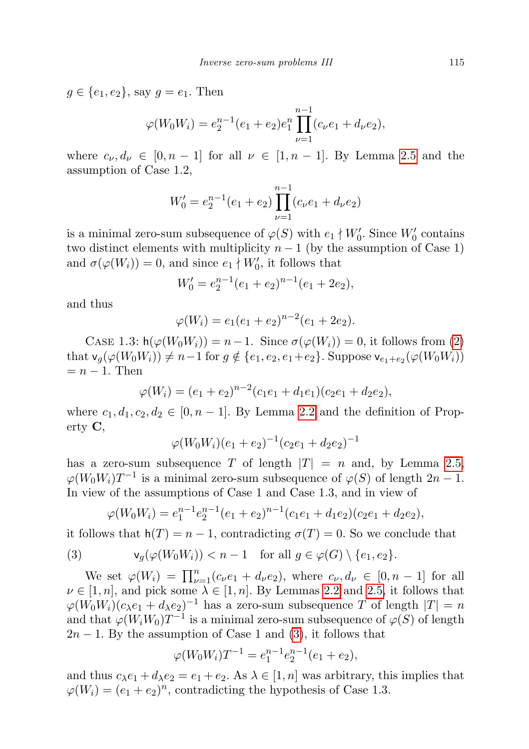$g \in \{e_1, e_2\}$ , say  $g = e_1$ . Then

$$
\varphi(W_0 W_i) = e_2^{n-1} (e_1 + e_2) e_1^n \prod_{\nu=1}^{n-1} (c_\nu e_1 + d_\nu e_2),
$$

where  $c_{\nu}, d_{\nu} \in [0, n-1]$  for all  $\nu \in [1, n-1]$ . By Lemma [2.5](#page-5-1) and the assumption of Case 1.2,

$$
W_0' = e_2^{n-1}(e_1 + e_2) \prod_{\nu=1}^{n-1} (c_\nu e_1 + d_\nu e_2)
$$

is a minimal zero-sum subsequence of  $\varphi(S)$  with  $e_1 \nmid W'_0$ . Since  $W'_0$  contains two distinct elements with multiplicity  $n-1$  (by the assumption of Case 1) and  $\sigma(\varphi(W_i)) = 0$ , and since  $e_1 \nmid W'_0$ , it follows that

$$
W_0' = e_2^{n-1}(e_1 + e_2)^{n-1}(e_1 + 2e_2),
$$

and thus

$$
\varphi(W_i) = e_1(e_1 + e_2)^{n-2}(e_1 + 2e_2).
$$

CASE 1.3:  $h(\varphi(W_0W_i)) = n-1$ . Since  $\sigma(\varphi(W_i)) = 0$ , it follows from [\(2\)](#page-10-0) that  $\mathsf{v}_g(\varphi(W_0 W_i)) \neq n-1$  for  $g \notin \{e_1, e_2, e_1+e_2\}$ . Suppose  $\mathsf{v}_{e_1+e_2}(\varphi(W_0 W_i))$  $=n-1$ . Then

$$
\varphi(W_i) = (e_1 + e_2)^{n-2} (c_1 e_1 + d_1 e_1)(c_2 e_1 + d_2 e_2),
$$

where  $c_1, d_1, c_2, d_2 \in [0, n-1]$ . By Lemma [2.2](#page-4-1) and the definition of Property C,

$$
\varphi(W_0W_i)(e_1+e_2)^{-1}(c_2e_1+d_2e_2)^{-1}
$$

has a zero-sum subsequence T of length  $|T| = n$  and, by Lemma [2.5,](#page-5-1)  $\varphi(W_0W_i)T^{-1}$  is a minimal zero-sum subsequence of  $\varphi(S)$  of length  $2n-1$ . In view of the assumptions of Case 1 and Case 1.3, and in view of

<span id="page-12-0"></span>
$$
\varphi(W_0W_i) = e_1^{n-1}e_2^{n-1}(e_1+e_2)^{n-1}(c_1e_1+d_1e_2)(c_2e_1+d_2e_2),
$$

it follows that  $h(T) = n - 1$ , contradicting  $\sigma(T) = 0$ . So we conclude that

(3) 
$$
\mathsf{v}_g(\varphi(W_0 W_i)) < n-1 \quad \text{for all } g \in \varphi(G) \setminus \{e_1, e_2\}.
$$

We set  $\varphi(W_i) = \prod_{\nu=1}^n (c_{\nu}e_1 + d_{\nu}e_2)$ , where  $c_{\nu}, d_{\nu} \in [0, n-1]$  for all  $\nu \in [1, n]$ , and pick some  $\lambda \in [1, n]$ . By Lemmas [2.2](#page-4-1) and [2.5,](#page-5-1) it follows that  $\varphi(W_0W_i)(c_{\lambda}e_1 + d_{\lambda}e_2)^{-1}$  has a zero-sum subsequence T of length  $|T| = n$ and that  $\varphi(W_i W_0) T^{-1}$  is a minimal zero-sum subsequence of  $\varphi(S)$  of length  $2n-1$ . By the assumption of Case 1 and [\(3\)](#page-12-0), it follows that

$$
\varphi(W_0W_i)T^{-1} = e_1^{n-1}e_2^{n-1}(e_1 + e_2),
$$

and thus  $c_{\lambda}e_1 + d_{\lambda}e_2 = e_1 + e_2$ . As  $\lambda \in [1, n]$  was arbitrary, this implies that  $\varphi(W_i) = (e_1 + e_2)^n$ , contradicting the hypothesis of Case 1.3.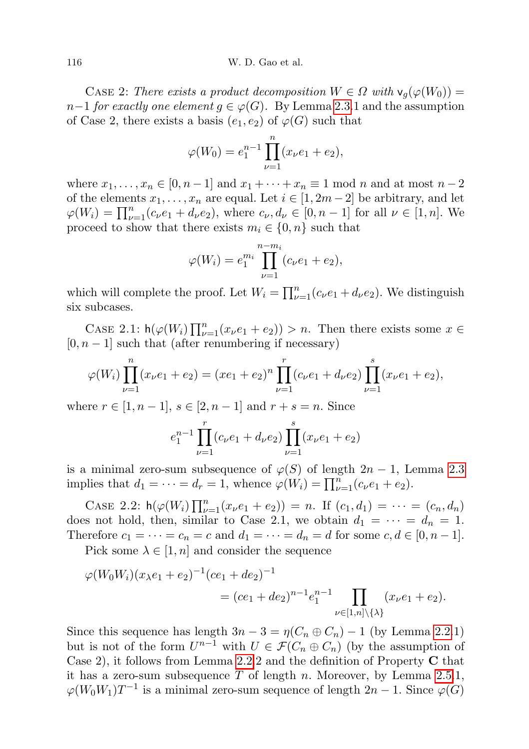#### 116 W. D. Gao et al.

CASE 2: There exists a product decomposition  $W \in \Omega$  with  $v_q(\varphi(W_0)) =$  $n-1$  for exactly one element  $g \in \varphi(G)$ . By Lemma [2.3.](#page-4-0)1 and the assumption of Case 2, there exists a basis  $(e_1, e_2)$  of  $\varphi(G)$  such that

$$
\varphi(W_0) = e_1^{n-1} \prod_{\nu=1}^n (x_\nu e_1 + e_2),
$$

where  $x_1, \ldots, x_n \in [0, n-1]$  and  $x_1 + \cdots + x_n \equiv 1 \mod n$  and at most  $n-2$ of the elements  $x_1, \ldots, x_n$  are equal. Let  $i \in [1, 2m-2]$  be arbitrary, and let  $\varphi(W_i) = \prod_{\nu=1}^n (c_\nu e_1 + d_\nu e_2)$ , where  $c_\nu, d_\nu \in [0, n-1]$  for all  $\nu \in [1, n]$ . We proceed to show that there exists  $m_i \in \{0, n\}$  such that

$$
\varphi(W_i) = e_1^{m_i} \prod_{\nu=1}^{n-m_i} (c_\nu e_1 + e_2),
$$

which will complete the proof. Let  $W_i = \prod_{\nu=1}^n (c_\nu e_1 + d_\nu e_2)$ . We distinguish six subcases.

CASE 2.1:  $h(\varphi(W_i) \prod_{\nu=1}^n (x_\nu e_1 + e_2)) > n$ . Then there exists some  $x \in$  $[0, n - 1]$  such that (after renumbering if necessary)

$$
\varphi(W_i) \prod_{\nu=1}^n (x_\nu e_1 + e_2) = (xe_1 + e_2)^n \prod_{\nu=1}^r (c_\nu e_1 + d_\nu e_2) \prod_{\nu=1}^s (x_\nu e_1 + e_2),
$$

where  $r \in [1, n-1]$ ,  $s \in [2, n-1]$  and  $r + s = n$ . Since

$$
e_1^{n-1} \prod_{\nu=1}^r (c_\nu e_1 + d_\nu e_2) \prod_{\nu=1}^s (x_\nu e_1 + e_2)
$$

is a minimal zero-sum subsequence of  $\varphi(S)$  of length  $2n-1$ , Lemma [2.3](#page-4-0) implies that  $d_1 = \cdots = d_r = 1$ , whence  $\varphi(W_i) = \prod_{\nu=1}^n (c_\nu e_1 + e_2)$ .

CASE 2.2:  $h(\varphi(W_i) \prod_{\nu=1}^n (x_\nu e_1 + e_2)) = n$ . If  $(c_1, d_1) = \cdots = (c_n, d_n)$ does not hold, then, similar to Case 2.1, we obtain  $d_1 = \cdots = d_n = 1$ . Therefore  $c_1 = \cdots = c_n = c$  and  $d_1 = \cdots = d_n = d$  for some  $c, d \in [0, n-1]$ .

Pick some  $\lambda \in [1, n]$  and consider the sequence

$$
\varphi(W_0W_i)(x_{\lambda}e_1 + e_2)^{-1}(ce_1 + de_2)^{-1}
$$
  
=  $(ce_1 + de_2)^{n-1}e_1^{n-1}\prod_{\nu \in [1,n]\setminus{\{\lambda\}}} (x_{\nu}e_1 + e_2).$ 

Since this sequence has length  $3n - 3 = \eta(C_n \oplus C_n) - 1$  (by Lemma [2.2.](#page-4-1)1) but is not of the form  $U^{n-1}$  with  $U \in \mathcal{F}(C_n \oplus C_n)$  (by the assumption of Case 2), it follows from Lemma [2.2.](#page-4-1)2 and the definition of Property  $C$  that it has a zero-sum subsequence  $T$  of length n. Moreover, by Lemma [2.5.](#page-5-1)1,  $\varphi(W_0W_1)T^{-1}$  is a minimal zero-sum sequence of length  $2n-1$ . Since  $\varphi(G)$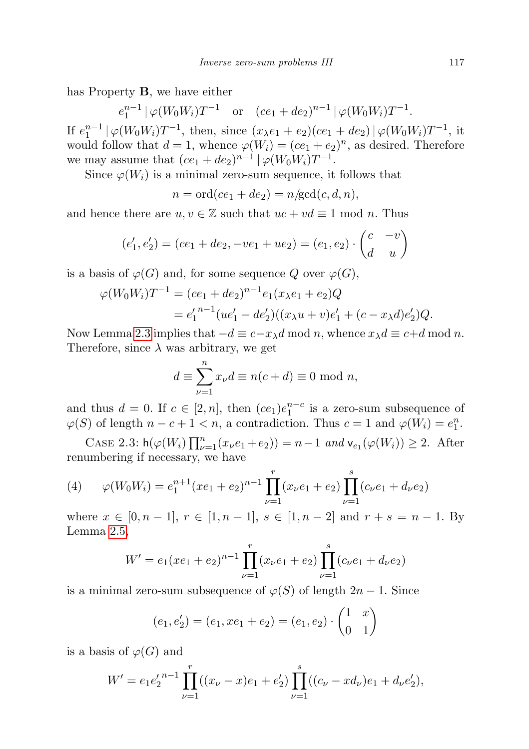has Property B, we have either

 $e_1^{n-1} | \varphi(W_0 W_i) T^{-1}$  or  $(ce_1 + de_2)^{n-1} | \varphi(W_0 W_i) T^{-1}$ .

If  $e_1^{n-1} | \varphi(W_0 W_i) T^{-1}$ , then, since  $(x_{\lambda} e_1 + e_2)(ce_1 + de_2) | \varphi(W_0 W_i) T^{-1}$ , it would follow that  $d = 1$ , whence  $\varphi(W_i) = (ce_1 + e_2)^n$ , as desired. Therefore we may assume that  $(ce_1 + de_2)^{n-1}$   $\varphi(W_0W_i)T^{-1}$ .

Since  $\varphi(W_i)$  is a minimal zero-sum sequence, it follows that

$$
n = \operatorname{ord}(ce_1 + de_2) = n/\operatorname{gcd}(c, d, n),
$$

and hence there are  $u, v \in \mathbb{Z}$  such that  $uc + vd \equiv 1 \mod n$ . Thus

$$
(e'_1, e'_2) = (ce_1 + de_2, -ve_1 + ue_2) = (e_1, e_2) \cdot \begin{pmatrix} c & -v \\ d & u \end{pmatrix}
$$

is a basis of  $\varphi(G)$  and, for some sequence Q over  $\varphi(G)$ ,

$$
\varphi(W_0 W_i) T^{-1} = (ce_1 + de_2)^{n-1} e_1(x_{\lambda} e_1 + e_2) Q
$$
  
=  $e'_1{}^{n-1} (ue'_1 - de'_2) ((x_{\lambda} u + v) e'_1 + (c - x_{\lambda} d) e'_2) Q.$ 

Now Lemma [2.3](#page-4-0) implies that  $-d \equiv c - x_{\lambda}d \mod n$ , whence  $x_{\lambda}d \equiv c+d \mod n$ . Therefore, since  $\lambda$  was arbitrary, we get

$$
d \equiv \sum_{\nu=1}^{n} x_{\nu} d \equiv n(c+d) \equiv 0 \text{ mod } n,
$$

and thus  $d = 0$ . If  $c \in [2, n]$ , then  $(ce_1)e_1^{n-c}$  is a zero-sum subsequence of  $\varphi(S)$  of length  $n - c + 1 < n$ , a contradiction. Thus  $c = 1$  and  $\varphi(W_i) = e_1^n$ .

CASE 2.3:  $h(\varphi(W_i) \prod_{\nu=1}^n (x_\nu e_1 + e_2)) = n - 1$  and  $v_{e_1}(\varphi(W_i)) \geq 2$ . After renumbering if necessary, we have

<span id="page-14-0"></span>(4) 
$$
\varphi(W_0 W_i) = e_1^{n+1} (xe_1 + e_2)^{n-1} \prod_{\nu=1}^r (x_\nu e_1 + e_2) \prod_{\nu=1}^s (c_\nu e_1 + d_\nu e_2)
$$

where  $x \in [0, n-1]$ ,  $r \in [1, n-1]$ ,  $s \in [1, n-2]$  and  $r + s = n - 1$ . By Lemma [2.5,](#page-5-1)

$$
W' = e_1 (xe_1 + e_2)^{n-1} \prod_{\nu=1}^r (x_\nu e_1 + e_2) \prod_{\nu=1}^s (c_\nu e_1 + d_\nu e_2)
$$

is a minimal zero-sum subsequence of  $\varphi(S)$  of length  $2n - 1$ . Since

$$
(e_1, e'_2) = (e_1, xe_1 + e_2) = (e_1, e_2) \cdot \begin{pmatrix} 1 & x \\ 0 & 1 \end{pmatrix}
$$

is a basis of  $\varphi(G)$  and

$$
W' = e_1 e_2'^{n-1} \prod_{\nu=1}^r ((x_\nu - x)e_1 + e_2') \prod_{\nu=1}^s ((c_\nu - xd_\nu)e_1 + d_\nu e_2'),
$$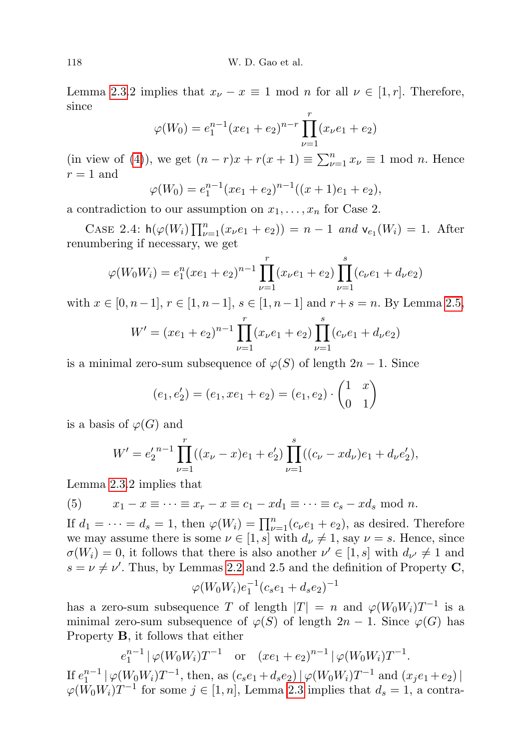Lemma [2.3.](#page-4-0)2 implies that  $x_{\nu} - x \equiv 1 \mod n$  for all  $\nu \in [1, r]$ . Therefore, since

$$
\varphi(W_0) = e_1^{n-1}(xe_1 + e_2)^{n-r} \prod_{\nu=1}^r (x_\nu e_1 + e_2)
$$

(in view of [\(4\)](#page-14-0)), we get  $(n - r)x + r(x + 1) \equiv \sum_{\nu=1}^{n} x_{\nu} \equiv 1 \text{ mod } n$ . Hence  $r = 1$  and

$$
\varphi(W_0) = e_1^{n-1}(xe_1 + e_2)^{n-1}((x+1)e_1 + e_2),
$$

a contradiction to our assumption on  $x_1, \ldots, x_n$  for Case 2.

CASE 2.4:  $h(\varphi(W_i) \prod_{\nu=1}^n (x_{\nu}e_1 + e_2)) = n - 1$  and  $v_{e_1}(W_i) = 1$ . After renumbering if necessary, we get

$$
\varphi(W_0 W_i) = e_1^n (xe_1 + e_2)^{n-1} \prod_{\nu=1}^r (x_\nu e_1 + e_2) \prod_{\nu=1}^s (c_\nu e_1 + d_\nu e_2)
$$

with  $x \in [0, n-1], r \in [1, n-1], s \in [1, n-1]$  and  $r + s = n$ . By Lemma [2.5,](#page-5-1)

$$
W' = (xe_1 + e_2)^{n-1} \prod_{\nu=1}^{r} (x_{\nu}e_1 + e_2) \prod_{\nu=1}^{s} (c_{\nu}e_1 + d_{\nu}e_2)
$$

is a minimal zero-sum subsequence of  $\varphi(S)$  of length  $2n-1$ . Since

$$
(e_1, e'_2) = (e_1, xe_1 + e_2) = (e_1, e_2) \cdot \begin{pmatrix} 1 & x \\ 0 & 1 \end{pmatrix}
$$

is a basis of  $\varphi(G)$  and

$$
W' = e_2'^{n-1} \prod_{\nu=1}^r ((x_\nu - x)e_1 + e_2') \prod_{\nu=1}^s ((c_\nu - xd_\nu)e_1 + d_\nu e_2'),
$$

Lemma [2.3.](#page-4-0)2 implies that

<span id="page-15-0"></span>(5) 
$$
x_1 - x \equiv \cdots \equiv x_r - x \equiv c_1 - xd_1 \equiv \cdots \equiv c_s - xd_s \mod n.
$$

If  $d_1 = \cdots = d_s = 1$ , then  $\varphi(W_i) = \prod_{\nu=1}^n (c_\nu e_1 + e_2)$ , as desired. Therefore we may assume there is some  $\nu \in [1, s]$  with  $d_{\nu} \neq 1$ , say  $\nu = s$ . Hence, since  $\sigma(W_i) = 0$ , it follows that there is also another  $\nu' \in [1, s]$  with  $d_{\nu'} \neq 1$  and  $s = \nu \neq \nu'$ . Thus, by Lemmas [2.2](#page-4-1) and 2.5 and the definition of Property C,

$$
\varphi(W_0 W_i) e_1^{-1} (c_s e_1 + d_s e_2)^{-1}
$$

has a zero-sum subsequence T of length  $|T| = n$  and  $\varphi(W_0 W_i) T^{-1}$  is a minimal zero-sum subsequence of  $\varphi(S)$  of length  $2n-1$ . Since  $\varphi(G)$  has Property B, it follows that either

$$
e_1^{n-1} | \varphi(W_0 W_i) T^{-1}
$$
 or  $(xe_1 + e_2)^{n-1} | \varphi(W_0 W_i) T^{-1}$ .

If  $e_1^{n-1} | \varphi(W_0 W_i) T^{-1}$ , then, as  $(c_s e_1 + d_s e_2) | \varphi(W_0 W_i) T^{-1}$  and  $(x_j e_1 + e_2) |$  $\varphi(W_0W_i)T^{-1}$  for some  $j \in [1, n]$ , Lemma [2.3](#page-4-0) implies that  $d_s = 1$ , a contra-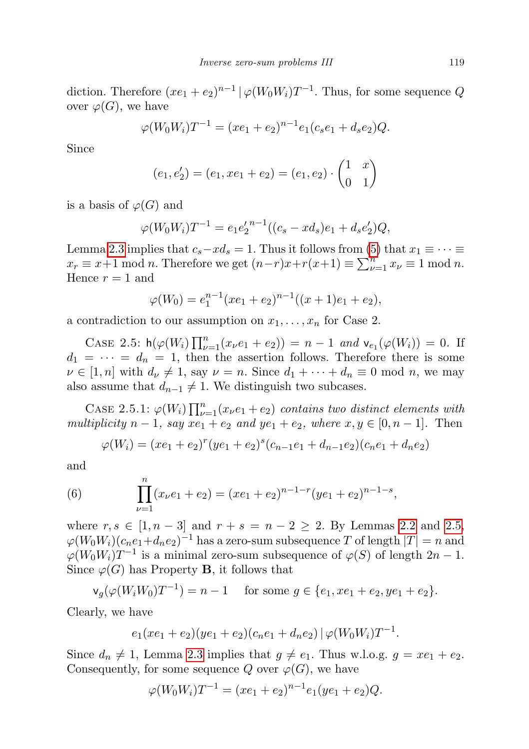diction. Therefore  $(xe_1 + e_2)^{n-1} \mid \varphi(W_0 W_i) T^{-1}$ . Thus, for some sequence Q over  $\varphi(G)$ , we have

$$
\varphi(W_0W_i)T^{-1} = (xe_1 + e_2)^{n-1}e_1(c_se_1 + d_se_2)Q.
$$

Since

$$
(e_1, e'_2) = (e_1, xe_1 + e_2) = (e_1, e_2) \cdot \begin{pmatrix} 1 & x \\ 0 & 1 \end{pmatrix}
$$

is a basis of  $\varphi(G)$  and

$$
\varphi(W_0W_i)T^{-1} = e_1e_2'^{n-1}((c_s - xd_s)e_1 + d_se_2')Q,
$$

Lemma [2.3](#page-4-0) implies that  $c_s - xd_s = 1$ . Thus it follows from [\(5\)](#page-15-0) that  $x_1 \equiv \cdots \equiv$  $x_r \equiv x+1 \mod n$ . Therefore we get  $(n-r)x+r(x+1) \equiv \sum_{\nu=1}^{n} x_{\nu} \equiv 1 \mod n$ . Hence  $r = 1$  and

$$
\varphi(W_0) = e_1^{n-1}(xe_1 + e_2)^{n-1}((x+1)e_1 + e_2),
$$

a contradiction to our assumption on  $x_1, \ldots, x_n$  for Case 2.

CASE 2.5:  $h(\varphi(W_i) \prod_{\nu=1}^n (x_{\nu}e_1 + e_2)) = n - 1$  and  $v_{e_1}(\varphi(W_i)) = 0$ . If  $d_1 = \cdots = d_n = 1$ , then the assertion follows. Therefore there is some  $\nu \in [1, n]$  with  $d_{\nu} \neq 1$ , say  $\nu = n$ . Since  $d_1 + \cdots + d_n \equiv 0 \mod n$ , we may also assume that  $d_{n-1} \neq 1$ . We distinguish two subcases.

CASE 2.5.1:  $\varphi(W_i) \prod_{\nu=1}^n (x_{\nu}e_1 + e_2)$  contains two distinct elements with multiplicity  $n-1$ , say  $xe_1 + e_2$  and  $ye_1 + e_2$ , where  $x, y \in [0, n-1]$ . Then

<span id="page-16-0"></span>
$$
\varphi(W_i) = (xe_1 + e_2)^r (ye_1 + e_2)^s (c_{n-1}e_1 + d_{n-1}e_2)(c_n e_1 + d_n e_2)
$$

and

(6) 
$$
\prod_{\nu=1}^{n} (x_{\nu}e_1 + e_2) = (xe_1 + e_2)^{n-1-r} (ye_1 + e_2)^{n-1-s},
$$

where  $r, s \in [1, n-3]$  and  $r + s = n - 2 \ge 2$ . By Lemmas [2.2](#page-4-1) and [2.5,](#page-5-1)  $\varphi(W_0W_i)(c_ne_1+d_ne_2)^{-1}$  has a zero-sum subsequence  $T$  of length  $|T|=n$  and  $\varphi(W_0W_i)T^{-1}$  is a minimal zero-sum subsequence of  $\varphi(S)$  of length  $2n-1$ . Since  $\varphi(G)$  has Property **B**, it follows that

$$
\mathsf{v}_g(\varphi(W_i W_0) T^{-1}) = n - 1 \quad \text{ for some } g \in \{e_1, x e_1 + e_2, y e_1 + e_2\}.
$$

Clearly, we have

$$
e_1(xe_1+e_2)(ye_1+e_2)(c_ne_1+d_ne_2)|\varphi(W_0W_i)T^{-1}.
$$

Since  $d_n \neq 1$ , Lemma [2.3](#page-4-0) implies that  $g \neq e_1$ . Thus w.l.o.g.  $g = xe_1 + e_2$ . Consequently, for some sequence Q over  $\varphi(G)$ , we have

$$
\varphi(W_0W_i)T^{-1} = (xe_1 + e_2)^{n-1}e_1(ye_1 + e_2)Q.
$$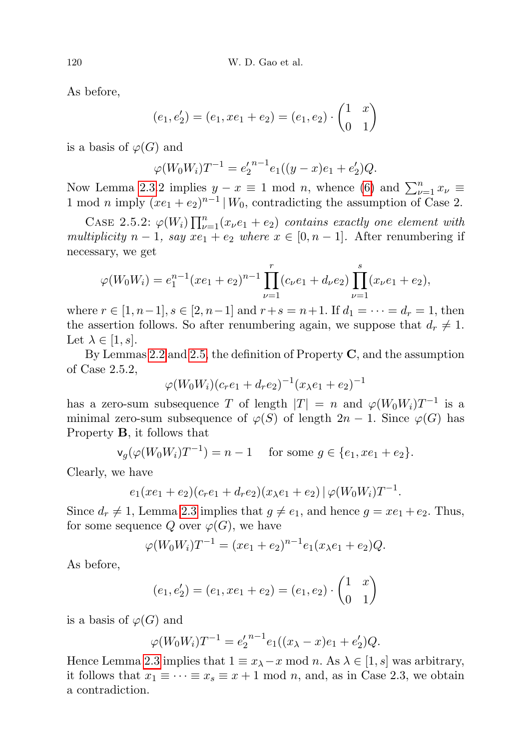As before,

$$
(e_1, e'_2) = (e_1, xe_1 + e_2) = (e_1, e_2) \cdot \begin{pmatrix} 1 & x \\ 0 & 1 \end{pmatrix}
$$

is a basis of  $\varphi(G)$  and

$$
\varphi(W_0W_i)T^{-1} = e_2'^{n-1}e_1((y-x)e_1 + e_2')Q.
$$

Now Lemma [2.3.](#page-4-0)2 implies  $y - x \equiv 1 \mod n$ , whence [\(6\)](#page-16-0) and  $\sum_{\nu=1}^{n} x_{\nu} \equiv$ 1 mod *n* imply  $(xe_1 + e_2)^{n-1}$  |  $W_0$ , contradicting the assumption of Case 2.

CASE 2.5.2:  $\varphi(W_i) \prod_{\nu=1}^n (x_\nu e_1 + e_2)$  contains exactly one element with multiplicity  $n-1$ , say  $xe_1 + e_2$  where  $x \in [0, n-1]$ . After renumbering if necessary, we get

$$
\varphi(W_0 W_i) = e_1^{n-1} (xe_1 + e_2)^{n-1} \prod_{\nu=1}^r (c_\nu e_1 + d_\nu e_2) \prod_{\nu=1}^s (x_\nu e_1 + e_2),
$$

where  $r \in [1, n-1], s \in [2, n-1]$  and  $r+s=n+1$ . If  $d_1 = \cdots = d_r = 1$ , then the assertion follows. So after renumbering again, we suppose that  $d_r \neq 1$ . Let  $\lambda \in [1, s]$ .

By Lemmas [2.2](#page-4-1) and [2.5,](#page-5-1) the definition of Property  $\mathbf C$ , and the assumption of Case 2.5.2,

$$
\varphi(W_0W_i)(c_re_1 + d_re_2)^{-1}(x_{\lambda}e_1 + e_2)^{-1}
$$

has a zero-sum subsequence T of length  $|T| = n$  and  $\varphi(W_0 W_i)T^{-1}$  is a minimal zero-sum subsequence of  $\varphi(S)$  of length  $2n - 1$ . Since  $\varphi(G)$  has Property B, it follows that

$$
\mathsf{v}_g(\varphi(W_0 W_i) T^{-1}) = n - 1
$$
 for some  $g \in \{e_1, xe_1 + e_2\}.$ 

Clearly, we have

$$
e_1(xe_1+e_2)(c_re_1+d_re_2)(x_{\lambda}e_1+e_2)|\varphi(W_0W_i)T^{-1}.
$$

Since  $d_r \neq 1$ , Lemma [2.3](#page-4-0) implies that  $g \neq e_1$ , and hence  $g = xe_1 + e_2$ . Thus, for some sequence Q over  $\varphi(G)$ , we have

$$
\varphi(W_0W_i)T^{-1} = (xe_1 + e_2)^{n-1}e_1(x_{\lambda}e_1 + e_2)Q.
$$

As before,

$$
(e_1, e'_2) = (e_1, xe_1 + e_2) = (e_1, e_2) \cdot \begin{pmatrix} 1 & x \\ 0 & 1 \end{pmatrix}
$$

is a basis of  $\varphi(G)$  and

$$
\varphi(W_0W_i)T^{-1} = e_2'^{n-1}e_1((x_{\lambda}-x)e_1+e_2')Q.
$$

Hence Lemma [2.3](#page-4-0) implies that  $1 \equiv x_{\lambda}-x \mod n$ . As  $\lambda \in [1, s]$  was arbitrary, it follows that  $x_1 \equiv \cdots \equiv x_s \equiv x+1 \mod n$ , and, as in Case 2.3, we obtain a contradiction.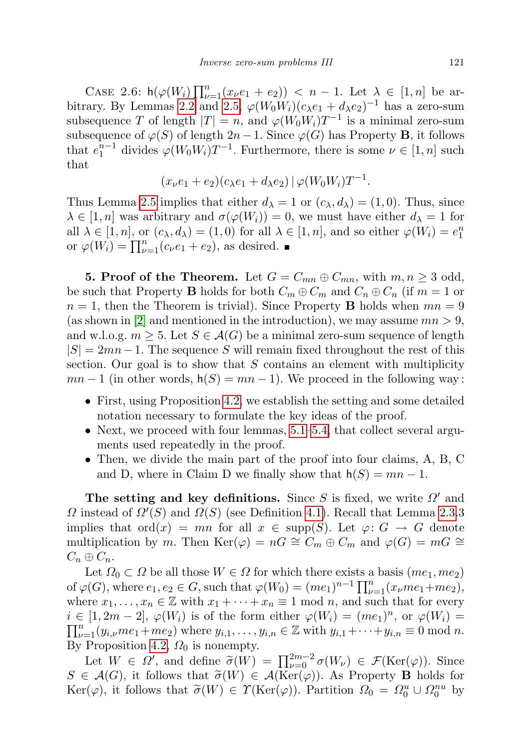CASE 2.6:  $h(\varphi(W_i)\prod_{\nu=1}^n(x_\nu e_1+e_2)) < n-1$ . Let  $\lambda \in [1,n]$  be ar-bitrary. By Lemmas [2.2](#page-4-1) and [2.5,](#page-5-1)  $\varphi(W_0W_i)(c_{\lambda}e_1 + d_{\lambda}e_2)^{-1}$  has a zero-sum subsequence T of length  $|T| = n$ , and  $\varphi(W_0 W_i) T^{-1}$  is a minimal zero-sum subsequence of  $\varphi(S)$  of length  $2n-1$ . Since  $\varphi(G)$  has Property **B**, it follows that  $e_1^{n-1}$  divides  $\varphi(W_0 W_i) T^{-1}$ . Furthermore, there is some  $\nu \in [1, n]$  such that

$$
(x_{\nu}e_1+e_2)(c_{\lambda}e_1+d_{\lambda}e_2)\,|\,\varphi(W_0W_i)T^{-1}.
$$

Thus Lemma [2.5](#page-5-1) implies that either  $d_{\lambda} = 1$  or  $(c_{\lambda}, d_{\lambda}) = (1, 0)$ . Thus, since  $\lambda \in [1, n]$  was arbitrary and  $\sigma(\varphi(W_i)) = 0$ , we must have either  $d_{\lambda} = 1$  for all  $\lambda \in [1, n]$ , or  $(c_{\lambda}, d_{\lambda}) = (1, 0)$  for all  $\lambda \in [1, n]$ , and so either  $\varphi(W_i) = e_1^n$ or  $\varphi(W_i) = \prod_{\nu=1}^n (c_\nu e_1 + e_2)$ , as desired.

<span id="page-18-0"></span>**5. Proof of the Theorem.** Let  $G = C_{mn} \oplus C_{mn}$ , with  $m, n \geq 3$  odd, be such that Property B holds for both  $C_m \oplus C_m$  and  $C_n \oplus C_n$  (if  $m = 1$  or  $n = 1$ , then the Theorem is trivial). Since Property **B** holds when  $mn = 9$ (as shown in [\[2\]](#page-48-8) and mentioned in the introduction), we may assume  $mn > 9$ , and w.l.o.g.  $m \geq 5$ . Let  $S \in \mathcal{A}(G)$  be a minimal zero-sum sequence of length  $|S| = 2mn-1$ . The sequence S will remain fixed throughout the rest of this section. Our goal is to show that  $S$  contains an element with multiplicity  $mn-1$  (in other words,  $h(S) = mn-1$ ). We proceed in the following way:

- First, using Proposition [4.2,](#page-9-1) we establish the setting and some detailed notation necessary to formulate the key ideas of the proof.
- Next, we proceed with four lemmas, [5.1–](#page-21-0)[5.4,](#page-26-0) that collect several arguments used repeatedly in the proof.
- Then, we divide the main part of the proof into four claims, A, B, C and D, where in Claim D we finally show that  $h(S) = mn - 1$ .

The setting and key definitions. Since S is fixed, we write  $\Omega'$  and  $\Omega$  instead of  $\Omega'(S)$  and  $\Omega(S)$  (see Definition [4.1\)](#page-9-3). Recall that Lemma [2.3.](#page-4-0)3 implies that  $\text{ord}(x) = mn$  for all  $x \in \text{supp}(S)$ . Let  $\varphi: G \to G$  denote multiplication by m. Then Ker( $\varphi$ ) = nG ≅  $C_m \oplus C_m$  and  $\varphi(G) = mG$  ≅  $C_n \oplus C_n$ .

Let  $\Omega_0 \subset \Omega$  be all those  $W \in \Omega$  for which there exists a basis  $(me_1, me_2)$ of  $\varphi(G)$ , where  $e_1, e_2 \in G$ , such that  $\varphi(W_0) = (me_1)^{n-1} \prod_{\nu=1}^n (x_{\nu}me_1 + me_2)$ , where  $x_1, \ldots, x_n \in \mathbb{Z}$  with  $x_1 + \cdots + x_n \equiv 1 \mod n$ , and such that for every  $i \in [1, 2m-2], \varphi(W_i)$  is of the form either  $\varphi(W_i) = (me_1)^n$ , or  $\varphi(W_i) =$  $\prod_{\nu=1}^n (y_{i,\nu}me_1+me_2)$  where  $y_{i,1},\ldots,y_{i,n}\in\mathbb{Z}$  with  $y_{i,1}+\cdots+y_{i,n}\equiv 0 \bmod n$ . By Proposition [4.2,](#page-9-1)  $\Omega_0$  is nonempty.

Let  $W \in \Omega'$ , and define  $\widetilde{\sigma}(W) = \prod_{\nu=0}^{2m-2} \sigma(W_{\nu}) \in \mathcal{F}(\text{Ker}(\varphi))$ . Since  $S \in \mathcal{A}(G)$ , it follows that  $\widetilde{\sigma}(W) \in \mathcal{A}(\mathrm{Ker}(\varphi))$ . As Property **B** holds for Ker( $\varphi$ ), it follows that  $\widetilde{\sigma}(W) \in \Upsilon(\mathrm{Ker}(\varphi))$ . Partition  $\Omega_0 = \Omega_0^u \cup \Omega_0^{nu}$  by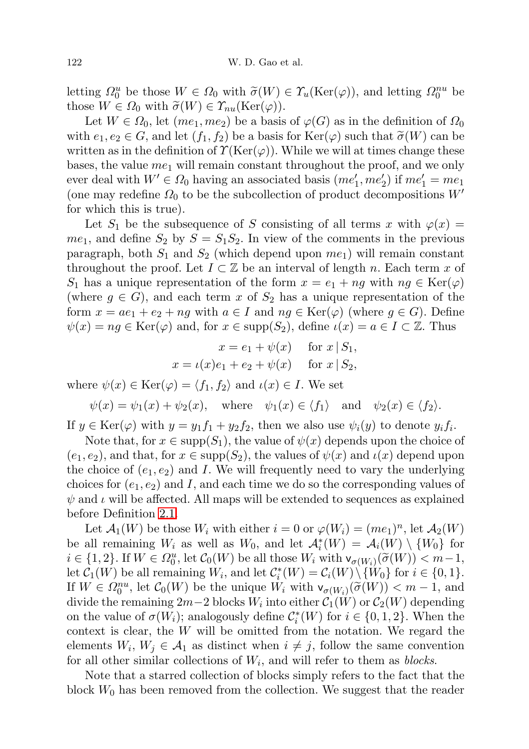letting  $\Omega_0^u$  be those  $W \in \Omega_0$  with  $\widetilde{\sigma}(W) \in \Upsilon_u(\mathrm{Ker}(\varphi))$ , and letting  $\Omega_0^{nu}$  be those  $W \in \Omega_0$  with  $\widetilde{\sigma}(W) \in \Upsilon_u(\mathrm{Ker}(\varphi))$ those  $W \in \Omega_0$  with  $\widetilde{\sigma}(W) \in \Upsilon_{nu}(\mathrm{Ker}(\varphi)).$ 

Let  $W \in \Omega_0$ , let  $(me_1, me_2)$  be a basis of  $\varphi(G)$  as in the definition of  $\Omega_0$ with  $e_1, e_2 \in G$ , and let  $(f_1, f_2)$  be a basis for  $\text{Ker}(\varphi)$  such that  $\tilde{\sigma}(W)$  can be written as in the definition of  $\Upsilon(\text{Ker}(\varphi))$ . While we will at times change these bases, the value  $me<sub>1</sub>$  will remain constant throughout the proof, and we only ever deal with  $W' \in \Omega_0$  having an associated basis  $(me'_1, me'_2)$  if  $me'_1 = me_1$ (one may redefine  $\Omega_0$  to be the subcollection of product decompositions  $W'$ for which this is true).

Let  $S_1$  be the subsequence of S consisting of all terms x with  $\varphi(x) =$  $me_1$ , and define  $S_2$  by  $S = S_1S_2$ . In view of the comments in the previous paragraph, both  $S_1$  and  $S_2$  (which depend upon  $me_1$ ) will remain constant throughout the proof. Let  $I \subset \mathbb{Z}$  be an interval of length n. Each term x of  $S_1$  has a unique representation of the form  $x = e_1 + n g$  with  $n g \in \text{Ker}(\varphi)$ (where  $g \in G$ ), and each term x of  $S_2$  has a unique representation of the form  $x = ae_1 + e_2 + ng$  with  $a \in I$  and  $ng \in \text{Ker}(\varphi)$  (where  $g \in G$ ). Define  $\psi(x) = ng \in \text{Ker}(\varphi)$  and, for  $x \in \text{supp}(S_2)$ , define  $\iota(x) = a \in I \subset \mathbb{Z}$ . Thus

$$
x = e_1 + \psi(x)
$$
 for  $x | S_1$ ,  
\n $x = \iota(x)e_1 + e_2 + \psi(x)$  for  $x | S_2$ ,

where  $\psi(x) \in \text{Ker}(\varphi) = \langle f_1, f_2 \rangle$  and  $\iota(x) \in I$ . We set

 $\psi(x) = \psi_1(x) + \psi_2(x)$ , where  $\psi_1(x) \in \langle f_1 \rangle$  and  $\psi_2(x) \in \langle f_2 \rangle$ .

If  $y \in \text{Ker}(\varphi)$  with  $y = y_1 f_1 + y_2 f_2$ , then we also use  $\psi_i(y)$  to denote  $y_i f_i$ .

Note that, for  $x \in \text{supp}(S_1)$ , the value of  $\psi(x)$  depends upon the choice of  $(e_1, e_2)$ , and that, for  $x \in \text{supp}(S_2)$ , the values of  $\psi(x)$  and  $\iota(x)$  depend upon the choice of  $(e_1, e_2)$  and I. We will frequently need to vary the underlying choices for  $(e_1, e_2)$  and I, and each time we do so the corresponding values of  $\psi$  and  $\iota$  will be affected. All maps will be extended to sequences as explained before Definition [2.1.](#page-4-2)

Let  $\mathcal{A}_1(W)$  be those  $W_i$  with either  $i = 0$  or  $\varphi(W_i) = (me_1)^n$ , let  $\mathcal{A}_2(W)$ be all remaining  $W_i$  as well as  $W_0$ , and let  $\mathcal{A}_i^*(W) = \mathcal{A}_i(W) \setminus \{W_0\}$  for  $i \in \{1,2\}$ . If  $W \in \Omega_0^u$ , let  $\mathcal{C}_0(W)$  be all those  $W_i$  with  $\mathsf{v}_{\sigma(W_i)}(\widetilde{\sigma}(W)) < m-1$ ,<br>let  $\mathcal{C}_v(W)$  be all romaining  $W_{v}$  and let  $\mathcal{C}^*(W) = \mathcal{C}_v(W) \setminus \{W_{v}\}$  for  $i \in \{0, 1\}$ let  $C_1(W)$  be all remaining  $W_i$ , and let  $C_i^*(W) = C_i(W) \setminus \{W_0\}$  for  $i \in \{0, 1\}$ . If  $W \in \Omega_0^{nu}$ , let  $\mathcal{C}_0(W)$  be the unique  $\dot{W}_i$  with  $\mathsf{v}_{\sigma(W_i)}(\tilde{\sigma}(W)) < m-1$ , and<br>divide the remaining  $2m-2$  blocks  $W_i$  into either  $\mathcal{C}_i(W)$  or  $\mathcal{C}_i(W)$  depending divide the remaining  $2m-2$  blocks  $W_i$  into either  $\mathcal{C}_1(W)$  or  $\mathcal{C}_2(W)$  depending on the value of  $\sigma(W_i)$ ; analogously define  $\mathcal{C}_i^*(W)$  for  $i \in \{0, 1, 2\}$ . When the context is clear, the W will be omitted from the notation. We regard the elements  $W_i, W_j \in \mathcal{A}_1$  as distinct when  $i \neq j$ , follow the same convention for all other similar collections of  $W_i$ , and will refer to them as *blocks*.

Note that a starred collection of blocks simply refers to the fact that the block  $W_0$  has been removed from the collection. We suggest that the reader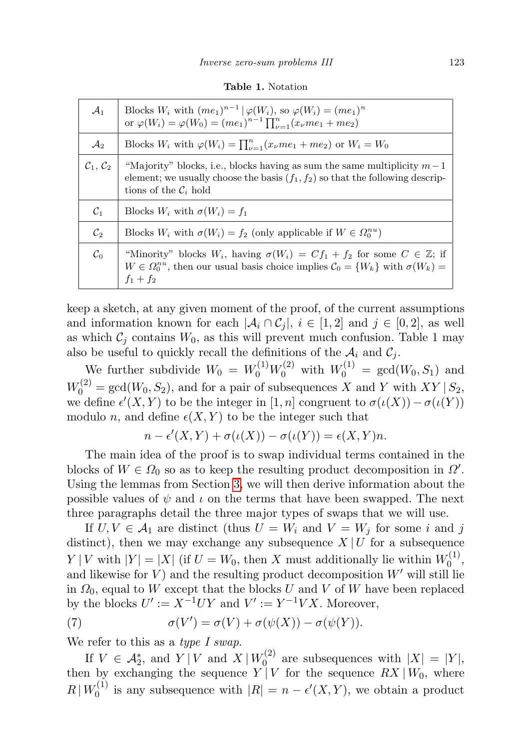Table 1. Notation

| $\mathcal{A}_1$                | Blocks $W_i$ with $(me_1)^{n-1}   \varphi(W_i)$ , so $\varphi(W_i) = (me_1)^n$<br>or $\varphi(W_i) = \varphi(W_0) = (me_1)^{n-1} \prod_{\nu=1}^n (x_\nu me_1 + me_2)$                                                     |
|--------------------------------|---------------------------------------------------------------------------------------------------------------------------------------------------------------------------------------------------------------------------|
| $\mathcal{A}_2$                | Blocks $W_i$ with $\varphi(W_i) = \prod_{\nu=1}^n (x_{\nu}me_1 + me_2)$ or $W_i = W_0$                                                                                                                                    |
| $\mathcal{C}_1, \mathcal{C}_2$ | "Majority" blocks, i.e., blocks having as sum the same multiplicity $m-1$<br>element; we usually choose the basis $(f_1, f_2)$ so that the following descrip-<br>tions of the $\mathcal{C}_i$ hold                        |
| $C_1$                          | Blocks $W_i$ with $\sigma(W_i) = f_1$                                                                                                                                                                                     |
| $\mathcal{C}_2$                | Blocks $W_i$ with $\sigma(W_i) = f_2$ (only applicable if $W \in \Omega_0^{nu}$ )                                                                                                                                         |
| $\mathcal{C}_0$                | "Minority" blocks $W_i$ , having $\sigma(W_i) = Cf_1 + f_2$ for some $C \in \mathbb{Z}$ ; if<br>$W \in \Omega_0^{nu}$ , then our usual basis choice implies $\mathcal{C}_0 = \{W_k\}$ with $\sigma(W_k) =$<br>$f_1 + f_2$ |

keep a sketch, at any given moment of the proof, of the current assumptions and information known for each  $|\mathcal{A}_i \cap \mathcal{C}_j|, i \in [1, 2]$  and  $j \in [0, 2]$ , as well as which  $C_j$  contains  $W_0$ , as this will prevent much confusion. Table 1 may also be useful to quickly recall the definitions of the  $A_i$  and  $C_j$ .

We further subdivide  $W_0 = W_0^{(1)} W_0^{(2)}$  with  $W_0^{(1)} = \text{gcd}(W_0, S_1)$  and  $W_0^{(2)} = \gcd(W_0, S_2)$ , and for a pair of subsequences X and Y with  $XY \mid S_2$ , we define  $\epsilon'(X, Y)$  to be the integer in  $[1, n]$  congruent to  $\sigma(\iota(X)) - \sigma(\iota(Y))$ modulo n, and define  $\epsilon(X, Y)$  to be the integer such that

$$
n - \epsilon'(X, Y) + \sigma(\iota(X)) - \sigma(\iota(Y)) = \epsilon(X, Y)n.
$$

The main idea of the proof is to swap individual terms contained in the blocks of  $W \in \Omega_0$  so as to keep the resulting product decomposition in  $\Omega'$ . Using the lemmas from Section [3,](#page-6-0) we will then derive information about the possible values of  $\psi$  and  $\iota$  on the terms that have been swapped. The next three paragraphs detail the three major types of swaps that we will use.

If  $U, V \in \mathcal{A}_1$  are distinct (thus  $U = W_i$  and  $V = W_j$  for some i and j distinct), then we may exchange any subsequence  $X \mid U$  for a subsequence  $Y | V$  with  $|Y| = |X|$  (if  $U = W_0$ , then X must additionally lie within  $W_0^{(1)}$  $\begin{matrix} 0 \end{matrix}$ , and likewise for  $V$ ) and the resulting product decomposition  $W'$  will still lie in  $\Omega_0$ , equal to W except that the blocks U and V of W have been replaced by the blocks  $U' := X^{-1}UY$  and  $V' := Y^{-1}VX$ . Moreover,

<span id="page-20-0"></span>(7) 
$$
\sigma(V') = \sigma(V) + \sigma(\psi(X)) - \sigma(\psi(Y)).
$$

We refer to this as a type I swap.

If  $V \in \mathcal{A}_2^*$ , and  $Y | V$  and  $X | W_0^{(2)}$  $U_0^{(2)}$  are subsequences with  $|X| = |Y|$ , then by exchanging the sequence  $Y | V$  for the sequence  $RX | W_0$ , where  $R | W_0^{(1)}$  $\epsilon_0^{(1)}$  is any subsequence with  $|R| = n - \epsilon'(X, Y)$ , we obtain a product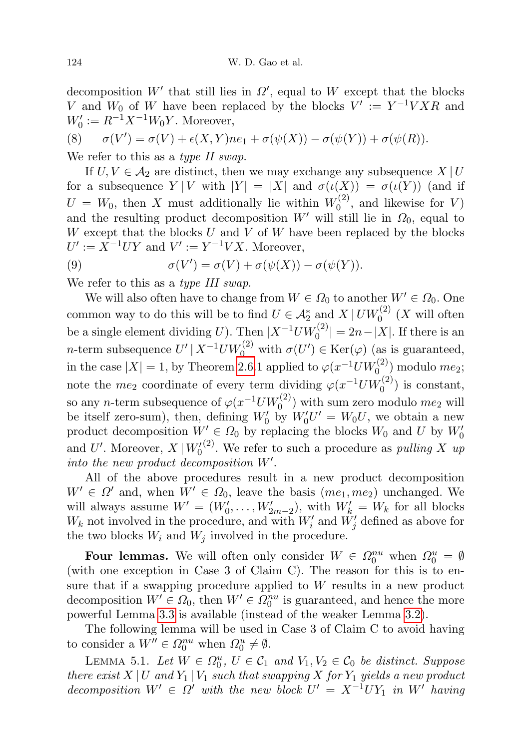decomposition  $W'$  that still lies in  $\Omega'$ , equal to W except that the blocks V and  $W_0$  of W have been replaced by the blocks  $V' := Y^{-1}VXR$  and  $W'_0 := R^{-1}X^{-1}W_0Y$ . Moreover,

$$
(8) \qquad \sigma(V') = \sigma(V) + \epsilon(X,Y)ne_1 + \sigma(\psi(X)) - \sigma(\psi(Y)) + \sigma(\psi(R)).
$$

We refer to this as a type II swap.

If  $U, V \in \mathcal{A}_2$  are distinct, then we may exchange any subsequence  $X | U$ for a subsequence  $Y|V$  with  $|Y| = |X|$  and  $\sigma(\iota(X)) = \sigma(\iota(Y))$  (and if  $U = W_0$ , then X must additionally lie within  $W_0^{(2)}$  $\binom{1}{0}$ , and likewise for V) and the resulting product decomposition  $W'$  will still lie in  $\Omega_0$ , equal to  $W$  except that the blocks  $U$  and  $V$  of  $W$  have been replaced by the blocks  $U' := X^{-1}UY$  and  $V' := Y^{-1}VX$ . Moreover,

(9) 
$$
\sigma(V') = \sigma(V) + \sigma(\psi(X)) - \sigma(\psi(Y)).
$$

We refer to this as a *type III swap*.

We will also often have to change from  $W \in \Omega_0$  to another  $W' \in \Omega_0$ . One common way to do this will be to find  $U \in \mathcal{A}_2^*$  and  $X \mid UW_0^{(2)}(X)$  will often be a single element dividing U). Then  $|X^{-1}UW_0^{(2)}| = 2n - |X|$ . If there is an *n*-term subsequence  $U' | X^{-1} U W_0^{(2)}$  with  $\sigma(U') \in \text{Ker}(\varphi)$  (as is guaranteed, in the case  $|X| = 1$ , by Theorem [2.6.](#page-5-2)1 applied to  $\varphi(x^{-1}UW_0^{(2)})$  modulo  $me_2$ ; note the  $me_2$  coordinate of every term dividing  $\varphi(x^{-1}UW_0^{(2)})$  is constant, so any *n*-term subsequence of  $\varphi(x^{-1}UW_0^{(2)})$  with sum zero modulo  $me_2$  will be itself zero-sum), then, defining  $W'_0$  by  $W'_0U' = W_0U$ , we obtain a new product decomposition  $W' \in \Omega_0$  by replacing the blocks  $W_0$  and U by  $W'_0$ and U'. Moreover,  $X | W_0'(2)$ . We refer to such a procedure as *pulling* X up into the new product decomposition  $W'$ .

All of the above procedures result in a new product decomposition  $W' \in \Omega'$  and, when  $W' \in \Omega_0$ , leave the basis  $(me_1, me_2)$  unchanged. We will always assume  $W' = (W'_0, \ldots, W'_{2m-2})$ , with  $W'_k = W_k$  for all blocks  $W_k$  not involved in the procedure, and with  $W'_i$  and  $\tilde{W}'_j$  defined as above for the two blocks  $W_i$  and  $W_j$  involved in the procedure.

Four lemmas. We will often only consider  $W \in \Omega_0^{nu}$  when  $\Omega_0^u = \emptyset$ (with one exception in Case 3 of Claim C). The reason for this is to ensure that if a swapping procedure applied to  $W$  results in a new product decomposition  $W' \in \Omega_0$ , then  $W' \in \Omega_0^{nu}$  is guaranteed, and hence the more powerful Lemma [3.3](#page-7-0) is available (instead of the weaker Lemma [3.2\)](#page-7-1).

The following lemma will be used in Case 3 of Claim C to avoid having to consider a  $W'' \in \Omega_0^{nu}$  when  $\Omega_0^u \neq \emptyset$ .

<span id="page-21-0"></span>LEMMA 5.1. Let  $W \in \Omega_0^u$ ,  $U \in \mathcal{C}_1$  and  $V_1, V_2 \in \mathcal{C}_0$  be distinct. Suppose there exist  $X \mid U$  and  $Y_1 \mid V_1$  such that swapping  $X$  for  $Y_1$  yields a new product decomposition  $W' \in \Omega'$  with the new block  $U' = X^{-1}UY_1$  in W' having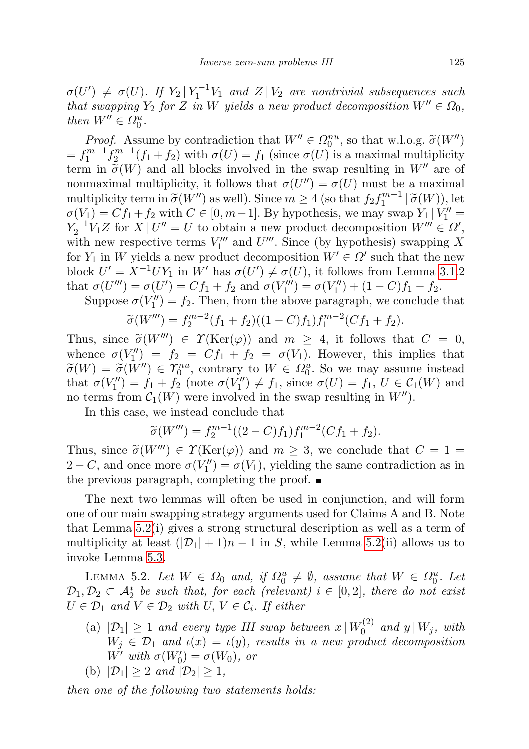$\sigma(U') \neq \sigma(U)$ . If  $Y_2 | Y_1^{-1}V_1$  and  $Z | V_2$  are nontrivial subsequences such that swapping  $Y_2$  for Z in W yields a new product decomposition  $W'' \in \Omega_0$ , then  $W'' \in \Omega_0^u$ .

*Proof.* Assume by contradiction that  $W'' \in \Omega_0^{nu}$ , so that w.l.o.g.  $\tilde{\sigma}(W'')$ <br>  $m-1$   $\epsilon^{m-1}(\epsilon_{k+1}, \epsilon_k)$  with  $\sigma(U) = \epsilon_k$  (since  $\sigma(U)$ ) is a maximal multiplicity  $=f_1^{m-1}f_2^{m-1}(f_1+f_2)$  with  $\sigma(U)=f_1$  (since  $\sigma(U)$ ) is a maximal multiplicity term in  $\tilde{\sigma}(W)$  and all blocks involved in the swap resulting in  $W''$  are of nonmaximal multiplicity, it follows that  $\sigma(U'') = \sigma(U)$  must be a maximal multiplicity term in  $\tilde{\sigma}(W'')$  as well). Since  $m \geq 4$  (so that  $f_2 f_1^{m-1} | \tilde{\sigma}(W)$ ), let  $\sigma(V_1) = C f_1 + f_2$  with  $C \in [0, m-1]$ . By hypothesis, we may swap  $V_1 | V'' =$  $\sigma(V_1) = Cf_1 + f_2$  with  $C \in [0, m-1]$ . By hypothesis, we may swap  $Y_1 | V_1'' =$  $Y_2^{-1}V_1Z$  for  $X|U''=U$  to obtain a new product decomposition  $W''' \in \Omega'$ , with new respective terms  $V_1'''$  and  $U'''$ . Since (by hypothesis) swapping X for  $Y_1$  in W yields a new product decomposition  $W' \in \Omega'$  such that the new block  $U' = X^{-1}UY_1$  in W' has  $\sigma(U') \neq \sigma(U)$ , it follows from Lemma [3.1.](#page-6-1)2 that  $\sigma(U''') = \sigma(U') = Cf_1 + f_2$  and  $\sigma(V''_1) = \sigma(V''_1) + (1 - C)f_1 - f_2$ .

Suppose  $\sigma(V_1'') = f_2$ . Then, from the above paragraph, we conclude that

$$
\widetilde{\sigma}(W''') = f_2^{m-2}(f_1 + f_2)((1 - C)f_1)f_1^{m-2}(Cf_1 + f_2).
$$

Thus, since  $\tilde{\sigma}(W'') \in \Upsilon(\text{Ker}(\varphi))$  and  $m \geq 4$ , it follows that  $C = 0$ ,<br>whence  $\sigma(V'') = f_1 - Cf_1 + f_2 = \sigma(V_1)$ . However, this implies that whence  $\sigma(V_1'') = f_2 = Cf_1 + f_2 = \sigma(V_1)$ . However, this implies that  $\widetilde{\sigma}(W) = \widetilde{\sigma}(W'') \in \widetilde{\mathcal{X}}_0^{nu}$ , contrary to  $W \in \Omega_0^u$ . So we may assume instead<br>that  $\sigma(V'') = f + f$  (note  $\sigma(V'') \neq f$  since  $\sigma(U) = f$ ,  $U \in \mathcal{C}_c(W)$  and that  $\sigma(V''_1) = f_1 + f_2$  (note  $\sigma(V''_1) \neq f_1$ , since  $\sigma(U) = f_1, U \in C_1(W)$  and no terms from  $C_1(W)$  were involved in the swap resulting in  $W''$ ).

In this case, we instead conclude that

$$
\widetilde{\sigma}(W''') = f_2^{m-1}((2-C)f_1)f_1^{m-2}(Cf_1 + f_2).
$$

Thus, since  $\tilde{\sigma}(W''') \in \Upsilon(\text{Ker}(\varphi))$  and  $m \geq 3$ , we conclude that  $C = 1 =$ 2 – C, and once more  $\sigma(V_1'') = \sigma(V_1)$ , yielding the same contradiction as in the previous paragraph, completing the proof.  $\blacksquare$ 

The next two lemmas will often be used in conjunction, and will form one of our main swapping strategy arguments used for Claims A and B. Note that Lemma [5.2\(](#page-22-0)i) gives a strong structural description as well as a term of multiplicity at least  $(|\mathcal{D}_1| + 1)n - 1$  in S, while Lemma [5.2\(](#page-22-0)ii) allows us to invoke Lemma [5.3.](#page-26-1)

<span id="page-22-0"></span>LEMMA 5.2. Let  $W \in \Omega_0$  and, if  $\Omega_0^u \neq \emptyset$ , assume that  $W \in \Omega_0^u$ . Let  $\mathcal{D}_1, \mathcal{D}_2 \subset \mathcal{A}_2^*$  be such that, for each (relevant)  $i \in [0,2]$ , there do not exist  $U \in \mathcal{D}_1$  and  $V \in \mathcal{D}_2$  with  $U, V \in \mathcal{C}_i$ . If either

- (a)  $|\mathcal{D}_1| \geq 1$  and every type III swap between  $x \, | \, W_0^{(2)}$  $\int_0^{(2)}$  and  $y \mid W_j$ , with  $W_j \in \mathcal{D}_1$  and  $\iota(x) = \iota(y)$ , results in a new product decomposition  $W'$  with  $\sigma(W'_0) = \sigma(W_0)$ , or
- (b)  $|\mathcal{D}_1| \geq 2$  and  $|\mathcal{D}_2| \geq 1$ ,

then one of the following two statements holds: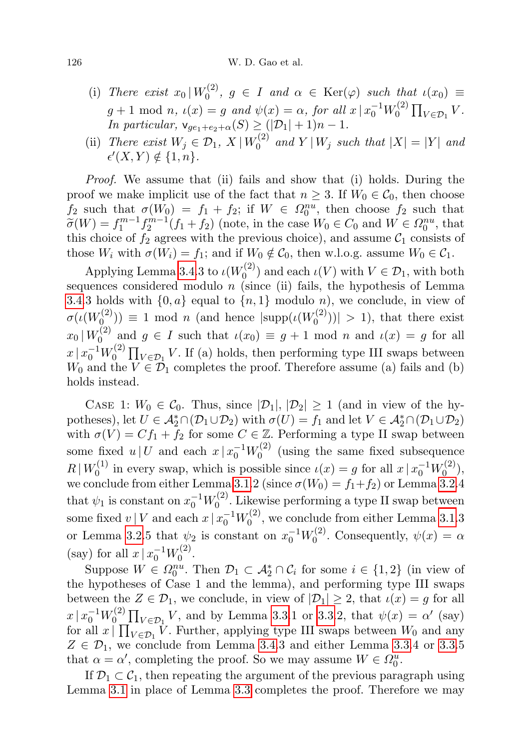#### 126 W. D. Gao et al.

- (i) There exist  $x_0 \, | \, W_0^{(2)}$  $\tau_0^{(2)}$ ,  $g \in I$  and  $\alpha \in \text{Ker}(\varphi)$  such that  $\iota(x_0) \equiv$  $g + 1 \text{ mod } n$ ,  $\iota(x) = g$  and  $\psi(x) = \alpha$ , for all  $x \mid x_0^{-1} W_0^{(2)}$  $\prod_{V \in \mathcal{D}_1} V$ . In particular,  $\mathsf{v}_{ge_1+e_2+\alpha}(S) \geq (|\mathcal{D}_1|+1)n - 1$ .
- (ii) There exist  $W_j \in \mathcal{D}_1$ ,  $X | W_0^{(2)}$  $\int_0^{(2)}$  and  $Y|W_j$  such that  $|X|=|Y|$  and  $\epsilon'(X,Y) \notin \{1,n\}.$

Proof. We assume that (ii) fails and show that (i) holds. During the proof we make implicit use of the fact that  $n \geq 3$ . If  $W_0 \in C_0$ , then choose  $f_2$  such that  $\sigma(W_0) = f_1 + f_2$ ; if  $W \in \Omega_0^{nu}$ , then choose  $f_2$  such that  $\widetilde{\sigma}(W) = f_1^{m-1} f_2^{m-1} (f_1 + f_2)$  (note, in the case  $W_0 \in C_0$  and  $W \in \Omega_0^{nu}$ , that this choice of the arrows with the provisus choice) and assume  $C_0$  consists of this choice of  $f_2$  agrees with the previous choice), and assume  $\mathcal{C}_1$  consists of those  $W_i$  with  $\sigma(W_i) = f_1$ ; and if  $W_0 \notin C_0$ , then w.l.o.g. assume  $W_0 \in C_1$ .

Applying Lemma [3.4.](#page-7-2)3 to  $\iota(W_0^{(2)})$  $\mathcal{O}_0^{(2)}$  and each  $\iota(V)$  with  $V \in \mathcal{D}_1$ , with both sequences considered modulo  $n$  (since (ii) fails, the hypothesis of Lemma [3.4.](#page-7-2)3 holds with  $\{0, a\}$  equal to  $\{n, 1\}$  modulo n), we conclude, in view of  $\sigma(\iota(W^{(2)}_0$  $\mathcal{O}^{(2)}(n)$  = 1 mod *n* (and hence  $|\text{supp}(\iota(W_0^{(2)}))|$  $\binom{1}{0}$  (1) > 1), that there exist  $x_0\,|\,W^{(2)}_0$  $u_0^{(2)}$  and  $g \in I$  such that  $u(x_0) \equiv g + 1 \mod n$  and  $u(x) = g$  for all  $x \, | \, x_0^{-1} W_0^{(2)}$  $\prod_{\mathcal{U} \in \mathcal{D}_1} V$ . If (a) holds, then performing type III swaps between  $W_0$  and the  $V \in \mathcal{D}_1$  completes the proof. Therefore assume (a) fails and (b) holds instead.

CASE 1:  $W_0 \in \mathcal{C}_0$ . Thus, since  $|\mathcal{D}_1|, |\mathcal{D}_2| \geq 1$  (and in view of the hypotheses), let  $U \in \mathcal{A}_2^* \cap (\mathcal{D}_1 \cup \mathcal{D}_2)$  with  $\sigma(U) = f_1$  and let  $V \in \mathcal{A}_2^* \cap (\mathcal{D}_1 \cup \mathcal{D}_2)$ with  $\sigma(V) = Cf_1 + f_2$  for some  $C \in \mathbb{Z}$ . Performing a type II swap between some fixed  $u \mid U$  and each  $x \mid x_0^{-1}W_0^{(2)}$  $\int_0^{(2)}$  (using the same fixed subsequence  $R | W_0^{(1)}$  $v_0^{(1)}$  in every swap, which is possible since  $\iota(x) = g$  for all  $x \mid x_0^{-1}W_0^{(2)}$  $\binom{1}{0}$ , we conclude from either Lemma [3.1.](#page-6-1)2 (since  $\sigma(W_0) = f_1 + f_2$ ) or Lemma [3.2.](#page-7-1)4 that  $\psi_1$  is constant on  $x_0^{-1}W_0^{(2)}$  $_{0}^{\left( 2\right) }$ . Likewise performing a type II swap between some fixed  $v \mid V$  and each  $x \mid x_0^{-1} W_0^{(2)}$  $U_0^{(2)}$ , we conclude from either Lemma [3.1.](#page-6-1)3 or Lemma [3.2.](#page-7-1)5 that  $\psi_2$  is constant on  $x_0^{-1}W_0^{(2)}$  $v_0^{(2)}$ . Consequently,  $\psi(x) = \alpha$ (say) for all  $x \mid x_0^{-1}W_0^{(2)}$  $0^{(2)}$ .

Suppose  $W \in \Omega_0^{nu}$ . Then  $\mathcal{D}_1 \subset \mathcal{A}_2^* \cap \mathcal{C}_i$  for some  $i \in \{1,2\}$  (in view of the hypotheses of Case 1 and the lemma), and performing type III swaps between the  $Z \in \mathcal{D}_1$ , we conclude, in view of  $|\mathcal{D}_1| \geq 2$ , that  $\iota(x) = g$  for all  $x \, | \, x_0^{-1} W_0^{(2)}$  $\int_0^{(2)} \prod_{V \in \mathcal{D}_1} V$ , and by Lemma [3.3.](#page-7-0)1 or 3.3.2, that  $\psi(x) = \alpha'$  (say) for all  $x \mid \prod_{V \in \mathcal{D}_1} V$ . Further, applying type III swaps between  $W_0$  and any  $Z \in \mathcal{D}_1$ , we conclude from Lemma [3.4.](#page-7-2)3 and either Lemma [3.3.](#page-7-0)4 or 3.3.5 that  $\alpha = \alpha'$ , completing the proof. So we may assume  $W \in \Omega_0^u$ .

If  $\mathcal{D}_1 \subset \mathcal{C}_1$ , then repeating the argument of the previous paragraph using Lemma [3.1](#page-6-1) in place of Lemma [3.3](#page-7-0) completes the proof. Therefore we may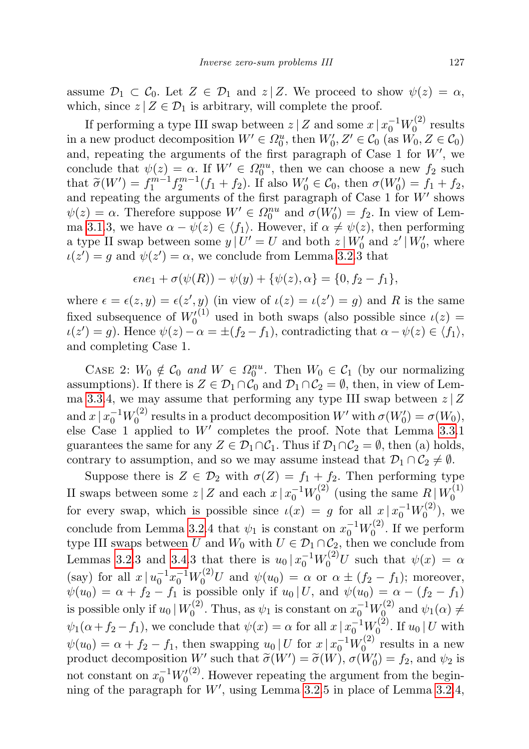assume  $\mathcal{D}_1 \subset \mathcal{C}_0$ . Let  $Z \in \mathcal{D}_1$  and  $z \mid Z$ . We proceed to show  $\psi(z) = \alpha$ , which, since  $z | Z \in \mathcal{D}_1$  is arbitrary, will complete the proof.

If performing a type III swap between  $z \mid Z$  and some  $x \mid x_0^{-1}W_0^{(2)}$  $\int_0^{(2)}$  results in a new product decomposition  $W' \in \Omega_0^u$ , then  $W'_0, Z' \in \mathcal{C}_0$  (as  $W_0, Z \in \mathcal{C}_0$ ) and, repeating the arguments of the first paragraph of Case 1 for  $W'$ , we conclude that  $\psi(z) = \alpha$ . If  $W' \in \Omega_0^{nu}$ , then we can choose a new  $f_2$  such that  $\tilde{\sigma}(W') = f_1^{m-1} f_2^{m-1} (f_1 + f_2)$ . If also  $W'_0 \in \mathcal{C}_0$ , then  $\sigma(W'_0) = f_1 + f_2$ , and repeating the arguments of the first paragraph of Case 1 for  $W'$  shows  $\psi(z) = \alpha$ . Therefore suppose  $W' \in \Omega_0^{nu}$  and  $\sigma(W'_0) = f_2$ . In view of Lem-ma [3.1.](#page-6-1)3, we have  $\alpha - \psi(z) \in \langle f_1 \rangle$ . However, if  $\alpha \neq \psi(z)$ , then performing a type II swap between some  $y | U' = U$  and both  $z | W'_{0}$  and  $z' | W'_{0}$ , where  $u(z') = g$  and  $\psi(z') = \alpha$ , we conclude from Lemma [3.2.](#page-7-1)3 that

$$
\epsilon n e_1 + \sigma(\psi(R)) - \psi(y) + {\psi(z), \alpha} = {0, f_2 - f_1},
$$

where  $\epsilon = \epsilon(z, y) = \epsilon(z', y)$  (in view of  $\iota(z) = \iota(z') = g$ ) and R is the same fixed subsequence of  $W_0^{(1)}$  used in both swaps (also possible since  $\iota(z)$  =  $\iota(z') = g$ ). Hence  $\psi(z) - \alpha = \pm (f_2 - f_1)$ , contradicting that  $\alpha - \psi(z) \in \langle f_1 \rangle$ , and completing Case 1.

CASE 2:  $W_0 \notin \mathcal{C}_0$  and  $W \in \Omega_0^{nu}$ . Then  $W_0 \in \mathcal{C}_1$  (by our normalizing assumptions). If there is  $Z \in \mathcal{D}_1 \cap \mathcal{C}_0$  and  $\mathcal{D}_1 \cap \mathcal{C}_2 = \emptyset$ , then, in view of Lem-ma [3.3.](#page-7-0)4, we may assume that performing any type III swap between  $z \mid Z$ and  $x \, | \, x_0^{-1} W_0^{(2)}$ <sup>(2)</sup> results in a product decomposition W' with  $\sigma(W'_0) = \sigma(W_0)$ , else Case 1 applied to  $W'$  completes the proof. Note that Lemma [3.3.](#page-7-0)1 guarantees the same for any  $Z \in \mathcal{D}_1 \cap \mathcal{C}_1$ . Thus if  $\mathcal{D}_1 \cap \mathcal{C}_2 = \emptyset$ , then (a) holds, contrary to assumption, and so we may assume instead that  $\mathcal{D}_1 \cap \mathcal{C}_2 \neq \emptyset$ .

Suppose there is  $Z \in \mathcal{D}_2$  with  $\sigma(Z) = f_1 + f_2$ . Then performing type II swaps between some  $z \mid Z$  and each  $x \mid x_0^{-1}W_0^{(2)}$  $\mathcal{L}_0^{(2)}$  (using the same  $R \mid W_0^{(1)}$  $\mathbf 0$ for every swap, which is possible since  $\iota(x) = g$  for all  $x \mid x_0^{-1}W_0^{(2)}$  $\binom{z}{0}$ , we conclude from Lemma [3.2.](#page-7-1)4 that  $\psi_1$  is constant on  $x_0^{-1}W_0^{(2)}$  $\int_0^{(2)}$ . If we perform type III swaps between U and  $W_0$  with  $U \in \mathcal{D}_1 \cap \mathcal{C}_2$ , then we conclude from Lemmas [3.2.](#page-7-1)3 and [3.4.](#page-7-2)3 that there is  $u_0 | x_0^{-1} W_0^{(2)} U$  such that  $\psi(x) = \alpha$ (say) for all  $x | u_0^{-1} x_0^{-1} W_0^{(2)} U$  and  $\psi(u_0) = \alpha$  or  $\alpha \pm (f_2 - f_1)$ ; moreover,  $\psi(u_0) = \alpha + f_2 - f_1$  is possible only if  $u_0 | U$ , and  $\psi(u_0) = \alpha - (f_2 - f_1)$ is possible only if  $u_0 | W_0^{(2)}$  $y_0^{(2)}$ . Thus, as  $\psi_1$  is constant on  $x_0^{-1}W_0^{(2)}$  $\psi_0^{(2)}$  and  $\psi_1(\alpha) \neq$  $\psi_1(\alpha + f_2 - f_1)$ , we conclude that  $\psi(x) = \alpha$  for all  $x \mid x_0^{-1}W_0^{(2)}$  $\int_0^{(2)}$ . If  $u_0 \mid U$  with  $\psi(u_0) = \alpha + f_2 - f_1$ , then swapping  $u_0 | U$  for  $x | x_0^{-1} W_0^{(2)}$  $v_0^{(2)}$  results in a new product decomposition W' such that  $\widetilde{\sigma}(W') = \widetilde{\sigma}(W)$ ,  $\sigma(W'_0) = f_2$ , and  $\psi_2$  is not constant on  $x_0^{-1}W_0^{(2)}$ . However repeating the argument from the beginning of the paragraph for  $W'$ , using Lemma [3.2.](#page-7-1)5 in place of Lemma 3.2.4,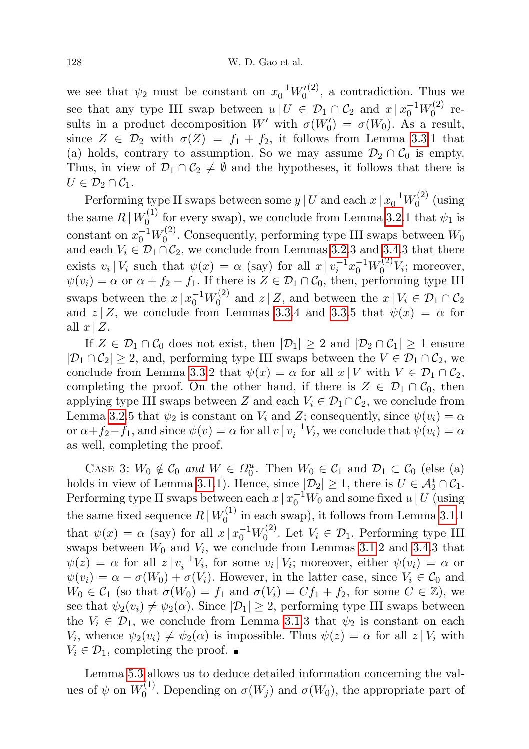we see that  $\psi_2$  must be constant on  $x_0^{-1}W_0^{(2)}$ , a contradiction. Thus we see that any type III swap between  $u | U \in \mathcal{D}_1 \cap \mathcal{C}_2$  and  $x | x_0^{-1} W_0^{(2)}$  $_{0}^{(2)}$  results in a product decomposition W' with  $\sigma(W'_0) = \sigma(W_0)$ . As a result, since  $Z \in \mathcal{D}_2$  with  $\sigma(Z) = f_1 + f_2$ , it follows from Lemma [3.3.](#page-7-0)1 that (a) holds, contrary to assumption. So we may assume  $\mathcal{D}_2 \cap \mathcal{C}_0$  is empty. Thus, in view of  $\mathcal{D}_1 \cap \mathcal{C}_2 \neq \emptyset$  and the hypotheses, it follows that there is  $U\in\mathcal{D}_2\cap\mathcal{C}_1.$ 

Performing type II swaps between some  $y \,|\, U$  and each  $x \,|\, x_0^{-1} W_0^{(2)}$  $\int_0^{(2)}$  (using the same  $R | W_0^{(1)}$  $\psi_0^{(1)}$  for every swap), we conclude from Lemma [3.2.](#page-7-1)1 that  $\psi_1$  is constant on  $x_0^{-1}W_0^{(2)}$  $U_0^{(2)}$ . Consequently, performing type III swaps between  $W_0$ and each  $V_i \in \mathcal{D}_1 \cap \mathcal{C}_2$ , we conclude from Lemmas [3.2.](#page-7-1)3 and [3.4.](#page-7-2)3 that there exists  $v_i | V_i$  such that  $\psi(x) = \alpha$  (say) for all  $x | v_i^{-1} x_0^{-1} W_0^{(2)} V_i$ ; moreover,  $\psi(v_i) = \alpha$  or  $\alpha + f_2 - f_1$ . If there is  $Z \in \mathcal{D}_1 \cap \mathcal{C}_0$ , then, performing type III swaps between the  $x \mid x_0^{-1}W_0^{(2)}$  $\mathcal{Z}_0^{(2)}$  and  $z \mid Z$ , and between the  $x \mid V_i \in \mathcal{D}_1 \cap \mathcal{C}_2$ and  $z | Z$ , we conclude from Lemmas [3.3.](#page-7-0)4 and 3.3.5 that  $\psi(x) = \alpha$  for all  $x \mid Z$ .

If  $Z \in \mathcal{D}_1 \cap \mathcal{C}_0$  does not exist, then  $|\mathcal{D}_1| \geq 2$  and  $|\mathcal{D}_2 \cap \mathcal{C}_1| \geq 1$  ensure  $|\mathcal{D}_1 \cap \mathcal{C}_2| \geq 2$ , and, performing type III swaps between the  $V \in \mathcal{D}_1 \cap \mathcal{C}_2$ , we conclude from Lemma [3.3.](#page-7-0)2 that  $\psi(x) = \alpha$  for all  $x \mid V$  with  $V \in \mathcal{D}_1 \cap \mathcal{C}_2$ , completing the proof. On the other hand, if there is  $Z \in \mathcal{D}_1 \cap \mathcal{C}_0$ , then applying type III swaps between Z and each  $V_i \in \mathcal{D}_1 \cap \mathcal{C}_2$ , we conclude from Lemma [3.2.](#page-7-1)5 that  $\psi_2$  is constant on  $V_i$  and Z; consequently, since  $\psi(v_i) = \alpha$ or  $\alpha + f_2 - f_1$ , and since  $\psi(v) = \alpha$  for all  $v \mid v_i^{-1}V_i$ , we conclude that  $\psi(v_i) = \alpha$ as well, completing the proof.

CASE 3:  $W_0 \notin C_0$  and  $W \in \Omega_0^u$ . Then  $W_0 \in C_1$  and  $\mathcal{D}_1 \subset C_0$  (else (a) holds in view of Lemma [3.1.](#page-6-1)1). Hence, since  $|\mathcal{D}_2| \geq 1$ , there is  $U \in \mathcal{A}_2^* \cap \mathcal{C}_1$ . Performing type II swaps between each  $x \mid x_0^{-1}W_0$  and some fixed  $u \mid U$  (using the same fixed sequence  $R | W_0^{(1)}$  $\binom{1}{0}$  in each swap), it follows from Lemma [3.1.](#page-6-1)1 that  $\psi(x) = \alpha$  (say) for all  $x \mid x_0^{-1} W_0^{(2)}$  $U_0^{(2)}$ . Let  $V_i \in \mathcal{D}_1$ . Performing type III swaps between  $W_0$  and  $V_i$ , we conclude from Lemmas [3.1.](#page-6-1)2 and [3.4.](#page-7-2)3 that  $\psi(z) = \alpha$  for all  $z | v_i^{-1} V_i$ , for some  $v_i | V_i$ ; moreover, either  $\psi(v_i) = \alpha$  or  $\psi(v_i) = \alpha - \sigma(W_0) + \sigma(V_i)$ . However, in the latter case, since  $V_i \in \mathcal{C}_0$  and  $W_0 \in C_1$  (so that  $\sigma(W_0) = f_1$  and  $\sigma(V_i) = Cf_1 + f_2$ , for some  $C \in \mathbb{Z}$ ), we see that  $\psi_2(v_i) \neq \psi_2(\alpha)$ . Since  $|\mathcal{D}_1| \geq 2$ , performing type III swaps between the  $V_i \in \mathcal{D}_1$ , we conclude from Lemma [3.1.](#page-6-1)3 that  $\psi_2$  is constant on each  $V_i$ , whence  $\psi_2(v_i) \neq \psi_2(\alpha)$  is impossible. Thus  $\psi(z) = \alpha$  for all  $z | V_i$  with  $V_i \in \mathcal{D}_1$ , completing the proof.  $\blacksquare$ 

Lemma [5.3](#page-26-1) allows us to deduce detailed information concerning the values of  $\psi$  on  $W_0^{(1)}$  $\sigma^{(1)}$ . Depending on  $\sigma(W_j)$  and  $\sigma(W_0)$ , the appropriate part of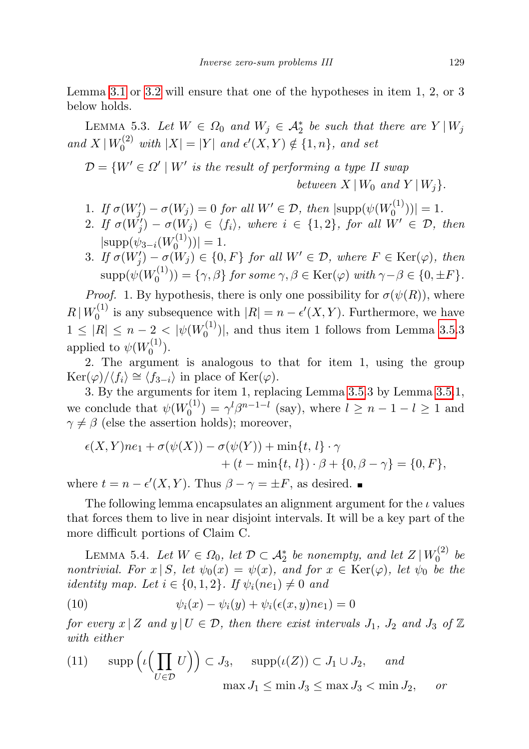Lemma [3.1](#page-6-1) or [3.2](#page-7-1) will ensure that one of the hypotheses in item 1, 2, or 3 below holds.

<span id="page-26-1"></span>LEMMA 5.3. Let  $W \in \Omega_0$  and  $W_j \in \mathcal{A}_2^*$  be such that there are  $Y | W_j$ and  $X | W_0^{(2)}$  with  $|X| = |Y|$  and  $\epsilon'(X, Y) \notin \{1, n\}$ , and set

 $\mathcal{D} = \{W' \in \Omega' \mid W' \text{ is the result of performing a type II swap}\}$ 

between  $X | W_0$  and  $Y | W_i$ .

- 1. If  $\sigma(W'_j) \sigma(W_j) = 0$  for all  $W' \in \mathcal{D}$ , then  $|\text{supp}(\psi(W_0^{(1)})|)$  $\binom{1}{0}$ ) = 1.
- 2. If  $\sigma(W'_j) \sigma(W_j) \in \langle f_i \rangle$ , where  $i \in \{1,2\}$ , for all  $W' \in \mathcal{D}$ , then  $|\text{supp}(\psi_{3-i}(W^{(1)}_0))|$  $\binom{1}{0}$ ) = 1.
- 3. If  $\sigma(W'_j) \sigma(W_j) \in \{0, F\}$  for all  $W' \in \mathcal{D}$ , where  $F \in \text{Ker}(\varphi)$ , then  $\mathrm{supp}(\psi(W_0^{(1)}$  $\gamma_0^{(1)}$ ) = { $\gamma$ ,  $\beta$ } for some  $\gamma$ ,  $\beta \in \text{Ker}(\varphi)$  with  $\gamma - \beta \in \{0, \pm F\}.$

*Proof.* 1. By hypothesis, there is only one possibility for  $\sigma(\psi(R))$ , where  $R | W_0^{(1)}$  $\epsilon_0^{(1)}$  is any subsequence with  $|R| = n - \epsilon'(X, Y)$ . Furthermore, we have  $1 \leq |R| \leq n-2 < |\psi(W_0^{(1)})|$  $0^{(1)}$ , and thus item 1 follows from Lemma [3.5.](#page-8-0)3 applied to  $\psi(W_0^{(1)}$  $\binom{1}{0}$ .

2. The argument is analogous to that for item 1, using the group  $\text{Ker}(\varphi)/\langle f_i \rangle \cong \langle f_{3-i} \rangle$  in place of  $\text{Ker}(\varphi)$ .

3. By the arguments for item 1, replacing Lemma [3.5.](#page-8-0)3 by Lemma [3.5.](#page-8-0)1, we conclude that  $\psi(W_0^{(1)})$  $\gamma_0^{(1)} = \gamma^{l} \beta^{n-1-l}$  (say), where  $l \geq n-1-l \geq 1$  and  $\gamma \neq \beta$  (else the assertion holds); moreover,

$$
\epsilon(X,Y)ne_1 + \sigma(\psi(X)) - \sigma(\psi(Y)) + \min\{t, l\} \cdot \gamma
$$
  
+ 
$$
(t - \min\{t, l\}) \cdot \beta + \{0, \beta - \gamma\} = \{0, F\},\
$$

where  $t = n - \epsilon'(X, Y)$ . Thus  $\beta - \gamma = \pm F$ , as desired.

The following lemma encapsulates an alignment argument for the  $\iota$  values that forces them to live in near disjoint intervals. It will be a key part of the more difficult portions of Claim C.

<span id="page-26-0"></span>LEMMA 5.4. Let  $W \in \Omega_0$ , let  $\mathcal{D} \subset \mathcal{A}_2^*$  be nonempty, and let  $Z | W_0^{(2)}$  $b_0^{(2)}$  be nontrivial. For  $x | S$ , let  $\psi_0(x) = \psi(x)$ , and for  $x \in \text{Ker}(\varphi)$ , let  $\psi_0$  be the identity map. Let  $i \in \{0,1,2\}$ . If  $\psi_i(ne_1) \neq 0$  and

<span id="page-26-2"></span>(10) 
$$
\psi_i(x) - \psi_i(y) + \psi_i(\epsilon(x, y)ne_1) = 0
$$

for every  $x | Z$  and  $y | U \in \mathcal{D}$ , then there exist intervals  $J_1$ ,  $J_2$  and  $J_3$  of  $\mathbb{Z}$ with either

<span id="page-26-3"></span>(11) 
$$
\operatorname{supp} (\iota \left( \prod_{U \in \mathcal{D}} U \right)) \subset J_3
$$
,  $\operatorname{supp} (\iota(Z)) \subset J_1 \cup J_2$ , and   
 $\max J_1 \le \min J_3 \le \max J_3 < \min J_2$ , or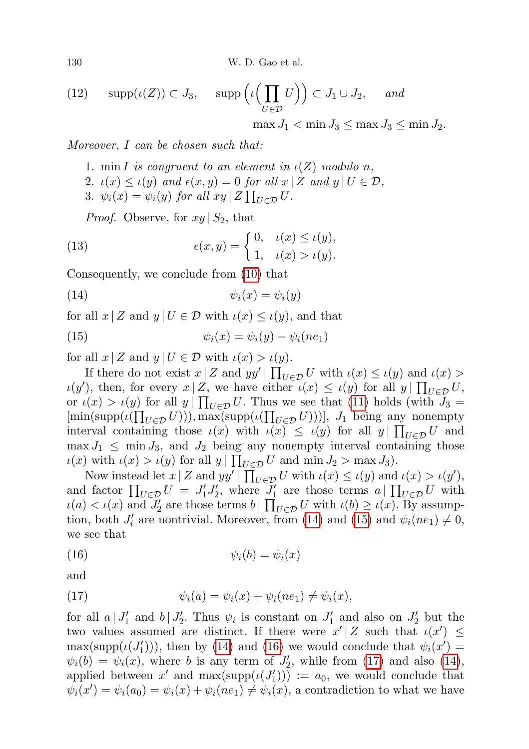130 W. D. Gao et al.

<span id="page-27-4"></span>(12) 
$$
\operatorname{supp}(\iota(Z)) \subset J_3
$$
,  $\operatorname{supp}(\iota\left(\prod_{U \in \mathcal{D}} U\right)) \subset J_1 \cup J_2$ , and   
 $\operatorname{supp}(\iota(Z)) \subset J_3$ ,  $\operatorname{supp}(\iota(Z)) \subset J_1 \subset J_2$ .

 $\max J_1 < \min J_3 \leq \max J_3 \leq \min J_2$ .

Moreover, I can be chosen such that:

- 1. min I is congruent to an element in  $\iota(Z)$  modulo n,
- 2.  $u(x) \leq u(y)$  and  $\epsilon(x, y) = 0$  for all  $x \mid Z$  and  $y \mid U \in \mathcal{D}$ ,
- 3.  $\psi_i(x) = \psi_i(y)$  for all  $xy \mid Z \prod_{U \in \mathcal{D}} U$ .

<span id="page-27-5"></span><span id="page-27-0"></span>*Proof.* Observe, for  $xy | S_2$ , that

(13) 
$$
\epsilon(x,y) = \begin{cases} 0, & \iota(x) \le \iota(y), \\ 1, & \iota(x) > \iota(y). \end{cases}
$$

Consequently, we conclude from [\(10\)](#page-26-2) that

$$
(14) \qquad \qquad \psi_i(x) = \psi_i(y)
$$

for all  $x | Z$  and  $y | U \in \mathcal{D}$  with  $\iota(x) \leq \iota(y)$ , and that

<span id="page-27-1"></span>(15) 
$$
\psi_i(x) = \psi_i(y) - \psi_i(ne_1)
$$

for all  $x \mid Z$  and  $y \mid U \in \mathcal{D}$  with  $\iota(x) > \iota(y)$ .

If there do not exist  $x \mid Z$  and  $yy' \mid \prod_{U \in \mathcal{D}} U$  with  $\iota(x) \leq \iota(y)$  and  $\iota(x)$  $\iota(y')$ , then, for every  $x | Z$ , we have either  $\iota(x) \leq \iota(y)$  for all  $y | \prod_{U \in \mathcal{D}} U$ , or  $\iota(x) > \iota(y)$  for all  $y \mid \prod_{U \in \mathcal{D}} U$ . Thus we see that [\(11\)](#page-26-3) holds (with  $J_3 =$  $[\min(\text{supp}(\iota(\prod_{U \in \mathcal{D}} U))), \max(\text{supp}(\iota(\prod_{U \in \mathcal{D}} U)))], J_1$  being any nonempty interval containing those  $\iota(x)$  with  $\iota(x) \leq \iota(y)$  for all  $y \mid \prod_{U \in \mathcal{D}} U$  and  $\max J_1 \leq \min J_3$ , and  $J_2$  being any nonempty interval containing those  $u(x)$  with  $u(x) > u(y)$  for all  $y \mid \prod_{U \in \mathcal{D}} U$  and  $\min J_2 > \max J_3$ ).

Now instead let  $x | Z$  and  $yy' | \prod_{U \in \mathcal{D}} U$  with  $\iota(x) \leq \iota(y)$  and  $\iota(x) > \iota(y')$ , and factor  $\prod_{U \in \mathcal{D}} U = J_1' J_2'$ , where  $J_1'$  are those terms  $a \mid \prod_{U \in \mathcal{D}} U$  with  $u(a) < u(x)$  and  $J'_2$  are those terms  $b \mid \prod_{U \in \mathcal{D}} U$  with  $u(b) \ge u(x)$ . By assumption, both  $J_i'$  are nontrivial. Moreover, from [\(14\)](#page-27-0) and [\(15\)](#page-27-1) and  $\psi_i(ne_1) \neq 0$ , we see that

<span id="page-27-2"></span>
$$
(16) \qquad \qquad \psi_i(b) = \psi_i(x)
$$

and

<span id="page-27-3"></span>(17) 
$$
\psi_i(a) = \psi_i(x) + \psi_i(ne_1) \neq \psi_i(x),
$$

for all  $a | J'_1$  and  $b | J'_2$ . Thus  $\psi_i$  is constant on  $J'_1$  and also on  $J'_2$  but the two values assumed are distinct. If there were  $x'|Z$  such that  $\iota(x') \leq$  $\max(\text{supp}(\iota(J'_1))),$  then by [\(14\)](#page-27-0) and [\(16\)](#page-27-2) we would conclude that  $\psi_i(x') =$  $\psi_i(b) = \psi_i(x)$ , where b is any term of  $J'_2$ , while from [\(17\)](#page-27-3) and also [\(14\)](#page-27-0), applied between x' and  $\max(\text{supp}(\iota(J'_1))) := a_0$ , we would conclude that  $\psi_i(x') = \psi_i(a_0) = \psi_i(x) + \psi_i(ne_1) \neq \psi_i(x)$ , a contradiction to what we have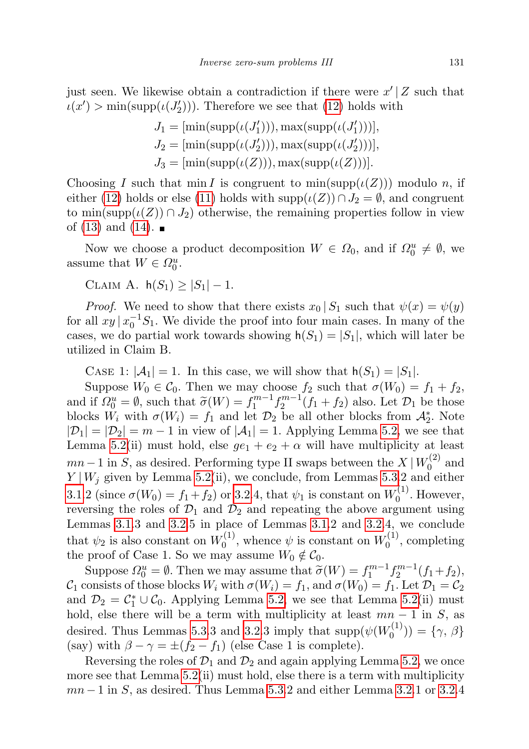just seen. We likewise obtain a contradiction if there were  $x' | Z$  such that  $u(x') > \min(\text{supp}(u(J'_2)))$ . Therefore we see that [\(12\)](#page-27-4) holds with

$$
J_1 = [\min(\text{supp}(\iota(J'_1))), \max(\text{supp}(\iota(J'_1)))],
$$
  
\n
$$
J_2 = [\min(\text{supp}(\iota(J'_2))), \max(\text{supp}(\iota(J'_2)))],
$$
  
\n
$$
J_3 = [\min(\text{supp}(\iota(Z))), \max(\text{supp}(\iota(Z)))].
$$

Choosing I such that min I is congruent to  $\min(\text{supp}(\iota(Z)))$  modulo n, if either [\(12\)](#page-27-4) holds or else [\(11\)](#page-26-3) holds with supp $(\iota(Z)) \cap J_2 = \emptyset$ , and congruent to min(supp $(\iota(Z)) \cap J_2$ ) otherwise, the remaining properties follow in view of  $(13)$  and  $(14)$ .

Now we choose a product decomposition  $W \in \Omega_0$ , and if  $\Omega_0^u \neq \emptyset$ , we assume that  $W \in \Omega_0^u$ .

CLAIM A.  $h(S_1) \geq |S_1| - 1$ .

*Proof.* We need to show that there exists  $x_0 | S_1$  such that  $\psi(x) = \psi(y)$ for all  $xy | x_0^{-1} S_1$ . We divide the proof into four main cases. In many of the cases, we do partial work towards showing  $h(S_1) = |S_1|$ , which will later be utilized in Claim B.

CASE 1:  $|\mathcal{A}_1| = 1$ . In this case, we will show that  $h(S_1) = |S_1|$ .

Suppose  $W_0 \in \mathcal{C}_0$ . Then we may choose  $f_2$  such that  $\sigma(W_0) = f_1 + f_2$ , and if  $\Omega_0^u = \emptyset$ , such that  $\widetilde{\sigma}(W) = f_1^{m-1} f_2^{m-1}(f_1 + f_2)$  also. Let  $\mathcal{D}_1$  be those<br>blocks  $W_1$  with  $\sigma(W_1) = f_2$  and let  $\mathcal{D}_2$  be all other blocks from  $\Lambda^*$ . Note blocks  $W_i$  with  $\sigma(W_i) = f_1$  and let  $\mathcal{D}_2$  be all other blocks from  $\mathcal{A}_2^*$ . Note  $|\mathcal{D}_1| = |\mathcal{D}_2| = m - 1$  in view of  $|\mathcal{A}_1| = 1$ . Applying Lemma [5.2,](#page-22-0) we see that Lemma [5.2\(](#page-22-0)ii) must hold, else  $ge_1 + e_2 + \alpha$  will have multiplicity at least  $mn-1$  in S, as desired. Performing type II swaps between the  $X | W_0^{(2)}$  $\int_0^{(\lambda)}$  and  $Y | W_j$  given by Lemma [5.2\(](#page-22-0)ii), we conclude, from Lemmas [5.3.](#page-26-1)2 and either [3.1.](#page-6-1)2 (since  $\sigma(W_0) = f_1 + f_2$ ) or [3.2.](#page-7-1)4, that  $\psi_1$  is constant on  $W_0^{(1)}$  $\int_0^{(1)}$ . However, reversing the roles of  $\mathcal{D}_1$  and  $\mathcal{D}_2$  and repeating the above argument using Lemmas [3.1.](#page-6-1)3 and [3.2.](#page-7-1)5 in place of Lemmas [3.1.](#page-6-1)2 and [3.2.](#page-7-1)4, we conclude that  $\psi_2$  is also constant on  $W_0^{(1)}$  $v_0^{(1)}$ , whence  $\psi$  is constant on  $W_0^{(1)}$  $\binom{1}{0}$ , completing the proof of Case 1. So we may assume  $W_0 \notin \mathcal{C}_0$ .

Suppose  $\Omega_0^u = \emptyset$ . Then we may assume that  $\widetilde{\sigma}(W) = f_1^{m-1} f_2^{m-1}(f_1+f_2)$ ,  $\mathcal{C}_1$  consists of those blocks  $W_i$  with  $\sigma(W_i) = f_1$ , and  $\sigma(W_0) = f_1$ . Let  $\mathcal{D}_1 = \mathcal{C}_2$ and  $\mathcal{D}_2 = \mathcal{C}_1^* \cup \mathcal{C}_0$ . Applying Lemma [5.2,](#page-22-0) we see that Lemma [5.2\(](#page-22-0)ii) must hold, else there will be a term with multiplicity at least  $mn - 1$  in S, as desired. Thus Lemmas [5.3.](#page-26-1)3 and [3.2.](#page-7-1)3 imply that  $\text{supp}(\psi(W_0^{(1)})$  $(1^{\prime}(1^{\prime})) = \{ \gamma, \beta \}$ (say) with  $\beta - \gamma = \pm (f_2 - f_1)$  (else Case 1 is complete).

Reversing the roles of  $\mathcal{D}_1$  and  $\mathcal{D}_2$  and again applying Lemma [5.2,](#page-22-0) we once more see that Lemma [5.2\(](#page-22-0)ii) must hold, else there is a term with multiplicity  $mn-1$  in S, as desired. Thus Lemma [5.3.](#page-26-1)2 and either Lemma [3.2.](#page-7-1)1 or 3.2.4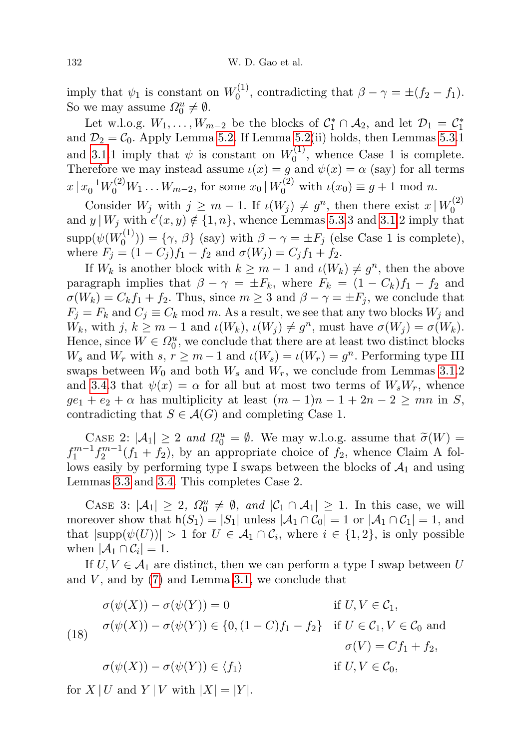imply that  $\psi_1$  is constant on  $W_0^{(1)}$  $\eta_0^{(1)}$ , contradicting that  $\beta - \gamma = \pm (f_2 - f_1)$ . So we may assume  $\Omega_0^u \neq \emptyset$ .

Let w.l.o.g.  $W_1, \ldots, W_{m-2}$  be the blocks of  $C_1^* \cap A_2$ , and let  $\mathcal{D}_1 = C_1^*$ and  $\mathcal{D}_2 = \mathcal{C}_0$ . Apply Lemma [5.2.](#page-22-0) If Lemma [5.2\(](#page-22-0)ii) holds, then Lemmas [5.3.](#page-26-1)1 and [3.1.](#page-6-1)1 imply that  $\psi$  is constant on  $W_0^{(1)}$  $\binom{1}{0}$ , whence Case 1 is complete. Therefore we may instead assume  $\iota(x) = g$  and  $\psi(x) = \alpha$  (say) for all terms  $x \mid x_0^{-1} W_0^{(2)} W_1 \dots W_{m-2}$ , for some  $x_0 \mid W_0^{(2)}$  with  $\iota(x_0) \equiv g + 1 \mod n$ .

Consider  $W_j$  with  $j \geq m-1$ . If  $\iota(W_j) \neq g^n$ , then there exist  $x \mid W_0^{(2)}$  $\mathbf 0$ and  $y \mid W_j$  with  $\epsilon'(x, y) \notin \{1, n\}$ , whence Lemmas [5.3.](#page-26-1)3 and [3.1.](#page-6-1)2 imply that  $\mathrm{supp}(\psi(W_0^{(1)}$  $S_0^{(1)}$ ) = { $\gamma$ ,  $\beta$ } (say) with  $\beta - \gamma = \pm F_j$  (else Case 1 is complete), where  $F_j = (1 - C_j)f_1 - f_2$  and  $\sigma(W_j) = C_jf_1 + f_2$ .

If  $W_k$  is another block with  $k \geq m-1$  and  $\iota(W_k) \neq g^n$ , then the above paragraph implies that  $\beta - \gamma = \pm F_k$ , where  $F_k = (1 - C_k)f_1 - f_2$  and  $\sigma(W_k) = C_k f_1 + f_2$ . Thus, since  $m \geq 3$  and  $\beta - \gamma = \pm F_j$ , we conclude that  $F_j = F_k$  and  $C_j \equiv C_k \mod m$ . As a result, we see that any two blocks  $W_j$  and  $W_k$ , with  $j, k \geq m-1$  and  $\iota(W_k), \iota(W_j) \neq g^n$ , must have  $\sigma(W_j) = \sigma(W_k)$ . Hence, since  $W \in \Omega_0^u$ , we conclude that there are at least two distinct blocks  $W_s$  and  $W_r$  with  $s, r \geq m-1$  and  $\iota(W_s) = \iota(W_r) = g^n$ . Performing type III swaps between  $W_0$  and both  $W_s$  and  $W_r$ , we conclude from Lemmas [3.1.](#page-6-1)2 and [3.4.](#page-7-2)3 that  $\psi(x) = \alpha$  for all but at most two terms of  $W_s W_r$ , whence  $ge_1 + e_2 + \alpha$  has multiplicity at least  $(m-1)n - 1 + 2n - 2 \ge mn$  in S, contradicting that  $S \in \mathcal{A}(G)$  and completing Case 1.

CASE 2:  $|\mathcal{A}_1| \ge 2$  and  $\Omega_0^u = \emptyset$ . We may w.l.o.g. assume that  $\widetilde{\sigma}(W) = f_1^{m-1} f_2^{m-1}(f_1 + f_2)$ , by an appropriate choice of  $f_2$ , whence Claim A follows easily by performing type I swaps between the blocks of  $A_1$  and using Lemmas [3.3](#page-7-0) and [3.4.](#page-7-2) This completes Case 2.

CASE 3:  $|\mathcal{A}_1| \geq 2$ ,  $\Omega_0^u \neq \emptyset$ , and  $|\mathcal{C}_1 \cap \mathcal{A}_1| \geq 1$ . In this case, we will moreover show that  $h(S_1) = |S_1|$  unless  $|\mathcal{A}_1 \cap \mathcal{C}_0| = 1$  or  $|\mathcal{A}_1 \cap \mathcal{C}_1| = 1$ , and that  $|\text{supp}(\psi(U))| > 1$  for  $U \in \mathcal{A}_1 \cap \mathcal{C}_i$ , where  $i \in \{1, 2\}$ , is only possible when  $|\mathcal{A}_1 \cap \mathcal{C}_i| = 1$ .

If  $U, V \in \mathcal{A}_1$  are distinct, then we can perform a type I swap between U and  $V$ , and by  $(7)$  and Lemma [3.1,](#page-6-1) we conclude that

<span id="page-29-0"></span>(18) 
$$
\sigma(\psi(X)) - \sigma(\psi(Y)) = 0 \qquad \text{if } U, V \in \mathcal{C}_1,
$$
  
\n
$$
\sigma(\psi(X)) - \sigma(\psi(Y)) \in \{0, (1 - C)f_1 - f_2\} \quad \text{if } U \in \mathcal{C}_1, V \in \mathcal{C}_0 \text{ and }
$$
  
\n
$$
\sigma(V) = Cf_1 + f_2,
$$
  
\n
$$
\sigma(\psi(X)) - \sigma(\psi(Y)) \in \langle f_1 \rangle \qquad \text{if } U, V \in \mathcal{C}_0,
$$

for  $X | U$  and  $Y | V$  with  $|X| = |Y|$ .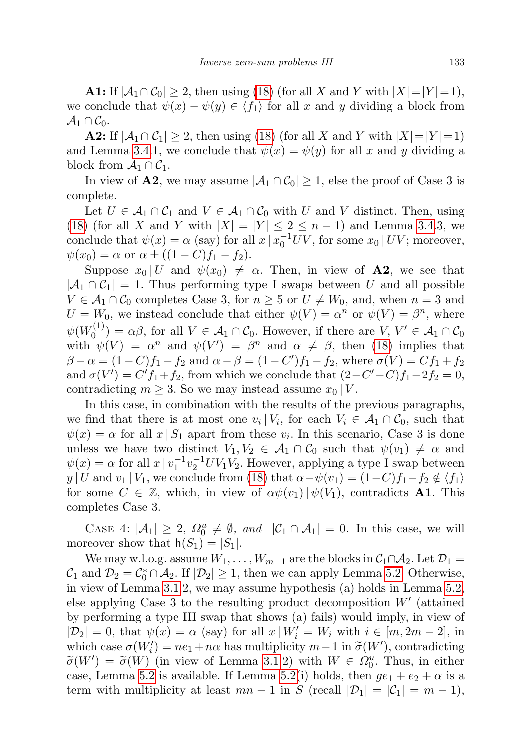**A1:** If  $|A_1 \cap C_0| \geq 2$ , then using [\(18\)](#page-29-0) (for all X and Y with  $|X|=|Y|=1$ ), we conclude that  $\psi(x) - \psi(y) \in \langle f_1 \rangle$  for all x and y dividing a block from  $\mathcal{A}_1 \cap \mathcal{C}_0.$ 

**A2:** If  $|A_1 \cap C_1| \geq 2$ , then using [\(18\)](#page-29-0) (for all X and Y with  $|X|=|Y|=1$ ) and Lemma [3.4.](#page-7-2)1, we conclude that  $\psi(x) = \psi(y)$  for all x and y dividing a block from  $\mathcal{A}_1 \cap \mathcal{C}_1$ .

In view of A2, we may assume  $|A_1 \cap C_0| \geq 1$ , else the proof of Case 3 is complete.

Let  $U \in \mathcal{A}_1 \cap \mathcal{C}_1$  and  $V \in \mathcal{A}_1 \cap \mathcal{C}_0$  with U and V distinct. Then, using [\(18\)](#page-29-0) (for all X and Y with  $|X| = |Y| \le 2 \le n-1$ ) and Lemma [3.4.](#page-7-2)3, we conclude that  $\psi(x) = \alpha$  (say) for all  $x \mid x_0^{-1}UV$ , for some  $x_0 \mid UV$ ; moreover,  $\psi(x_0) = \alpha$  or  $\alpha \pm ((1 - C)f_1 - f_2)$ .

Suppose  $x_0 | U$  and  $\psi(x_0) \neq \alpha$ . Then, in view of **A2**, we see that  $|A_1 \cap C_1| = 1$ . Thus performing type I swaps between U and all possible  $V \in \mathcal{A}_1 \cap \mathcal{C}_0$  completes Case 3, for  $n \geq 5$  or  $U \neq W_0$ , and, when  $n = 3$  and  $U = W_0$ , we instead conclude that either  $\psi(V) = \alpha^n$  or  $\psi(V) = \beta^n$ , where  $\psi(W^{(1)}_0$  $O_0^{(1)}$  =  $\alpha\beta$ , for all  $V \in \mathcal{A}_1 \cap \mathcal{C}_0$ . However, if there are  $V, V' \in \mathcal{A}_1 \cap \mathcal{C}_0$ with  $\psi(V) = \alpha^n$  and  $\psi(V') = \beta^n$  and  $\alpha \neq \beta$ , then [\(18\)](#page-29-0) implies that  $\beta - \alpha = (1 - C)f_1 - f_2$  and  $\alpha - \beta = (1 - C')f_1 - f_2$ , where  $\sigma(V) = Cf_1 + f_2$ and  $\sigma(V') = C' f_1 + f_2$ , from which we conclude that  $(2 - C' - C) f_1 - 2f_2 = 0$ , contradicting  $m \geq 3$ . So we may instead assume  $x_0 | V$ .

In this case, in combination with the results of the previous paragraphs, we find that there is at most one  $v_i | V_i$ , for each  $V_i \in \mathcal{A}_1 \cap \mathcal{C}_0$ , such that  $\psi(x) = \alpha$  for all  $x | S_1$  apart from these  $v_i$ . In this scenario, Case 3 is done unless we have two distinct  $V_1, V_2 \in \mathcal{A}_1 \cap \mathcal{C}_0$  such that  $\psi(v_1) \neq \alpha$  and  $\psi(x) = \alpha$  for all  $x \mid v_1^{-1} v_2^{-1} UV_1 V_2$ . However, applying a type I swap between y | U and  $v_1 | V_1$ , we conclude from [\(18\)](#page-29-0) that  $\alpha - \psi(v_1) = (1-C)f_1 - f_2 \notin \langle f_1 \rangle$ for some  $C \in \mathbb{Z}$ , which, in view of  $\alpha \psi(v_1) | \psi(V_1)$ , contradicts **A1**. This completes Case 3.

CASE 4:  $|\mathcal{A}_1| \geq 2$ ,  $\Omega_0^u \neq \emptyset$ , and  $|\mathcal{C}_1 \cap \mathcal{A}_1| = 0$ . In this case, we will moreover show that  $h(S_1) = |S_1|$ .

We may w.l.o.g. assume  $W_1, \ldots, W_{m-1}$  are the blocks in  $C_1 \cap A_2$ . Let  $\mathcal{D}_1 =$  $\mathcal{C}_1$  and  $\mathcal{D}_2 = \mathcal{C}_0^* \cap \mathcal{A}_2$ . If  $|\mathcal{D}_2| \geq 1$ , then we can apply Lemma [5.2.](#page-22-0) Otherwise, in view of Lemma [3.1.](#page-6-1)2, we may assume hypothesis (a) holds in Lemma [5.2,](#page-22-0) else applying Case  $3$  to the resulting product decomposition  $W'$  (attained by performing a type III swap that shows (a) fails) would imply, in view of  $|\mathcal{D}_2| = 0$ , that  $\psi(x) = \alpha$  (say) for all  $x | W_i' = W_i$  with  $i \in [m, 2m - 2]$ , in which case  $\sigma(W'_i) = ne_1 + n\alpha$  has multiplicity  $m-1$  in  $\tilde{\sigma}(W')$ , contradicting  $\tilde{\sigma}(W') = \tilde{\sigma}(W')$  (in view of Lamma 3.1.2) with  $W \subset \Omega^u$ . Thus, in either  $\widetilde{\sigma}(W') = \widetilde{\sigma}(W)$  (in view of Lemma [3.1.](#page-6-1)2) with  $W \in \Omega_0^u$ . Thus, in either case, Lemma [5.2](#page-22-0) is available. If Lemma [5.2\(](#page-22-0)i) holds, then  $ge_1 + e_2 + \alpha$  is a term with multiplicity at least  $mn - 1$  in S (recall  $|\mathcal{D}_1| = |\mathcal{C}_1| = m - 1$ ),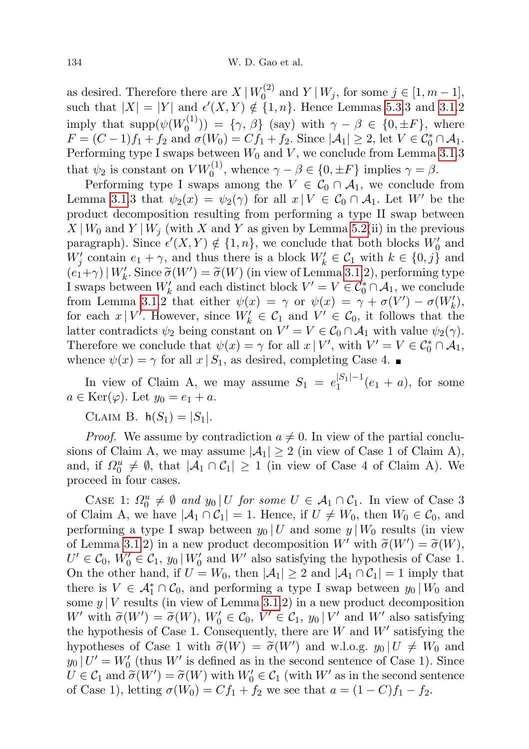as desired. Therefore there are  $X | W_0^{(2)}$  $U_0^{(2)}$  and  $Y | W_j$ , for some  $j \in [1, m-1]$ , such that  $|X| = |Y|$  and  $\epsilon'(X, Y) \notin \{1, n\}$ . Hence Lemmas [5.3.](#page-26-1)3 and [3.1.](#page-6-1)2 imply that  $\text{supp}(\psi(W_0^{(1)})$  $(\binom{1}{0}) = {\gamma, \beta}$  (say) with  $\gamma - \beta \in \{0, \pm F\}$ , where  $F = (C-1)f_1 + f_2$  and  $\sigma(W_0) = Cf_1 + f_2$ . Since  $|\mathcal{A}_1| \geq 2$ , let  $V \in \mathcal{C}_0^* \cap \mathcal{A}_1$ . Performing type I swaps between  $W_0$  and  $V$ , we conclude from Lemma [3.1.](#page-6-1)3 that  $\psi_2$  is constant on  $V W_0^{(1)}$ , whence  $\gamma - \beta \in \{0, \pm F\}$  implies  $\gamma = \beta$ .

Performing type I swaps among the  $V \in C_0 \cap A_1$ , we conclude from Lemma [3.1.](#page-6-1)3 that  $\psi_2(x) = \psi_2(\gamma)$  for all  $x \mid V \in C_0 \cap A_1$ . Let W' be the product decomposition resulting from performing a type II swap between  $X|_{W_0}$  and  $Y|_{W_j}$  (with X and Y as given by Lemma [5.2\(](#page-22-0)ii) in the previous paragraph). Since  $\epsilon'(X, Y) \notin \{1, n\}$ , we conclude that both blocks  $W'_0$  and  $W'_{j}$  contain  $e_1 + \gamma$ , and thus there is a block  $W'_{k} \in C_1$  with  $k \in \{0, j\}$  and  $(e_1 + \gamma) \mid W'_k$ . Since  $\tilde{\sigma}(W') = \tilde{\sigma}(W)$  (in view of Lemma [3.1.](#page-6-1)2), performing type I swaps between  $W'_k$  and each distinct block  $V' = V \in C_0^* \cap A_1$ , we conclude from Lemma [3.1.](#page-6-1)2 that either  $\psi(x) = \gamma$  or  $\psi(x) = \gamma + \sigma(V') - \sigma(W'_k)$ , for each  $x \mid V'$ . However, since  $W'_k \in \mathcal{C}_1$  and  $V' \in \mathcal{C}_0$ , it follows that the latter contradicts  $\psi_2$  being constant on  $V' = V \in C_0 \cap A_1$  with value  $\psi_2(\gamma)$ . Therefore we conclude that  $\psi(x) = \gamma$  for all  $x \mid V'$ , with  $V' = V \in C_0^* \cap A_1$ , whence  $\psi(x) = \gamma$  for all  $x | S_1$ , as desired, completing Case 4.

In view of Claim A, we may assume  $S_1 = e_1^{|S_1|-1}$  $1^{|S_1|-1}(e_1 + a)$ , for some  $a \in \text{Ker}(\varphi)$ . Let  $y_0 = e_1 + a$ .

CLAIM B.  $h(S_1) = |S_1|$ .

*Proof.* We assume by contradiction  $a \neq 0$ . In view of the partial conclusions of Claim A, we may assume  $|\mathcal{A}_1| \geq 2$  (in view of Case 1 of Claim A), and, if  $\Omega_0^u \neq \emptyset$ , that  $|\mathcal{A}_1 \cap \mathcal{C}_1| \geq 1$  (in view of Case 4 of Claim A). We proceed in four cases.

CASE 1:  $\Omega_0^u \neq \emptyset$  and  $y_0 \mid U$  for some  $U \in \mathcal{A}_1 \cap \mathcal{C}_1$ . In view of Case 3 of Claim A, we have  $|\mathcal{A}_1 \cap \mathcal{C}_1| = 1$ . Hence, if  $U \neq W_0$ , then  $W_0 \in \mathcal{C}_0$ , and performing a type I swap between  $y_0 | U$  and some  $y | W_0$  results (in view of Lemma [3.1.](#page-6-1)2) in a new product decomposition W' with  $\widetilde{\sigma}(W') = \widetilde{\sigma}(W)$ ,<br> $U' \subset C_2$ ,  $W' \subset C_3$ ,  $w_1 | W'$  and  $W'$  also satisfying the hypothesis of Case 1.  $U' \in \mathcal{C}_0$ ,  $W'_0 \in \mathcal{C}_1$ ,  $y_0 \mid W'_0$  and  $W'$  also satisfying the hypothesis of Case 1. On the other hand, if  $U = W_0$ , then  $|\mathcal{A}_1| \geq 2$  and  $|\mathcal{A}_1 \cap \mathcal{C}_1| = 1$  imply that there is  $V \in \mathcal{A}_{1}^{*} \cap \mathcal{C}_{0}$ , and performing a type I swap between  $y_{0} | W_{0}$  and some  $y \mid V$  results (in view of Lemma [3.1.](#page-6-1)2) in a new product decomposition W' with  $\tilde{\sigma}(W') = \tilde{\sigma}(W)$ ,  $W'_0 \in \mathcal{C}_0$ ,  $V' \in \mathcal{C}_1$ ,  $y_0 | V'$  and  $W'$  also satisfying the hypothesis of Case 1. Consequently, there are  $W$  and  $W'$  satisfying the the hypothesis of Case 1. Consequently, there are  $W$  and  $W'$  satisfying the hypotheses of Case 1 with  $\tilde{\sigma}(W) = \tilde{\sigma}(W')$  and w.l.o.g.  $y_0 | U \neq W_0$  and  $y_0 | U' - W'$  (thus  $W'$  is defined as in the second sentence of Case 1). Since  $y_0 | U' = W'_0$  (thus W' is defined as in the second sentence of Case 1). Since  $U \in \mathcal{C}_1$  and  $\widetilde{\sigma}(W') = \widetilde{\sigma}(W)$  with  $W_0' \in \mathcal{C}_1$  (with W' as in the second sentence of Case 1), letting  $\sigma(W_0) = Cf_1 + f_2$  we see that  $a = (1 - C)f_1 - f_2$ .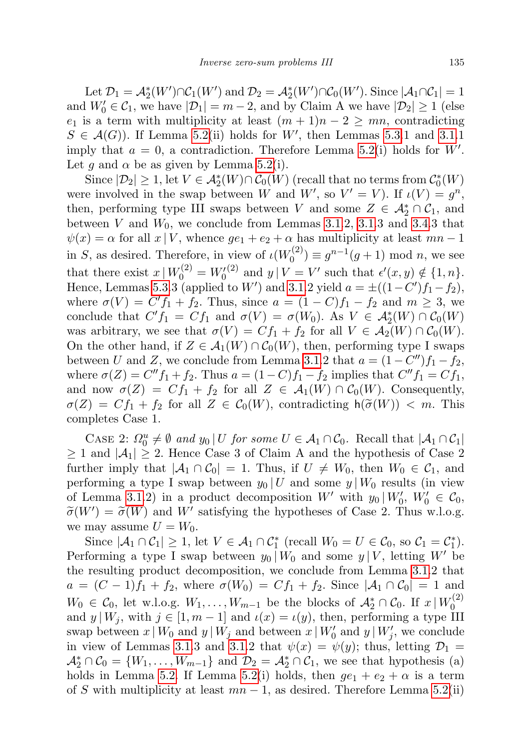Let  $\mathcal{D}_1 = \mathcal{A}_2^*(W') \cap \mathcal{C}_1(W')$  and  $\mathcal{D}_2 = \mathcal{A}_2^*(W') \cap \mathcal{C}_0(W')$ . Since  $|\mathcal{A}_1 \cap \mathcal{C}_1| = 1$ and  $W'_0 \in \mathcal{C}_1$ , we have  $|\mathcal{D}_1| = m - 2$ , and by Claim A we have  $|\mathcal{D}_2| \ge 1$  (else  $e_1$  is a term with multiplicity at least  $(m + 1)n - 2 \geq mn$ , contradicting  $S \in \mathcal{A}(G)$ . If Lemma [5.2\(](#page-22-0)ii) holds for W', then Lemmas [5.3.](#page-26-1)1 and [3.1.](#page-6-1)1 imply that  $a = 0$ , a contradiction. Therefore Lemma [5.2\(](#page-22-0)i) holds for W'. Let g and  $\alpha$  be as given by Lemma [5.2\(](#page-22-0)i).

Since  $|\mathcal{D}_2| \geq 1$ , let  $V \in \mathcal{A}_2^*(W) \cap \mathcal{C}_0(W)$  (recall that no terms from  $\mathcal{C}_0^*(W)$ ) were involved in the swap between W and  $W'$ , so  $V' = V$ ). If  $\iota(V) = g^n$ , then, performing type III swaps between V and some  $Z \in \mathcal{A}_2^* \cap \mathcal{C}_1$ , and between V and  $W_0$ , we conclude from Lemmas [3.1.](#page-6-1)2, 3.1.3 and [3.4.](#page-7-2)3 that  $\psi(x) = \alpha$  for all  $x | V$ , whence  $ge_1 + e_2 + \alpha$  has multiplicity at least  $mn - 1$ in S, as desired. Therefore, in view of  $\iota(W_0^{(2)})$  $g_0^{(2)} \equiv g^{n-1}(g+1) \mod n$ , we see that there exist  $x \mid W_0^{(2)} = W_0^{(2)}$  and  $y \mid V = V'$  such that  $\epsilon'(x, y) \notin \{1, n\}.$ Hence, Lemmas [5.3.](#page-26-1)3 (applied to W') and [3.1.](#page-6-1)2 yield  $a = \pm ((1 - C')f_1 - f_2)$ , where  $\sigma(V) = C' f_1 + f_2$ . Thus, since  $a = (1 - C) f_1 - f_2$  and  $m \ge 3$ , we conclude that  $C' f_1 = C f_1$  and  $\sigma(V) = \sigma(W_0)$ . As  $V \in \mathcal{A}_2^*(W) \cap \mathcal{C}_0(W)$ was arbitrary, we see that  $\sigma(V) = Cf_1 + f_2$  for all  $V \in \mathcal{A}_2(W) \cap \mathcal{C}_0(W)$ . On the other hand, if  $Z \in \mathcal{A}_1(W) \cap \mathcal{C}_0(W)$ , then, performing type I swaps between U and Z, we conclude from Lemma [3.1.](#page-6-1)2 that  $a = (1 - C'')f_1 - f_2$ , where  $\sigma(Z) = C'' f_1 + f_2$ . Thus  $a = (1 - C) f_1 - f_2$  implies that  $C'' f_1 = C f_1$ , and now  $\sigma(Z) = Cf_1 + f_2$  for all  $Z \in \mathcal{A}_1(W) \cap C_0(W)$ . Consequently,  $\sigma(Z) = Cf_1 + f_2$  for all  $Z \in C_0(W)$ , contradicting  $h(\widetilde{\sigma}(W)) < m$ . This completes Case 1.

CASE 2:  $\Omega_0^u \neq \emptyset$  and  $y_0 \mid U$  for some  $U \in \mathcal{A}_1 \cap \mathcal{C}_0$ . Recall that  $|\mathcal{A}_1 \cap \mathcal{C}_1|$  $\geq 1$  and  $|\mathcal{A}_1| \geq 2$ . Hence Case 3 of Claim A and the hypothesis of Case 2 further imply that  $|A_1 \cap C_0| = 1$ . Thus, if  $U \neq W_0$ , then  $W_0 \in C_1$ , and performing a type I swap between  $y_0 | U$  and some  $y | W_0$  results (in view of Lemma [3.1.](#page-6-1)2) in a product decomposition  $W'$  with  $y_0 | W'_0, W'_0 \in \mathcal{C}_0$ ,  $\widetilde{\sigma}(W') = \widetilde{\sigma}(W)$  and W' satisfying the hypotheses of Case 2. Thus w.l.o.g.<br>we may assume  $U = W_0$ we may assume  $U = W_0$ .

Since  $|\mathcal{A}_1 \cap \mathcal{C}_1| \geq 1$ , let  $V \in \mathcal{A}_1 \cap \mathcal{C}_1^*$  (recall  $W_0 = U \in \mathcal{C}_0$ , so  $\mathcal{C}_1 = \mathcal{C}_1^*$ ). Performing a type I swap between  $y_0 | W_0$  and some  $y | V$ , letting W' be the resulting product decomposition, we conclude from Lemma [3.1.](#page-6-1)2 that  $a = (C - 1)f_1 + f_2$ , where  $\sigma(W_0) = Cf_1 + f_2$ . Since  $|\mathcal{A}_1 \cap \mathcal{C}_0| = 1$  and  $W_0$  ∈  $C_0$ , let w.l.o.g.  $W_1, \ldots, W_{m-1}$  be the blocks of  $\mathcal{A}_2^* \cap C_0$ . If  $x \mid W_0^{(2)}$  $\mathbf 0$ and  $y | W_i$ , with  $j \in [1, m-1]$  and  $\iota(x) = \iota(y)$ , then, performing a type III swap between  $x | W_0$  and  $y | W_j$  and between  $x | W'_0$  and  $y | W'_j$ , we conclude in view of Lemmas [3.1.](#page-6-1)3 and 3.1.2 that  $\psi(x) = \psi(y)$ ; thus, letting  $\mathcal{D}_1 =$  $\mathcal{A}_2^* \cap \mathcal{C}_0 = \{W_1, \ldots, W_{m-1}\}\$ and  $\mathcal{D}_2 = \mathcal{A}_2^* \cap \mathcal{C}_1$ , we see that hypothesis (a) holds in Lemma [5.2.](#page-22-0) If Lemma [5.2\(](#page-22-0)i) holds, then  $ge_1 + e_2 + \alpha$  is a term of S with multiplicity at least  $mn-1$ , as desired. Therefore Lemma [5.2\(](#page-22-0)ii)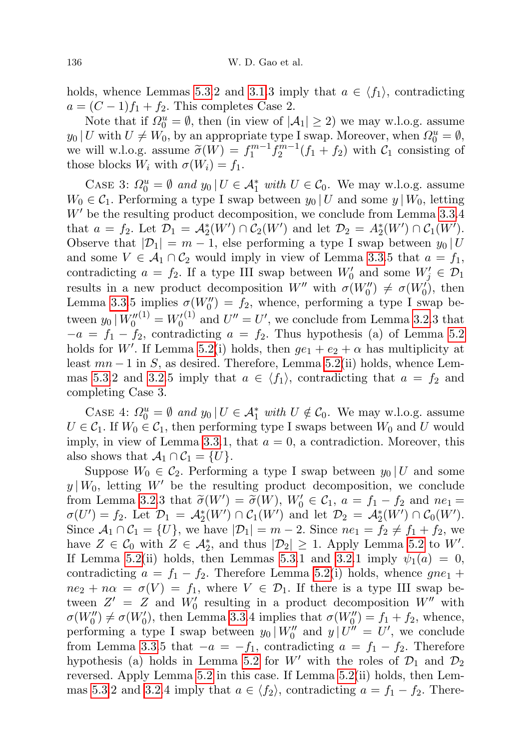holds, whence Lemmas [5.3.](#page-26-1)2 and [3.1.](#page-6-1)3 imply that  $a \in \langle f_1 \rangle$ , contradicting  $a = (C - 1)f_1 + f_2$ . This completes Case 2.

Note that if  $\Omega_0^u = \emptyset$ , then (in view of  $|\mathcal{A}_1| \geq 2$ ) we may w.l.o.g. assume  $y_0 | U$  with  $U \neq W_0$ , by an appropriate type I swap. Moreover, when  $\Omega_0^u = \emptyset$ , we will w.l.o.g. assume  $\tilde{\sigma}(W) = f_1^{m-1} f_2^{m-1}(f_1 + f_2)$  with  $\mathcal{C}_1$  consisting of those blocks  $W_1$  with  $\sigma(W_1) - f_2$ those blocks  $W_i$  with  $\sigma(W_i) = f_1$ .

CASE 3:  $\Omega_0^u = \emptyset$  and  $y_0 \mid U \in \mathcal{A}_1^*$  with  $U \in \mathcal{C}_0$ . We may w.l.o.g. assume  $W_0 \in \mathcal{C}_1$ . Performing a type I swap between  $y_0 | U$  and some  $y | W_0$ , letting  $W'$  be the resulting product decomposition, we conclude from Lemma [3.3.](#page-7-0)4 that  $a = f_2$ . Let  $\mathcal{D}_1 = \mathcal{A}_2^*(W') \cap \mathcal{C}_2(W')$  and let  $\mathcal{D}_2 = \mathcal{A}_2^*(W') \cap \mathcal{C}_1(W')$ . Observe that  $|\mathcal{D}_1| = m - 1$ , else performing a type I swap between  $y_0 | U$ and some  $V \in \mathcal{A}_1 \cap \mathcal{C}_2$  would imply in view of Lemma [3.3.](#page-7-0)5 that  $a = f_1$ , contradicting  $a = f_2$ . If a type III swap between  $W'_0$  and some  $W'_j \in \mathcal{D}_1$ results in a new product decomposition  $W''$  with  $\sigma(W''_0) \neq \sigma(W'_0)$ , then Lemma [3.3.](#page-7-0)5 implies  $\sigma(W_0'') = f_2$ , whence, performing a type I swap between  $y_0 | W_0''^{(1)} = W_0'^{(1)}$  and  $U'' = U'$ , we conclude from Lemma [3.2.](#page-7-1)3 that  $-a = f_1 - f_2$ , contradicting  $a = f_2$ . Thus hypothesis (a) of Lemma [5.2](#page-22-0) holds for W'. If Lemma [5.2\(](#page-22-0)i) holds, then  $ge_1 + e_2 + \alpha$  has multiplicity at least  $mn-1$  in S, as desired. Therefore, Lemma [5.2\(](#page-22-0)ii) holds, whence Lem-mas [5.3.](#page-26-1)2 and [3.2.](#page-7-1)5 imply that  $a \in \langle f_1 \rangle$ , contradicting that  $a = f_2$  and completing Case 3.

CASE 4:  $\Omega_0^u = \emptyset$  and  $y_0 \mid U \in \mathcal{A}_1^*$  with  $U \notin \mathcal{C}_0$ . We may w.l.o.g. assume  $U \in \mathcal{C}_1$ . If  $W_0 \in \mathcal{C}_1$ , then performing type I swaps between  $W_0$  and U would imply, in view of Lemma [3.3.](#page-7-0)1, that  $a = 0$ , a contradiction. Moreover, this also shows that  $\mathcal{A}_1 \cap \mathcal{C}_1 = \{U\}.$ 

Suppose  $W_0 \in C_2$ . Performing a type I swap between  $y_0 | U$  and some  $y | W_0$ , letting W' be the resulting product decomposition, we conclude from Lemma [3.2.](#page-7-1)3 that  $\tilde{\sigma}(W') = \tilde{\sigma}(W)$ ,  $W'_0 \in C_1$ ,  $a = f_1 - f_2$  and  $ne_1 = \sigma(U') - f_2$ . Let  $\mathcal{D}_1 = A^*(W') \cap C_2(W')$  and let  $\mathcal{D}_2 = A^*(W') \cap C_2(W')$ .  $\sigma(U') = f_2$ . Let  $\mathcal{D}_1 = \mathcal{A}_2^*(W') \cap \mathcal{C}_1(W')$  and let  $\mathcal{D}_2 = \mathcal{A}_2^*(W') \cap \mathcal{C}_0(W')$ . Since  $\mathcal{A}_1 \cap \mathcal{C}_1 = \{U\}$ , we have  $|\mathcal{D}_1| = m - 2$ . Since  $ne_1 = f_2 \neq f_1 + f_2$ , we have  $Z \in \mathcal{C}_0$  with  $Z \in \mathcal{A}_2^*$ , and thus  $|\mathcal{D}_2| \geq 1$ . Apply Lemma [5.2](#page-22-0) to W'. If Lemma [5.2\(](#page-22-0)ii) holds, then Lemmas [5.3.](#page-26-1)1 and [3.2.](#page-7-1)1 imply  $\psi_1(a) = 0$ , contradicting  $a = f_1 - f_2$ . Therefore Lemma [5.2\(](#page-22-0)i) holds, whence  $gne_1 +$  $ne_2 + n\alpha = \sigma(V) = f_1$ , where  $V \in \mathcal{D}_1$ . If there is a type III swap between  $Z' = Z$  and  $W'_0$  resulting in a product decomposition  $W''$  with  $\sigma(W_0'') \neq \sigma(W_0')$ , then Lemma [3.3.](#page-7-0)4 implies that  $\sigma(W_0'') = f_1 + f_2$ , whence, performing a type I swap between  $y_0 | W_0''$  and  $y | U'' = U'$ , we conclude from Lemma [3.3.](#page-7-0)5 that  $-a = -f_1$ , contradicting  $a = f_1 - f_2$ . Therefore hypothesis (a) holds in Lemma [5.2](#page-22-0) for W' with the roles of  $\mathcal{D}_1$  and  $\mathcal{D}_2$ reversed. Apply Lemma [5.2](#page-22-0) in this case. If Lemma [5.2\(](#page-22-0)ii) holds, then Lem-mas [5.3.](#page-26-1)2 and [3.2.](#page-7-1)4 imply that  $a \in \langle f_2 \rangle$ , contradicting  $a = f_1 - f_2$ . There-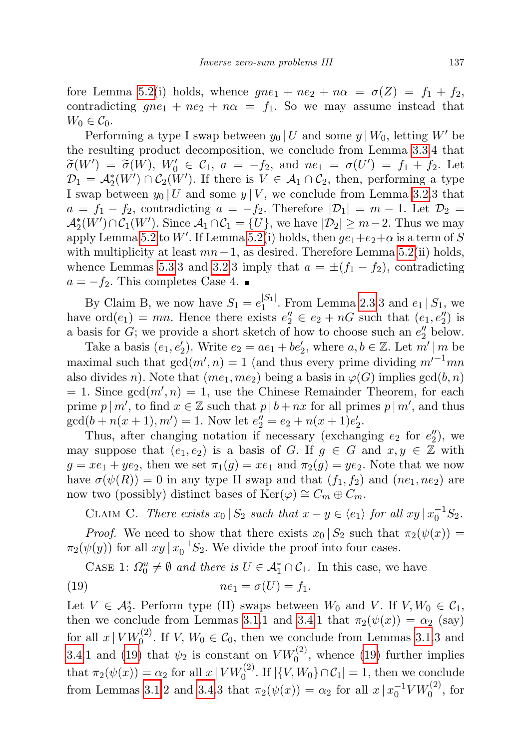fore Lemma [5.2\(](#page-22-0)i) holds, whence  $gne_1 + ne_2 + n\alpha = \sigma(Z) = f_1 + f_2$ , contradicting  $gne_1 + ne_2 + n\alpha = f_1$ . So we may assume instead that  $W_0 \in \mathcal{C}_0$ .

Performing a type I swap between  $y_0 | U$  and some  $y | W_0$ , letting W' be the resulting product decomposition, we conclude from Lemma [3.3.](#page-7-0)4 that  $\widetilde{\sigma}(W') = \widetilde{\sigma}(W), W_0' \in \mathcal{C}_1, a = -f_2, \text{ and } ne_1 = \sigma(U') = f_1 + f_2.$  Let  $\mathcal{D}_e = A^*(W') \cap \mathcal{C}_e(W')$  if there is  $V \in A \cap \mathcal{C}_e$  then performing a type  $\mathcal{D}_1 = \mathcal{A}_2^*(W') \cap \mathcal{C}_2(W')$ . If there is  $V \in \mathcal{A}_1 \cap \mathcal{C}_2$ , then, performing a type I swap between  $y_0 | U$  and some  $y | V$ , we conclude from Lemma [3.2.](#page-7-1)3 that  $a = f_1 - f_2$ , contradicting  $a = -f_2$ . Therefore  $|\mathcal{D}_1| = m - 1$ . Let  $\mathcal{D}_2 =$  $\mathcal{A}_2^*(W') \cap \mathcal{C}_1(W')$ . Since  $\mathcal{A}_1 \cap \mathcal{C}_1 = \{U\}$ , we have  $|\mathcal{D}_2| \geq m-2$ . Thus we may apply Lemma [5.2](#page-22-0) to W'. If Lemma [5.2\(](#page-22-0)i) holds, then  $ge_1+e_2+\alpha$  is a term of S with multiplicity at least  $mn-1$ , as desired. Therefore Lemma [5.2\(](#page-22-0)ii) holds, whence Lemmas [5.3.](#page-26-1)3 and [3.2.](#page-7-1)3 imply that  $a = \pm (f_1 - f_2)$ , contradicting  $a = -f_2$ . This completes Case 4.

By Claim B, we now have  $S_1 = e_1^{|S_1|}$  $1^{511}$ . From Lemma [2.3.](#page-4-0)3 and  $e_1 | S_1$ , we have  $\text{ord}(e_1) = mn$ . Hence there exists  $e''_2 \in e_2 + nG$  such that  $(e_1, e''_2)$  is a basis for  $G$ ; we provide a short sketch of how to choose such an  $e''_2$  below.

Take a basis  $(e_1, e'_2)$ . Write  $e_2 = ae_1 + be'_2$ , where  $a, b \in \mathbb{Z}$ . Let  $m' \mid m$  be maximal such that  $gcd(m', n) = 1$  (and thus every prime dividing  $m'^{-1}mn$ also divides n). Note that  $(me_1, me_2)$  being a basis in  $\varphi(G)$  implies  $gcd(b, n)$  $= 1$ . Since  $gcd(m', n) = 1$ , use the Chinese Remainder Theorem, for each prime  $p | m'$ , to find  $x \in \mathbb{Z}$  such that  $p | b + nx$  for all primes  $p | m'$ , and thus  $gcd(b+n(x+1), m') = 1.$  Now let  $e''_2 = e_2 + n(x+1)e'_2$ .

Thus, after changing notation if necessary (exchanging  $e_2$  for  $e_2''$ ), we may suppose that  $(e_1, e_2)$  is a basis of G. If  $g \in G$  and  $x, y \in \mathbb{Z}$  with  $g = xe_1 + ye_2$ , then we set  $\pi_1(g) = xe_1$  and  $\pi_2(g) = ye_2$ . Note that we now have  $\sigma(\psi(R)) = 0$  in any type II swap and that  $(f_1, f_2)$  and  $(ne_1, ne_2)$  are now two (possibly) distinct bases of Ker( $\varphi$ ) ≅  $C_m \oplus C_m$ .

CLAIM C. There exists  $x_0 | S_2$  such that  $x - y \in \langle e_1 \rangle$  for all  $xy | x_0^{-1} S_2$ .

*Proof.* We need to show that there exists  $x_0 | S_2$  such that  $\pi_2(\psi(x)) =$  $\pi_2(\psi(y))$  for all  $xy | x_0^{-1}S_2$ . We divide the proof into four cases.

<span id="page-34-0"></span>CASE 1:  $\Omega_0^u \neq \emptyset$  and there is  $U \in \mathcal{A}_1^* \cap \mathcal{C}_1$ . In this case, we have

$$
(19) \t\t ne_1 = \sigma(U) = f_1.
$$

Let  $V \in \mathcal{A}_{2}^{*}$ . Perform type (II) swaps between  $W_{0}$  and  $V$ . If  $V, W_{0} \in \mathcal{C}_{1}$ , then we conclude from Lemmas [3.1.](#page-6-1)1 and [3.4.](#page-7-2)1 that  $\pi_2(\psi(x)) = \alpha_2$  (say) for all  $x | VW_0^{(2)}$ . If  $V, W_0 \in C_0$ , then we conclude from Lemmas [3.1.](#page-6-1)3 and [3.4.](#page-7-2)1 and [\(19\)](#page-34-0) that  $\psi_2$  is constant on  $V W_0^{(2)}$ , whence (19) further implies that  $\pi_2(\psi(x)) = \alpha_2$  for all  $x \mid VW_0^{(2)}$ . If  $|\{V, W_0\} \cap C_1| = 1$ , then we conclude from Lemmas [3.1.](#page-6-1)2 and [3.4.](#page-7-2)3 that  $\pi_2(\psi(x)) = \alpha_2$  for all  $x \mid x_0^{-1} V W_0^{(2)}$ , for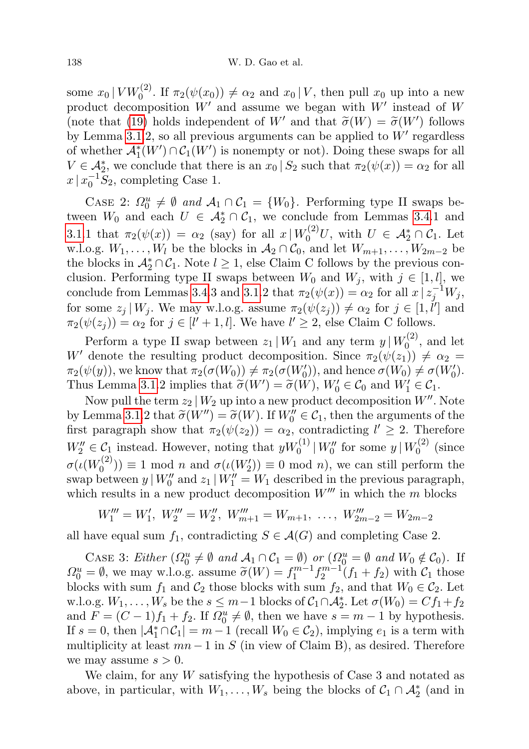some  $x_0 | VW_0^{(2)}$ . If  $\pi_2(\psi(x_0)) \neq \alpha_2$  and  $x_0 | V$ , then pull  $x_0$  up into a new product decomposition  $W'$  and assume we began with  $W'$  instead of W (note that [\(19\)](#page-34-0) holds independent of W' and that  $\tilde{\sigma}(W) = \tilde{\sigma}(W')$  follows by Lamma 3.1.2, so all provious arguments can be applied to  $W'$  regardless by Lemma [3.1.](#page-6-1)2, so all previous arguments can be applied to  $W'$  regardless of whether  $\mathcal{A}_{1}^{*}(W') \cap \mathcal{C}_{1}(W')$  is nonempty or not). Doing these swaps for all  $V \in \mathcal{A}_2^*$ , we conclude that there is an  $x_0 | S_2$  such that  $\pi_2(\psi(x)) = \alpha_2$  for all  $x \mid x_0^{-1} \overline{S}_2$ , completing Case 1.

CASE 2:  $\Omega_0^u \neq \emptyset$  and  $\mathcal{A}_1 \cap \mathcal{C}_1 = \{W_0\}$ . Performing type II swaps between  $W_0$  and each  $U \in \mathcal{A}_2^* \cap \mathcal{C}_1$ , we conclude from Lemmas [3.4.](#page-7-2)1 and [3.1.](#page-6-1)1 that  $\pi_2(\psi(x)) = \alpha_2$  (say) for all  $x \mid W_0^{(2)}U$ , with  $U \in \mathcal{A}_2^* \cap \mathcal{C}_1$ . Let w.l.o.g.  $W_1, \ldots, W_l$  be the blocks in  $\mathcal{A}_2 \cap \mathcal{C}_0$ , and let  $W_{m+1}, \ldots, W_{2m-2}$  be the blocks in  $\mathcal{A}_2^* \cap \mathcal{C}_1$ . Note  $l \geq 1$ , else Claim C follows by the previous conclusion. Performing type II swaps between  $W_0$  and  $W_j$ , with  $j \in [1, l]$ , we conclude from Lemmas [3.4.](#page-7-2)3 and [3.1.](#page-6-1)2 that  $\pi_2(\psi(x)) = \alpha_2$  for all  $x \nvert z_j^{-1}W_j$ , for some  $z_j | W_j$ . We may w.l.o.g. assume  $\pi_2(\psi(z_j)) \neq \alpha_2$  for  $j \in [1, \ell']$  and  $\pi_2(\psi(z_j)) = \alpha_2$  for  $j \in [l'+1, l]$ . We have  $l' \geq 2$ , else Claim C follows.

Perform a type II swap between  $z_1 | W_1$  and any term  $y | W_0^{(2)}$  $\binom{1}{0}$ , and let W' denote the resulting product decomposition. Since  $\pi_2(\psi(z_1)) \neq \alpha_2 =$  $\pi_2(\psi(y))$ , we know that  $\pi_2(\sigma(W_0)) \neq \pi_2(\sigma(W'_0))$ , and hence  $\sigma(W_0) \neq \sigma(W'_0)$ . Thus Lemma [3.1.](#page-6-1)2 implies that  $\widetilde{\sigma}(W') = \widetilde{\sigma}(W)$ ,  $W'_0 \in \mathcal{C}_0$  and  $W'_1 \in \mathcal{C}_1$ .<br>Now pull the tarm  $\widetilde{\sigma}(W)$  in into a now product decomposition  $W''$ .

Now pull the term  $z_2 | W_2$  up into a new product decomposition  $W''$ . Note by Lemma [3.1.](#page-6-1)2 that  $\widetilde{\sigma}(W'') = \widetilde{\sigma}(W)$ . If  $W''_0 \in C_1$ , then the arguments of the first parameter that  $\pi_1(\psi(x)) = \alpha$ , contradicting  $l' \geq 2$ . Therefore first paragraph show that  $\pi_2(\psi(z_2)) = \alpha_2$ , contradicting  $l' \geq 2$ . Therefore  $W_2'' \in \mathcal{C}_1$  instead. However, noting that  $yW_0^{(1)}|W_0''$  for some  $y|W_0^{(2)}$  $\int_0^{(2)}$  (since  $\sigma(\iota(W^{(2)}_0$  $\sigma_{0}^{(2)}$ ) = 1 mod *n* and  $\sigma(\iota(W_{2}'))$  = 0 mod *n*), we can still perform the swap between  $y | W_0''$  and  $z_1 | W_1'' = W_1$  described in the previous paragraph, which results in a new product decomposition  $W^{\prime\prime\prime}$  in which the m blocks

$$
W_1''' = W_1', W_2''' = W_2'', W_{m+1}''' = W_{m+1}, \ldots, W_{2m-2}''' = W_{2m-2}
$$

all have equal sum  $f_1$ , contradicting  $S \in \mathcal{A}(G)$  and completing Case 2.

CASE 3: Either  $(\Omega_0^u \neq \emptyset \text{ and } \mathcal{A}_1 \cap \mathcal{C}_1 = \emptyset)$  or  $(\Omega_0^u = \emptyset \text{ and } W_0 \notin \mathcal{C}_0)$ . If  $\Omega_0^u = \emptyset$ , we may w.l.o.g. assume  $\widetilde{\sigma}(W) = f_1^{m-1} f_2^{m-1}(f_1 + f_2)$  with  $\mathcal{C}_1$  those<br>blocks with sum  $f_2$  and  $\mathcal{C}_2$  those blocks with sum  $f_2$  and that  $W_2 \subset \mathcal{C}_2$ . Let blocks with sum  $f_1$  and  $C_2$  those blocks with sum  $f_2$ , and that  $W_0 \in C_2$ . Let w.l.o.g.  $W_1, \ldots, W_s$  be the  $s \leq m-1$  blocks of  $C_1 \cap A_2^*$ . Let  $\sigma(W_0) = Cf_1 + f_2$ and  $F = (C - 1)f_1 + f_2$ . If  $\Omega_0^u \neq \emptyset$ , then we have  $s = m - 1$  by hypothesis. If  $s = 0$ , then  $|\mathcal{A}_1^* \cap \mathcal{C}_1| = m - 1$  (recall  $W_0 \in \mathcal{C}_2$ ), implying  $e_1$  is a term with multiplicity at least  $mn-1$  in S (in view of Claim B), as desired. Therefore we may assume  $s > 0$ .

We claim, for any  $W$  satisfying the hypothesis of Case 3 and notated as above, in particular, with  $W_1, \ldots, W_s$  being the blocks of  $C_1 \cap A_2^*$  (and in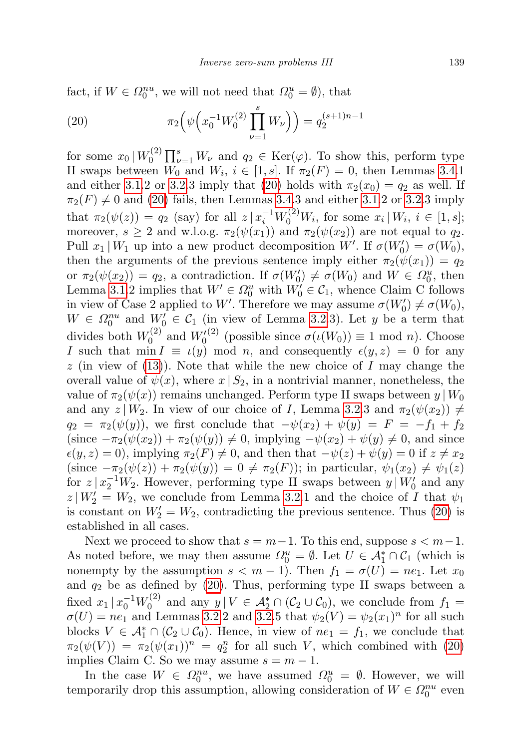fact, if  $W \in \Omega_0^{nu}$ , we will not need that  $\Omega_0^u = \emptyset$ ), that

<span id="page-36-0"></span>(20) 
$$
\pi_2\left(\psi\left(x_0^{-1}W_0^{(2)}\prod_{\nu=1}^s W_{\nu}\right)\right) = q_2^{(s+1)n-1}
$$

for some  $x_0 \, | \, W_0^{(2)}$  $\int_0^{(2)} \prod_{\nu=1}^s W_{\nu}$  and  $q_2 \in \text{Ker}(\varphi)$ . To show this, perform type II swaps between  $W_0$  and  $W_i$ ,  $i \in [1, s]$ . If  $\pi_2(F) = 0$ , then Lemmas [3.4.](#page-7-2)1 and either [3.1.](#page-6-1)2 or [3.2.](#page-7-1)3 imply that [\(20\)](#page-36-0) holds with  $\pi_2(x_0) = q_2$  as well. If  $\pi_2(F) \neq 0$  and [\(20\)](#page-36-0) fails, then Lemmas [3.4.](#page-7-2)3 and either [3.1.](#page-6-1)2 or [3.2.](#page-7-1)3 imply that  $\pi_2(\psi(z)) = q_2$  (say) for all  $z | x_i^{-1} W_0^{(2)} W_i$ , for some  $x_i | W_i, i \in [1, s];$ moreover,  $s \geq 2$  and w.l.o.g.  $\pi_2(\psi(x_1))$  and  $\pi_2(\psi(x_2))$  are not equal to  $q_2$ . Pull  $x_1 | W_1$  up into a new product decomposition W'. If  $\sigma(W'_0) = \sigma(W_0)$ , then the arguments of the previous sentence imply either  $\pi_2(\psi(x_1)) = q_2$ or  $\pi_2(\psi(x_2)) = q_2$ , a contradiction. If  $\sigma(W_0') \neq \sigma(W_0)$  and  $W \in \Omega_0^u$ , then Lemma [3.1.](#page-6-1)2 implies that  $W' \in \Omega_0^u$  with  $W'_0 \in \mathcal{C}_1$ , whence Claim C follows in view of Case 2 applied to W'. Therefore we may assume  $\sigma(W'_0) \neq \sigma(W_0)$ ,  $W \in \Omega_0^{nu}$  and  $W'_0 \in \mathcal{C}_1$  (in view of Lemma [3.2.](#page-7-1)3). Let y be a term that divides both  $W_0^{(2)}$  $V_0^{(2)}$  and  $W_0^{(2)}$  (possible since  $\sigma(\iota(W_0)) \equiv 1 \text{ mod } n$ ). Choose I such that min  $I \equiv \iota(y)$  mod n, and consequently  $\epsilon(y, z) = 0$  for any  $z$  (in view of [\(13\)](#page-27-5)). Note that while the new choice of I may change the overall value of  $\psi(x)$ , where  $x | S_2$ , in a nontrivial manner, nonetheless, the value of  $\pi_2(\psi(x))$  remains unchanged. Perform type II swaps between  $y | W_0$ and any  $z | W_2$ . In view of our choice of I, Lemma [3.2.](#page-7-1)3 and  $\pi_2(\psi(x_2)) \neq$  $q_2 = \pi_2(\psi(y))$ , we first conclude that  $-\psi(x_2) + \psi(y) = F = -f_1 + f_2$  $(\text{since } -\pi_2(\psi(x_2)) + \pi_2(\psi(y)) \neq 0, \text{ implying } -\psi(x_2) + \psi(y) \neq 0, \text{ and since}$  $\epsilon(y, z) = 0$ , implying  $\pi_2(F) \neq 0$ , and then that  $-\psi(z) + \psi(y) = 0$  if  $z \neq x_2$ (since  $-\pi_2(\psi(z)) + \pi_2(\psi(y)) = 0 \neq \pi_2(F)$ ); in particular,  $\psi_1(x_2) \neq \psi_1(z)$ for  $z | x_2^{-1} W_2$ . However, performing type II swaps between  $y | W_0'$  and any  $z|_{W_2'} = W_2$ , we conclude from Lemma [3.2.](#page-7-1)1 and the choice of I that  $\psi_1$ is constant on  $W_2' = W_2$ , contradicting the previous sentence. Thus [\(20\)](#page-36-0) is established in all cases.

Next we proceed to show that  $s = m-1$ . To this end, suppose  $s < m-1$ . As noted before, we may then assume  $\Omega_0^u = \emptyset$ . Let  $U \in \mathcal{A}_1^* \cap \mathcal{C}_1$  (which is nonempty by the assumption  $s < m - 1$ ). Then  $f_1 = \sigma(U) = ne_1$ . Let  $x_0$ and  $q_2$  be as defined by [\(20\)](#page-36-0). Thus, performing type II swaps between a fixed  $x_1 | x_0^{-1} W_0^{(2)}$  $y_0^{(2)}$  and any  $y \mid V \in \mathcal{A}_2^* \cap (\mathcal{C}_2 \cup \mathcal{C}_0)$ , we conclude from  $f_1 =$  $\sigma(U) = ne_1$  and Lemmas [3.2.](#page-7-1)2 and 3.2.5 that  $\psi_2(V) = \psi_2(x_1)^n$  for all such blocks  $V \in \mathcal{A}_1^* \cap (\mathcal{C}_2 \cup \mathcal{C}_0)$ . Hence, in view of  $ne_1 = f_1$ , we conclude that  $\pi_2(\psi(V)) = \pi_2(\psi(x_1))^n = q_2^n$  for all such V, which combined with [\(20\)](#page-36-0) implies Claim C. So we may assume  $s = m - 1$ .

In the case  $W \in \Omega_0^{nu}$ , we have assumed  $\Omega_0^u = \emptyset$ . However, we will temporarily drop this assumption, allowing consideration of  $W \in \Omega_0^{nu}$  even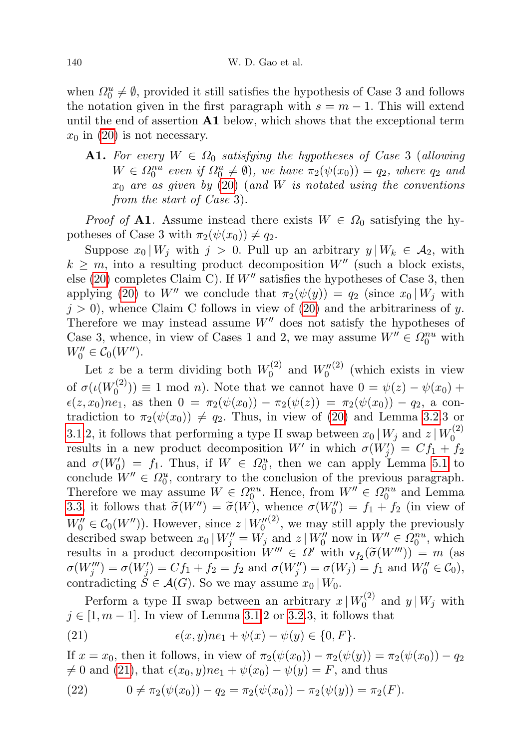when  $\Omega_0^u \neq \emptyset$ , provided it still satisfies the hypothesis of Case 3 and follows the notation given in the first paragraph with  $s = m - 1$ . This will extend until the end of assertion  $A1$  below, which shows that the exceptional term  $x_0$  in [\(20\)](#page-36-0) is not necessary.

**A1.** For every  $W \in \Omega_0$  satisfying the hypotheses of Case 3 (allowing  $W \in \Omega_0^{nu}$  even if  $\Omega_0^u \neq \emptyset$ , we have  $\pi_2(\psi(x_0)) = q_2$ , where  $q_2$  and  $x_0$  are as given by [\(20\)](#page-36-0) (and W is notated using the conventions from the start of Case 3).

*Proof of* A1. Assume instead there exists  $W \in \Omega_0$  satisfying the hypotheses of Case 3 with  $\pi_2(\psi(x_0)) \neq q_2$ .

Suppose  $x_0 | W_j$  with  $j > 0$ . Pull up an arbitrary  $y | W_k \in A_2$ , with  $k \geq m$ , into a resulting product decomposition  $W''$  (such a block exists, else [\(20\)](#page-36-0) completes Claim C). If  $W''$  satisfies the hypotheses of Case 3, then applying [\(20\)](#page-36-0) to W'' we conclude that  $\pi_2(\psi(y)) = q_2$  (since  $x_0 | W_j$  with  $j > 0$ , whence Claim C follows in view of [\(20\)](#page-36-0) and the arbitrariness of y. Therefore we may instead assume  $W''$  does not satisfy the hypotheses of Case 3, whence, in view of Cases 1 and 2, we may assume  $W'' \in \Omega_0^{nu}$  with  $W_0'' \in \mathcal{C}_0(W'').$ 

Let z be a term dividing both  $W_0^{(2)}$  $W_0^{(2)}$  and  $W_0''^{(2)}$  (which exists in view of  $\sigma(\iota(W_0^{(2)}))$  $\psi_0^{(2)}$  = 1 mod *n*). Note that we cannot have  $0 = \psi(z) - \psi(x_0) + \psi(x_0)$  $\epsilon(z, x_0)ne_1$ , as then  $0 = \pi_2(\psi(x_0)) - \pi_2(\psi(z)) = \pi_2(\psi(x_0)) - q_2$ , a contradiction to  $\pi_2(\psi(x_0)) \neq q_2$ . Thus, in view of [\(20\)](#page-36-0) and Lemma [3.2.](#page-7-1)3 or [3.1.](#page-6-1)2, it follows that performing a type II swap between  $x_0 | W_j$  and  $z | W_0^{(2)}$  $\mathbf 0$ results in a new product decomposition W' in which  $\sigma(W'_j) = Cf_1 + f_2$ and  $\sigma(W_0') = f_1$ . Thus, if  $W \in \Omega_0^u$ , then we can apply Lemma [5.1](#page-21-0) to conclude  $W'' \in \Omega_0^u$ , contrary to the conclusion of the previous paragraph. Therefore we may assume  $W \in \Omega_0^{nu}$ . Hence, from  $W'' \in \Omega_0^{nu}$  and Lemma [3.3,](#page-7-0) it follows that  $\widetilde{\sigma}(W'') = \widetilde{\sigma}(W)$ , whence  $\sigma(W_0'') = f_1 + f_2$  (in view of  $W'' = \widetilde{\sigma}(W'')$ ). If  $W_0'' \in C_0(W'')$ ). However, since  $z \mid W_0''^{(2)}$ , we may still apply the previously described swap between  $x_0 | W''_j = W_j$  and  $z | W''_0$  now in  $W'' \in \Omega_0^{nu}$ , which results in a product decomposition  $W''' \in \Omega'$  with  $\mathsf{v}_{f_2}(\widetilde{\sigma}(W''')) = m$  (as  $\sigma(W_j''') = \sigma(W_j') = Cf_1 + f_2 = f_2 \text{ and } \sigma(W_j'') = \sigma(W_j) = f_1 \text{ and } W_0'' \in C_0$ , contradicting  $S \in \mathcal{A}(G)$ . So we may assume  $x_0 \mid W_0$ .

Perform a type II swap between an arbitrary  $x | W_0^{(2)}$  $\int_0^{(2)}$  and  $y|W_j$  with  $j \in [1, m - 1]$ . In view of Lemma [3.1.](#page-6-1)2 or [3.2.](#page-7-1)3, it follows that

<span id="page-37-0"></span>(21) 
$$
\epsilon(x, y)ne_1 + \psi(x) - \psi(y) \in \{0, F\}.
$$

If  $x = x_0$ , then it follows, in view of  $\pi_2(\psi(x_0)) - \pi_2(\psi(y)) = \pi_2(\psi(x_0)) - q_2$  $\neq 0$  and [\(21\)](#page-37-0), that  $\epsilon(x_0, y)ne_1 + \psi(x_0) - \psi(y) = F$ , and thus

<span id="page-37-1"></span>(22) 
$$
0 \neq \pi_2(\psi(x_0)) - q_2 = \pi_2(\psi(x_0)) - \pi_2(\psi(y)) = \pi_2(F).
$$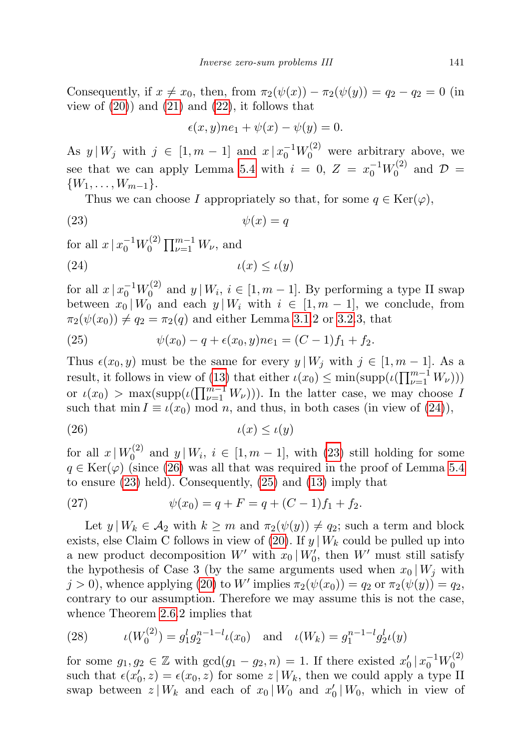Consequently, if  $x \neq x_0$ , then, from  $\pi_2(\psi(x)) - \pi_2(\psi(y)) = q_2 - q_2 = 0$  (in view of  $(20)$  and  $(21)$  and  $(22)$ , it follows that

<span id="page-38-1"></span><span id="page-38-0"></span>
$$
\epsilon(x, y)ne_1 + \psi(x) - \psi(y) = 0.
$$

As  $y \mid W_j$  with  $j \in [1, m-1]$  and  $x \mid x_0^{-1} W_0^{(2)}$  were arbitrary above, we see that we can apply Lemma [5.4](#page-26-0) with  $i = 0, Z = x_0^{-1}W_0^{(2)}$  $\mathcal{D}^{(2)}$  and  $\mathcal{D} =$  $\{W_1, \ldots, W_{m-1}\}.$ 

Thus we can choose I appropriately so that, for some  $q \in \text{Ker}(\varphi)$ ,

$$
(23) \t\t\t \psi(x) = q
$$

for all  $x \, | \, x_0^{-1} W_0^{(2)}$  $\prod_{\nu=1}^{(2)} \prod_{\nu=1}^{m-1} W_{\nu}$ , and

$$
(24) \t\t\t t(x) \leq \iota(y)
$$

for all  $x \, | \, x_0^{-1} W_0^{(2)}$  $y_0^{(2)}$  and  $y | W_i, i \in [1, m - 1]$ . By performing a type II swap between  $x_0 | W_0$  and each  $y | W_i$  with  $i \in [1, m - 1]$ , we conclude, from  $\pi_2(\psi(x_0)) \neq q_2 = \pi_2(q)$  and either Lemma [3.1.](#page-6-1)2 or [3.2.](#page-7-1)3, that

<span id="page-38-3"></span>(25) 
$$
\psi(x_0) - q + \epsilon(x_0, y)ne_1 = (C - 1)f_1 + f_2.
$$

Thus  $\epsilon(x_0, y)$  must be the same for every  $y | W_j$  with  $j \in [1, m - 1]$ . As a result, it follows in view of [\(13\)](#page-27-5) that either  $\iota(x_0) \le \min(\text{supp}(\iota(\prod_{\nu=1}^{m-1} W_{\nu})))$ or  $\iota(x_0) > \max(\text{supp}(\iota(\prod_{\nu=1}^{m-1} W_{\nu})))$ . In the latter case, we may choose I such that min  $I \equiv \iota(x_0) \mod n$ , and thus, in both cases (in view of [\(24\)](#page-38-0)),

<span id="page-38-2"></span>
$$
(26) \t\t\t t(x) \leq \iota(y)
$$

for all  $x \mid W_0^{(2)}$  $y_0^{(2)}$  and  $y|W_i, i \in [1, m-1]$ , with [\(23\)](#page-38-1) still holding for some  $q \in \text{Ker}(\varphi)$  (since [\(26\)](#page-38-2) was all that was required in the proof of Lemma [5.4](#page-26-0) to ensure [\(23\)](#page-38-1) held). Consequently, [\(25\)](#page-38-3) and [\(13\)](#page-27-5) imply that

<span id="page-38-4"></span>(27) 
$$
\psi(x_0) = q + F = q + (C - 1)f_1 + f_2.
$$

Let  $y | W_k \in A_2$  with  $k \geq m$  and  $\pi_2(\psi(y)) \neq q_2$ ; such a term and block exists, else Claim C follows in view of [\(20\)](#page-36-0). If  $y | W_k$  could be pulled up into a new product decomposition  $W'$  with  $x_0 | W'_0$ , then  $W'$  must still satisfy the hypothesis of Case 3 (by the same arguments used when  $x_0 | W_i$  with  $j > 0$ , whence applying [\(20\)](#page-36-0) to W' implies  $\pi_2(\psi(x_0)) = q_2$  or  $\pi_2(\psi(y)) = q_2$ , contrary to our assumption. Therefore we may assume this is not the case, whence Theorem [2.6.](#page-5-2)2 implies that

<span id="page-38-5"></span>(28) 
$$
\iota(W_0^{(2)}) = g_1^l g_2^{n-1-l} \iota(x_0) \quad \text{and} \quad \iota(W_k) = g_1^{n-1-l} g_2^l \iota(y)
$$

for some  $g_1, g_2 \in \mathbb{Z}$  with  $gcd(g_1 - g_2, n) = 1$ . If there existed  $x'_0 | x_0^{-1} W_0^{(2)}$  $\mathbf 0$ such that  $\epsilon(x'_0, z) = \epsilon(x_0, z)$  for some  $z | W_k$ , then we could apply a type II swap between  $z \mid W_k$  and each of  $x_0 \mid W_0$  and  $x'_0 \mid W_0$ , which in view of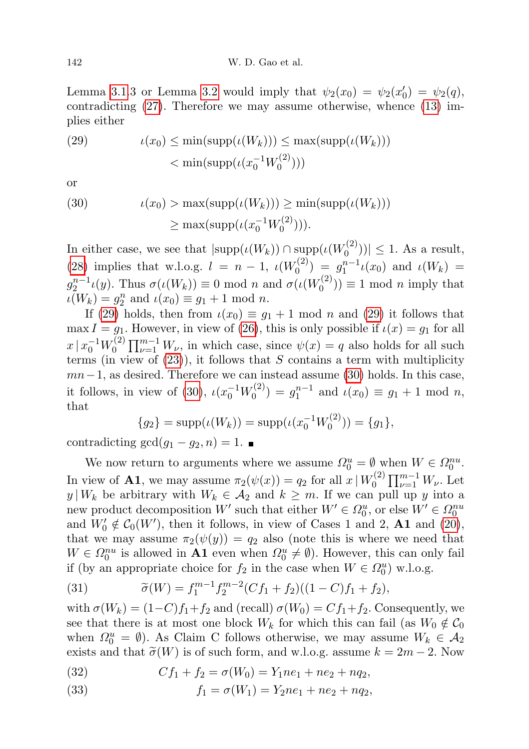Lemma [3.1.](#page-6-1)3 or Lemma [3.2](#page-7-1) would imply that  $\psi_2(x_0) = \psi_2(x'_0) = \psi_2(q)$ , contradicting [\(27\)](#page-38-4). Therefore we may assume otherwise, whence [\(13\)](#page-27-5) implies either

<span id="page-39-0"></span>(29) 
$$
\iota(x_0) \le \min(\mathrm{supp}(\iota(W_k))) \le \max(\mathrm{supp}(\iota(W_k))) < \min(\mathrm{supp}(\iota(x_0^{-1}W_0^{(2)})))
$$

or

<span id="page-39-1"></span>(30) 
$$
\iota(x_0) > \max(\mathrm{supp}(\iota(W_k))) \ge \min(\mathrm{supp}(\iota(W_k)))
$$

$$
\ge \max(\mathrm{supp}(\iota(x_0^{-1}W_0^{(2)}))).
$$

In either case, we see that  $|\text{supp}(\iota(W_k)) \cap \text{supp}(\iota(W_0^{(2)}))|$  $\binom{1}{0}$ )|  $\leq 1$ . As a result, [\(28\)](#page-38-5) implies that w.l.o.g.  $l = n - 1$ ,  $\iota(W_0^{(2)})$  $\iota_0^{(2)}$  =  $g_1^{n-1} \iota(x_0)$  and  $\iota(W_k)$  =  $g_2^{n-1} \iota(y)$ . Thus  $\sigma(\iota(W_k)) \equiv 0 \text{ mod } n$  and  $\sigma(\iota(W_0^{(2)})$  $\binom{n^{(2)}}{0}$  = 1 mod *n* imply that  $\iota(W_k) = g_2^n$  and  $\iota(x_0) \equiv g_1 + 1 \mod n$ .

If [\(29\)](#page-39-0) holds, then from  $\iota(x_0) \equiv g_1 + 1 \mod n$  and (29) it follows that max  $I = g_1$ . However, in view of [\(26\)](#page-38-2), this is only possible if  $\iota(x) = g_1$  for all  $x \, | \, x_0^{-1} W_0^{(2)}$  $v_0^{(2)}$   $\prod_{\nu=1}^{m-1} W_{\nu}$ , in which case, since  $\psi(x) = q$  also holds for all such terms (in view of  $(23)$ ), it follows that S contains a term with multiplicity  $mn-1$ , as desired. Therefore we can instead assume [\(30\)](#page-39-1) holds. In this case, it follows, in view of [\(30\)](#page-39-1),  $\iota(x_0^{-1}W_0^{(2)})$  $u_0^{(2)} = g_1^{n-1}$  and  $u(x_0) \equiv g_1 + 1 \mod n$ , that

$$
{g_2} = \text{supp}(\iota(W_k)) = \text{supp}(\iota(x_0^{-1}W_0^{(2)})) = {g_1},
$$

contradicting  $gcd(g_1 - g_2, n) = 1$ .

We now return to arguments where we assume  $\Omega_0^u = \emptyset$  when  $W \in \Omega_0^{nu}$ . In view of **A1**, we may assume  $\pi_2(\psi(x)) = q_2$  for all  $x \mid W_0^{(2)}$  $\prod_{\nu=1}^{(2)} \prod_{\nu=1}^{m-1} W_{\nu}$ . Let  $y | W_k$  be arbitrary with  $W_k \in \mathcal{A}_2$  and  $k \geq m$ . If we can pull up y into a new product decomposition  $W'$  such that either  $W' \in \Omega_0^u$ , or else  $W' \in \Omega_0^{nu}$ and  $W'_0 \notin C_0(W')$ , then it follows, in view of Cases 1 and 2, A1 and [\(20\)](#page-36-0), that we may assume  $\pi_2(\psi(y)) = q_2$  also (note this is where we need that  $W \in \Omega_0^{nu}$  is allowed in **A1** even when  $\Omega_0^u \neq \emptyset$ . However, this can only fail if (by an appropriate choice for  $f_2$  in the case when  $W \in \Omega_0^u$ ) w.l.o.g.

<span id="page-39-2"></span>(31) 
$$
\widetilde{\sigma}(W) = f_1^{m-1} f_2^{m-2} (C f_1 + f_2)((1 - C) f_1 + f_2),
$$

with  $\sigma(W_k) = (1-C)f_1+f_2$  and (recall)  $\sigma(W_0) = Cf_1+f_2$ . Consequently, we see that there is at most one block  $W_k$  for which this can fail (as  $W_0 \notin \mathcal{C}_0$ when  $\Omega_0^u = \emptyset$ ). As Claim C follows otherwise, we may assume  $W_k \in \mathcal{A}_2$ exists and that  $\tilde{\sigma}(W)$  is of such form, and w.l.o.g. assume  $k = 2m - 2$ . Now

(32) 
$$
Cf_1 + f_2 = \sigma(W_0) = Y_1ne_1 + ne_2 + nq_2,
$$

(33) 
$$
f_1 = \sigma(W_1) = Y_2 n e_1 + n e_2 + n q_2,
$$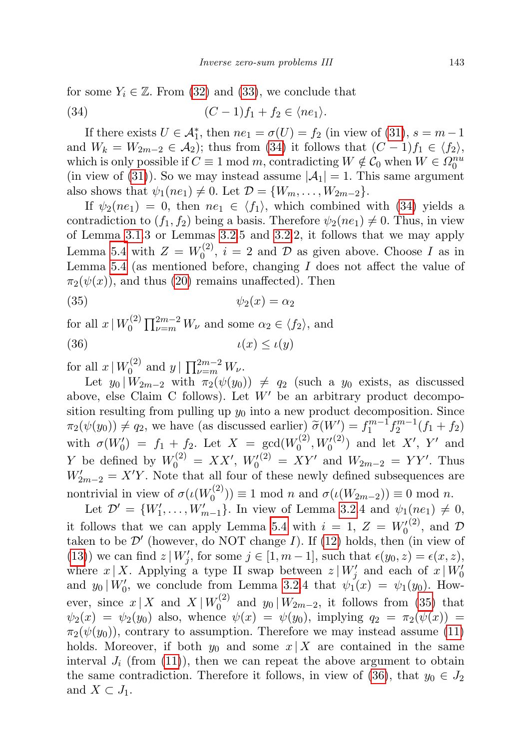for some  $Y_i \in \mathbb{Z}$ . From [\(32\)](#page-39-2) and [\(33\)](#page-39-2), we conclude that

<span id="page-40-0"></span>
$$
(34) \qquad (C-1)f_1+f_2 \in \langle ne_1 \rangle.
$$

If there exists  $U \in \mathcal{A}_{1}^{*}$ , then  $ne_{1} = \sigma(U) = f_{2}$  (in view of [\(31\)](#page-39-2),  $s = m - 1$ and  $W_k = W_{2m-2} \in \mathcal{A}_2$ ; thus from [\(34\)](#page-40-0) it follows that  $(C-1)f_1 \in \langle f_2 \rangle$ , which is only possible if  $C \equiv 1 \mod m$ , contradicting  $W \notin C_0$  when  $W \in \Omega_0^{nu}$ (in view of [\(31\)](#page-39-2)). So we may instead assume  $|\mathcal{A}_1| = 1$ . This same argument also shows that  $\psi_1(ne_1) \neq 0$ . Let  $\mathcal{D} = \{W_m, \ldots, W_{2m-2}\}.$ 

If  $\psi_2(ne_1) = 0$ , then  $ne_1 \in \langle f_1 \rangle$ , which combined with [\(34\)](#page-40-0) yields a contradiction to  $(f_1, f_2)$  being a basis. Therefore  $\psi_2(ne_1) \neq 0$ . Thus, in view of Lemma [3.1.](#page-6-1)3 or Lemmas [3.2.](#page-7-1)5 and [3.2.](#page-7-1)2, it follows that we may apply Lemma [5.4](#page-26-0) with  $Z = W_0^{(2)}$  $U_0^{(2)}$ ,  $i = 2$  and  $D$  as given above. Choose I as in Lemma [5.4](#page-26-0) (as mentioned before, changing  $I$  does not affect the value of  $\pi_2(\psi(x))$ , and thus [\(20\)](#page-36-0) remains unaffected). Then

<span id="page-40-1"></span>
$$
(35) \t\t\t \psi_2(x) = \alpha_2
$$

<span id="page-40-2"></span>for all  $x \mid W_0^{(2)}$  $\alpha_0^{(2)} \prod_{\nu=m}^{2m-2} W_{\nu}$  and some  $\alpha_2 \in \langle f_2 \rangle$ , and (36)  $\iota(x) \leq \iota(y)$ 

for all  $x \mid W_0^{(2)}$  $y \mid \prod_{\nu=m}^{2m-2} W_{\nu}$ .

Let  $y_0 | W_{2m-2}$  with  $\pi_2(\psi(y_0)) \neq q_2$  (such a  $y_0$  exists, as discussed above, else Claim C follows). Let  $W'$  be an arbitrary product decomposition resulting from pulling up  $y_0$  into a new product decomposition. Since  $\pi_2(\psi(y_0)) \neq q_2$ , we have (as discussed earlier)  $\widetilde{\sigma}(W') = f_1^{m-1} f_2^{m-1}(f_1 + f_2)$ with  $\sigma(W'_0) = f_1 + f_2$ . Let  $X = \gcd(W_0^{(2)})$  $V_0^{(2)}, W_0^{(2)}$  and let X', Y' and Y be defined by  $W_0^{(2)} = XX'$ ,  $W_0^{(2)} = XY'$  and  $W_{2m-2} = YY'$ . Thus  $W'_{2m-2} = X'Y$ . Note that all four of these newly defined subsequences are nontrivial in view of  $\sigma(\iota(W_0^{(2)}))$  $\sigma$ <sub>0</sub><sup> $\sigma$ </sup>( $\sigma$ <sup>( $\sigma$ </sup>)) = 1 mod *n* and  $\sigma$ ( $\iota$ ( $W_{2m-2}$ )) = 0 mod *n*.

Let  $\mathcal{D}' = \{W'_1, \ldots, W'_{m-1}\}.$  In view of Lemma [3.2.](#page-7-1)4 and  $\psi_1(ne_1) \neq 0,$ it follows that we can apply Lemma [5.4](#page-26-0) with  $i = 1, Z = W_0^{(2)}$ , and  $D$ taken to be  $\mathcal{D}'$  (however, do NOT change I). If [\(12\)](#page-27-4) holds, then (in view of [\(13\)](#page-27-5)) we can find  $z \mid W'_j$ , for some  $j \in [1, m-1]$ , such that  $\epsilon(y_0, z) = \epsilon(x, z)$ , where  $x | X$ . Applying a type II swap between  $z | W'_j$  and each of  $x | W'_0$ and  $y_0 | W'_0$ , we conclude from Lemma [3.2.](#page-7-1)4 that  $\psi_1(x) = \psi_1(y_0)$ . However, since  $x \mid X$  and  $X \mid W_0^{(2)}$  $y_0^{(2)}$  and  $y_0 | W_{2m-2}$ , it follows from [\(35\)](#page-40-1) that  $\psi_2(x) = \psi_2(y_0)$  also, whence  $\psi(x) = \psi(y_0)$ , implying  $q_2 = \pi_2(\psi(x))$  $\pi_2(\psi(y_0))$ , contrary to assumption. Therefore we may instead assume [\(11\)](#page-26-3) holds. Moreover, if both  $y_0$  and some  $x | X$  are contained in the same interval  $J_i$  (from [\(11\)](#page-26-3)), then we can repeat the above argument to obtain the same contradiction. Therefore it follows, in view of [\(36\)](#page-40-2), that  $y_0 \in J_2$ and  $X \subset J_1$ .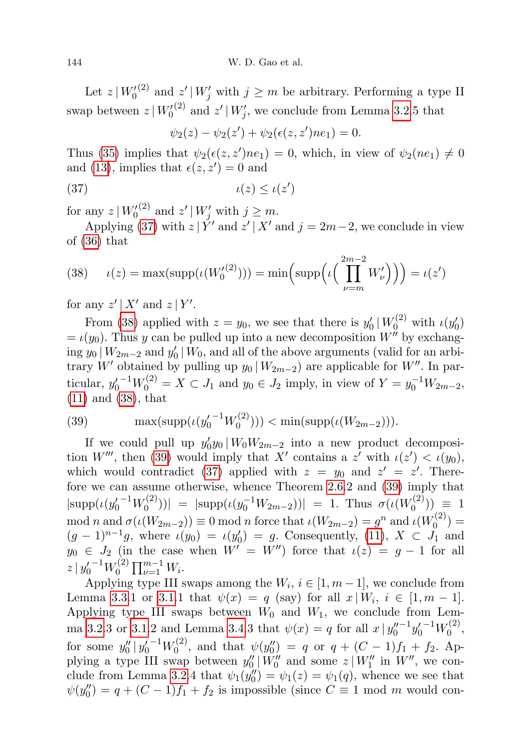Let  $z \mid W_0^{(2)}$  and  $z' \mid W_j'$  with  $j \geq m$  be arbitrary. Performing a type II swap between  $z | W_0'^{(2)}$  and  $z' | W_j'$ , we conclude from Lemma [3.2.](#page-7-1)5 that

<span id="page-41-0"></span>
$$
\psi_2(z) - \psi_2(z') + \psi_2(\epsilon(z, z')ne_1) = 0.
$$

Thus [\(35\)](#page-40-1) implies that  $\psi_2(\epsilon(z, z')ne_1) = 0$ , which, in view of  $\psi_2(ne_1) \neq 0$ and [\(13\)](#page-27-5), implies that  $\epsilon(z, z') = 0$  and

(37) ι(z) ≤ ι(z 0 )

for any  $z \mid W_0^{(2)}$  and  $z' \mid W_j'$  with  $j \geq m$ .

Applying [\(37\)](#page-41-0) with  $z \mid Y'$  and  $z' \mid X'$  and  $j = 2m-2$ , we conclude in view of [\(36\)](#page-40-2) that

<span id="page-41-1"></span>(38) 
$$
\iota(z) = \max(\mathrm{supp}(\iota(W_0^{(2)}))) = \min\left(\mathrm{supp}(\iota\left(\prod_{\nu=m}^{2m-2}W_{\nu}'\right)\right)) = \iota(z')
$$

for any  $z' | X'$  and  $z | Y'$ .

From [\(38\)](#page-41-1) applied with  $z = y_0$ , we see that there is  $y'_0 | W_0^{(2)}$  with  $\iota(y'_0)$  $= \iota(y_0)$ . Thus y can be pulled up into a new decomposition W'' by exchanging  $y_0 | W_{2m-2}$  and  $y'_0 | W_0$ , and all of the above arguments (valid for an arbitrary W' obtained by pulling up  $y_0 | W_{2m-2}$  are applicable for W". In particular,  $y_0'^{-1}W_0^{(2)} = X \subset J_1$  and  $y_0 \in J_2$  imply, in view of  $Y = y_0^{-1}W_{2m-2}$ , [\(11\)](#page-26-3) and [\(38\)](#page-41-1), that

<span id="page-41-2"></span>(39) 
$$
\max(\mathrm{supp}(\iota(y_0'^{-1}W_0^{(2)}))) < \min(\mathrm{supp}(\iota(W_{2m-2}))).
$$

If we could pull up  $y'_0 y_0 | W_0 W_{2m-2}$  into a new product decomposi-tion W''', then [\(39\)](#page-41-2) would imply that X' contains a z' with  $\iota(z') < \iota(y_0)$ , which would contradict [\(37\)](#page-41-0) applied with  $z = y_0$  and  $z' = z'$ . Therefore we can assume otherwise, whence Theorem [2.6.](#page-5-2)2 and [\(39\)](#page-41-2) imply that  $|\text{supp}(u(y_0'^{-1}W_0^{(2)}))|$  $\vert v_{0}^{(2)})\vert =\vert \mathrm{supp}(\iota(y_{0}^{-1}W_{2m-2}))\vert =1.$  Thus  $\sigma(\iota(W_{0}^{(2)}))$  $\binom{1}{0}$   $\equiv$  1 mod n and  $\sigma(\iota(W_{2m-2})) \equiv 0 \mod n$  force that  $\iota(W_{2m-2}) = g^n$  and  $\iota(W_0^{(2)})$  $\binom{1}{0} =$  $(g-1)^{n-1}g$ , where  $\iota(y_0) = \iota(y'_0) = g$ . Consequently, [\(11\)](#page-26-3),  $X \subset J_1$  and  $y_0 \in J_2$  (in the case when  $W' = W''$ ) force that  $\iota(z) = g - 1$  for all  $z \, | \, {y_0'}^{-1} W_0^{(2)}$  $\prod_{\nu=1}^{(2)} \prod_{\nu=1}^{m-1} W_i.$ 

Applying type III swaps among the  $W_i$ ,  $i \in [1, m-1]$ , we conclude from Lemma [3.3.](#page-7-0)1 or [3.1.](#page-6-1)1 that  $\psi(x) = q$  (say) for all  $x \mid W_i, i \in [1, m-1]$ . Applying type III swaps between  $W_0$  and  $W_1$ , we conclude from Lem-ma [3.2.](#page-7-1)3 or [3.1.](#page-6-1)2 and Lemma [3.4.](#page-7-2)3 that  $\psi(x) = q$  for all  $x | y_0''$  $-1y_0'$ <sup>-1</sup> $W_0^{(2)}$  $0^{(2)}$ for some  $y_0'' | y_0'^{-1} W_0^{(2)}$  $y_0^{(2)}$ , and that  $\psi(y_0'') = q$  or  $q + (C - 1)f_1 + f_2$ . Applying a type III swap between  $y''_0 | W''_0$  and some  $z | W''_1$  in  $W''$ , we con-clude from Lemma [3.2.](#page-7-1)4 that  $\psi_1(y''_0) = \psi_1(z) = \psi_1(q)$ , whence we see that  $\psi(y_0'') = q + (C - 1)f_1 + f_2$  is impossible (since  $C \equiv 1 \mod m$  would con-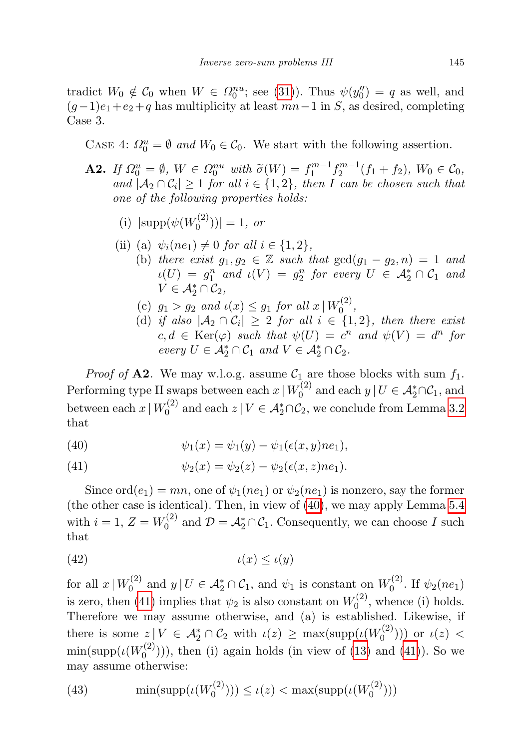tradict  $W_0 \notin C_0$  when  $W \in \Omega_0^{nu}$ ; see [\(31\)](#page-39-2)). Thus  $\psi(y''_0) = q$  as well, and  $(g-1)e_1+e_2+q$  has multiplicity at least  $mn-1$  in S, as desired, completing Case 3.

CASE 4:  $\Omega_0^u = \emptyset$  and  $W_0 \in \mathcal{C}_0$ . We start with the following assertion.

- **A2.** If  $\Omega_0^u = \emptyset$ ,  $W \in \Omega_0^{nu}$  with  $\widetilde{\sigma}(W) = f_1^{m-1} f_2^{m-1} (f_1 + f_2)$ ,  $W_0 \in \mathcal{C}_0$ , and  $A \cap \mathcal{C}_1 > 1$  for all  $i \in \{1, 2\}$ , then L can be chosen such that and  $|\mathcal{A}_2 \cap \mathcal{C}_i| \geq 1$  for all  $i \in \{1,2\}$ , then I can be chosen such that one of the following properties holds:
	- (i)  $|\text{supp}(\psi(W_0^{(2)}))|$  $\binom{1}{0}$ ) = 1, or
	- (ii) (a)  $\psi_i(ne_1) \neq 0$  for all  $i \in \{1, 2\},$ 
		- (b) there exist  $g_1, g_2 \in \mathbb{Z}$  such that  $gcd(g_1 g_2, n) = 1$  and  $\iota(U) = g_1^n$  and  $\iota(V) = g_2^n$  for every  $U \in \mathcal{A}_2^* \cap \mathcal{C}_1$  and  $V \in \mathcal{A}_2^* \cap \mathcal{C}_2$ ,
		- (c)  $g_1 > g_2$  and  $\iota(x) \leq g_1$  for all  $x \mid W_0^{(2)}$  $0^{(2)}$
		- (d) if also  $|\mathcal{A}_2 \cap \mathcal{C}_i| \geq 2$  for all  $i \in \{1,2\}$ , then there exist  $c, d \in \text{Ker}(\varphi)$  such that  $\psi(U) = c^n$  and  $\psi(V) = d^n$  for  $every\ U\in \mathcal{A}_2^*\cap \mathcal{C}_1\ and\ V\in \mathcal{A}_2^*\cap \mathcal{C}_2.$

*Proof of* **A2**. We may w.l.o.g. assume  $C_1$  are those blocks with sum  $f_1$ . Performing type II swaps between each  $x | W_0^{(2)}$  $U_0^{(2)}$  and each  $y \mid U \in \mathcal{A}_2^* \cap \mathcal{C}_1$ , and between each  $x | W_0^{(2)}$  $\mathcal{O}_0^{(2)}$  and each  $z \mid V \in \mathcal{A}_2^* \cap \mathcal{C}_2$ , we conclude from Lemma [3.2](#page-7-1) that

(40) 
$$
\psi_1(x) = \psi_1(y) - \psi_1(\epsilon(x, y)ne_1),
$$

(41) 
$$
\psi_2(x) = \psi_2(z) - \psi_2(\epsilon(x, z)ne_1).
$$

Since  $\text{ord}(e_1) = mn$ , one of  $\psi_1(ne_1)$  or  $\psi_2(ne_1)$  is nonzero, say the former (the other case is identical). Then, in view of [\(40\)](#page-41-2), we may apply Lemma [5.4](#page-26-0) with  $i = 1, Z = W_0^{(2)}$  $\mathcal{D}_0^{(2)}$  and  $\mathcal{D} = \mathcal{A}_2^* \cap \mathcal{C}_1$ . Consequently, we can choose I such that

<span id="page-42-0"></span>
$$
(42) \t\t\t t(x) \leq \iota(y)
$$

for all  $x \mid W_0^{(2)}$  $\mathcal{U}_0^{(2)}$  and  $y \mid U \in \mathcal{A}_2^* \cap \mathcal{C}_1$ , and  $\psi_1$  is constant on  $W_0^{(2)}$  $\int_0^{(2)}$ . If  $\psi_2(ne_1)$ is zero, then [\(41\)](#page-41-2) implies that  $\psi_2$  is also constant on  $W_0^{(2)}$  $\zeta_0^{(2)}$ , whence (i) holds. Therefore we may assume otherwise, and (a) is established. Likewise, if there is some  $z \mid V \in \mathcal{A}_2^* \cap \mathcal{C}_2$  with  $\iota(z) \geq \max(\text{supp}(\iota(W_0^{(2)}))$  $\binom{(\binom{z}{j})}{0}$  or  $\iota(z)$  <  $\min(\mathrm{supp}(\iota(W_0^{(2)}))$  $\binom{1}{0}$ ), then (i) again holds (in view of [\(13\)](#page-27-5) and [\(41\)](#page-41-2)). So we may assume otherwise:

<span id="page-42-1"></span>(43) 
$$
\min(\mathrm{supp}(\iota(W_0^{(2)}))) \le \iota(z) < \max(\mathrm{supp}(\iota(W_0^{(2)})))
$$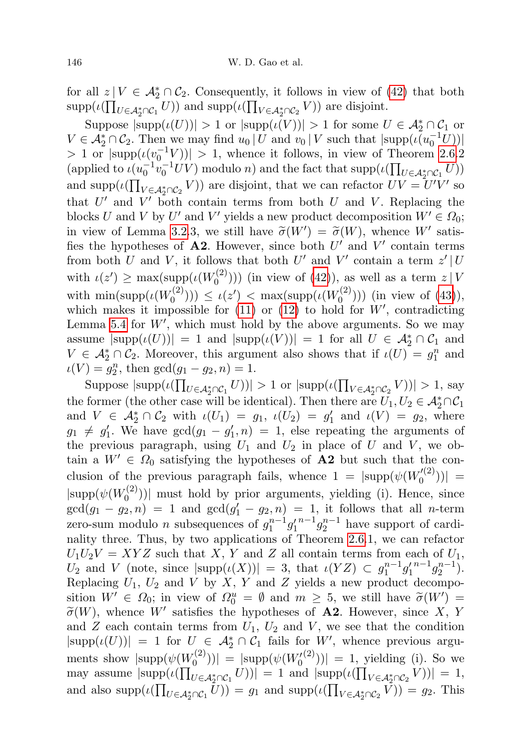for all  $z \mid V \in \mathcal{A}_2^* \cap \mathcal{C}_2$ . Consequently, it follows in view of [\(42\)](#page-42-0) that both  $\mathrm{supp}(\iota(\prod_{U \in \mathcal{A}_2^* \cap \mathcal{C}_1} U))$  and  $\mathrm{supp}(\iota(\prod_{V \in \mathcal{A}_2^* \cap \mathcal{C}_2} V))$  are disjoint.

Suppose  $|\text{supp}(\iota(U))| > 1$  or  $|\text{supp}(\iota(V))| > 1$  for some  $U \in \mathcal{A}_2^* \cap \mathcal{C}_1$  or  $V \in \mathcal{A}_2^* \cap \mathcal{C}_2$ . Then we may find  $u_0 | U$  and  $v_0 | V$  such that  $|\text{supp}(u_0^{-1}U))|$  $> 1$  or  $|\text{supp}(\iota(v_0^{-1}V))| > 1$ , whence it follows, in view of Theorem [2.6.](#page-5-2)2 (applied to  $\iota(u_0^{-1}v_0^{-1}UV)$  modulo n) and the fact that  $\text{supp}(\iota(\prod_{U \in \mathcal{A}_2^*\cap \mathcal{C}_1} U))$ and supp $(\iota(\prod_{V \in \mathcal{A}_2^* \cap \mathcal{C}_2} V))$  are disjoint, that we can refactor  $UV = U'V'$  so that  $U'$  and  $V'$  both contain terms from both  $U$  and  $V$ . Replacing the blocks U and V by U' and V' yields a new product decomposition  $W' \in \Omega_0$ ; in view of Lemma [3.2.](#page-7-1)3, we still have  $\tilde{\sigma}(W') = \tilde{\sigma}(W)$ , whence W' satis-<br>fies the hypotheses of **A2**. However, since both  $U'$  and  $V'$  contain terms fies the hypotheses of  $A2$ . However, since both U' and V' contain terms from both U and V, it follows that both U' and V' contain a term  $z' | U$ with  $\iota(z') \geq \max(\text{supp}(\iota(W_0^{(2)}))$  $\binom{r^{(2)}}{0}$ )) (in view of [\(42\)](#page-42-0)), as well as a term  $z \mid V$ with  $\min(\text{supp}(\iota(W_0^{(2)}))$  $\mathcal{L}(c_0^{(2)}))$ )  $\leq \iota(z') < \max(\mathrm{supp}(\iota(W_0^{(2)}))$  $\binom{1}{0}$ )) (in view of [\(43\)](#page-42-1)), which makes it impossible for  $(11)$  or  $(12)$  to hold for  $W'$ , contradicting Lemma [5.4](#page-26-0) for  $W'$ , which must hold by the above arguments. So we may assume  $|\text{supp}(\iota(U))| = 1$  and  $|\text{supp}(\iota(V))| = 1$  for all  $U \in \mathcal{A}_2^* \cap \mathcal{C}_1$  and  $V \in \mathcal{A}_2^* \cap \mathcal{C}_2$ . Moreover, this argument also shows that if  $\iota(U) = g_1^n$  and  $\iota(V) = g_2^n$ , then  $gcd(g_1 - g_2, n) = 1$ .

Suppose  $|\text{supp}(\iota(\prod_{U \in \mathcal{A}_2^* \cap C_1} U))| > 1$  or  $|\text{supp}(\iota(\prod_{V \in \mathcal{A}_2^* \cap C_2} V))| > 1$ , say the former (the other case will be identical). Then there are  $U_1, U_2 \in \mathcal{A}_2^* \cap \mathcal{C}_1$ and  $V \in \mathcal{A}_2^* \cap \mathcal{C}_2$  with  $\iota(U_1) = g_1$ ,  $\iota(U_2) = g'_1$  and  $\iota(V) = g_2$ , where  $g_1 \neq g'_1$ . We have  $gcd(g_1 - g'_1, n) = 1$ , else repeating the arguments of the previous paragraph, using  $U_1$  and  $U_2$  in place of U and V, we obtain a  $W' \in \Omega_0$  satisfying the hypotheses of **A2** but such that the conclusion of the previous paragraph fails, whence  $1 = |\text{supp}(\psi(W_0^{(2)})|^2)$  $\binom{r(2)}{0}$  =  $|\text{supp}(\psi(W_0^{(2)}))|$  $\binom{1}{0}$ )| must hold by prior arguments, yielding (i). Hence, since  $gcd(g_1 - g_2, n) = 1$  and  $gcd(g'_1 - g_2, n) = 1$ , it follows that all *n*-term zero-sum modulo *n* subsequences of  $g_1^{n-1}g_1'$  $n^{-1}g_2^{n-1}$  have support of cardinality three. Thus, by two applications of Theorem [2.6.](#page-5-2)1, we can refactor  $U_1U_2V = XYZ$  such that X, Y and Z all contain terms from each of  $U_1$ ,  $U_2$  and V (note, since  $|\text{supp}(\iota(X))| = 3$ , that  $\iota(YZ) \subset g_1^{n-1}g_1'$  $n-1\overline{g_2^{n-1}}$ ). Replacing  $U_1$ ,  $U_2$  and  $V$  by  $X$ ,  $Y$  and  $Z$  yields a new product decomposition  $W' \in \Omega_0$ ; in view of  $\Omega_0^u = \emptyset$  and  $m \geq 5$ , we still have  $\widetilde{\sigma}(W') = \widetilde{\sigma}(W)$  where  $W'$  satisfies the hypotheses of **A2** However since  $X \times Y$  $\widetilde{\sigma}(W)$ , whence W' satisfies the hypotheses of **A2**. However, since X, Y and  $Z$  each contain terms from  $U_1$ ,  $U_2$  and  $V$ , we see that the condition  $|\text{supp}(\iota(U))| = 1$  for  $U \in \mathcal{A}_2^* \cap \mathcal{C}_1$  fails for  $W'$ , whence previous arguments show  $|\text{supp}(\psi(W_0^{(2)}))|$  $\mathcal{O}_0^{(2)}$ ))| =  $|\text{supp}(\psi(W_0^{(2)}))| = 1$ , yielding (i). So we may assume  $|\text{supp}(\iota(\prod_{U \in \mathcal{A}_2^*\cap \mathcal{C}_1} U))| = 1$  and  $|\text{supp}(\iota(\prod_{V \in \mathcal{A}_2^*\cap \mathcal{C}_2} V))| = 1$ , and also  $\text{supp}(\iota(\prod_{U \in \mathcal{A}_2^* \cap \mathcal{C}_1} U)) = g_1$  and  $\text{supp}(\iota(\prod_{V \in \mathcal{A}_2^* \cap \mathcal{C}_2} V)) = g_2$ . This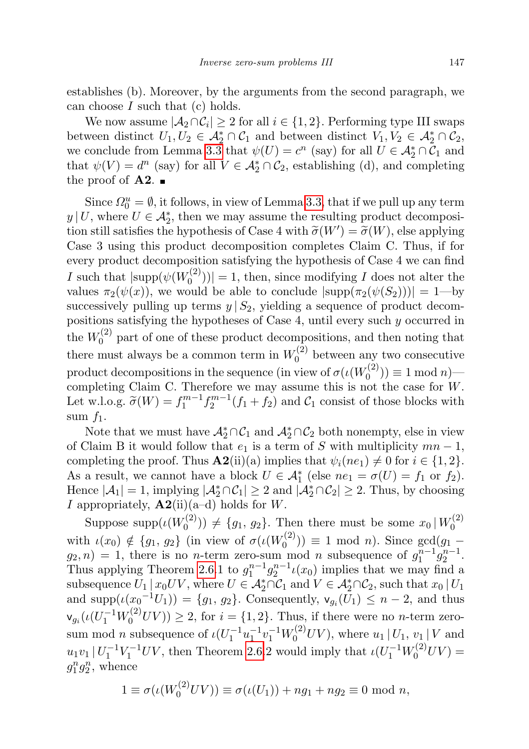establishes (b). Moreover, by the arguments from the second paragraph, we can choose  $I$  such that  $(c)$  holds.

We now assume  $|\mathcal{A}_2 \cap \mathcal{C}_i| \geq 2$  for all  $i \in \{1, 2\}$ . Performing type III swaps between distinct  $U_1, U_2 \in \mathcal{A}_2^* \cap \mathcal{C}_1$  and between distinct  $V_1, V_2 \in \mathcal{A}_2^* \cap \mathcal{C}_2$ , we conclude from Lemma [3.3](#page-7-0) that  $\psi(U) = c^n$  (say) for all  $U \in \mathcal{A}_2^* \cap \mathcal{C}_1$  and that  $\psi(V) = d^n$  (say) for all  $V \in \mathcal{A}_2^* \cap \mathcal{C}_2$ , establishing (d), and completing the proof of  $\mathbf{A2.}$ 

Since  $\Omega_0^u = \emptyset$ , it follows, in view of Lemma [3.3,](#page-7-0) that if we pull up any term  $y | U$ , where  $U \in \mathcal{A}_2^*$ , then we may assume the resulting product decomposition still satisfies the hypothesis of Case 4 with  $\tilde{\sigma}(W') = \tilde{\sigma}(W)$ , else applying<br>Case 3 using this product decomposition completes Claim C. Thus, if for Case 3 using this product decomposition completes Claim C. Thus, if for every product decomposition satisfying the hypothesis of Case 4 we can find I such that  $|\text{supp}(\psi(W_0^{(2)}))|$  $\binom{O(2)}{0}$  = 1, then, since modifying *I* does not alter the values  $\pi_2(\psi(x))$ , we would be able to conclude  $|\text{supp}(\pi_2(\psi(S_2)))|=1$ —by successively pulling up terms  $y | S_2$ , yielding a sequence of product decompositions satisfying the hypotheses of Case 4, until every such y occurred in the  $W_0^{(2)}$  $\int_0^{(2)}$  part of one of these product decompositions, and then noting that there must always be a common term in  $W_0^{(2)}$  $\int_0^{(2)}$  between any two consecutive product decompositions in the sequence (in view of  $\sigma(\iota(W_0^{(2)}))$  $\binom{1}{0}$   $\equiv$  1 mod *n* $\equiv$ completing Claim C. Therefore we may assume this is not the case for W. Let w.l.o.g.  $\tilde{\sigma}(W) = f_1^{m-1} f_2^{m-1}(f_1 + f_2)$  and  $\mathcal{C}_1$  consist of those blocks with sum  $f_1$ .

Note that we must have  $\mathcal{A}_2^* \cap \mathcal{C}_1$  and  $\mathcal{A}_2^* \cap \mathcal{C}_2$  both nonempty, else in view of Claim B it would follow that  $e_1$  is a term of S with multiplicity  $mn-1$ , completing the proof. Thus  $\mathbf{A2}$ (ii)(a) implies that  $\psi_i(ne_1) \neq 0$  for  $i \in \{1, 2\}$ . As a result, we cannot have a block  $U \in \mathcal{A}_{1}^{*}$  (else  $ne_{1} = \sigma(U) = f_{1}$  or  $f_{2}$ ). Hence  $|\mathcal{A}_1| = 1$ , implying  $|\mathcal{A}_2^* \cap \mathcal{C}_1| \ge 2$  and  $|\mathcal{A}_2^* \cap \mathcal{C}_2| \ge 2$ . Thus, by choosing I appropriately,  $\mathbf{A2}$ (ii)(a–d) holds for W.

Suppose supp $(\iota(W_0^{(2)}))$  $\mathcal{L}^{(2)}_{0}$  (2)  $\neq \{g_1, g_2\}$ . Then there must be some  $x_0 | W_0^{(2)}$  $\mathbf 0$ with  $\iota(x_0) \notin \{g_1, g_2\}$  (in view of  $\sigma(\iota(W_0^{(2)}))$  $f_0^{(2)}$ ))  $\equiv$  1 mod *n*). Since  $gcd(g_1$  $g_2, n) = 1$ , there is no *n*-term zero-sum mod *n* subsequence of  $g_1^{n-1}g_2^{n-1}$ . Thus applying Theorem [2.6.](#page-5-2)1 to  $g_1^{n-1}g_2^{n-1} \iota(x_0)$  implies that we may find a subsequence  $U_1 | x_0 UV$ , where  $U \in \mathcal{A}_2^* \cap \mathcal{C}_1$  and  $V \in \mathcal{A}_2^* \cap \mathcal{C}_2$ , such that  $x_0 | U_1$ and  $\text{supp}(\iota(x_0^{-1}U_1)) = \{g_1, g_2\}$ . Consequently,  $\mathsf{v}_{g_i}(U_1) \leq n-2$ , and thus  $\mathsf{v}_{g_i}(\iota(U_1^{-1}W_0^{(2)}UV)) \geq 2$ , for  $i = \{1, 2\}$ . Thus, if there were no *n*-term zerosum mod *n* subsequence of  $\iota(U_1^{-1}u_1^{-1}v_1^{-1}W_0^{(2)}UV)$ , where  $u_1 | U_1, v_1 | V$  and  $u_1v_1 | U_1^{-1}V_1^{-1}UV$ , then Theorem [2.6.](#page-5-2)2 would imply that  $\iota(U_1^{-1}W_0^{(2)}UV)$  =  $g_1^n g_2^n$ , whence

$$
1 \equiv \sigma(\iota(W_0^{(2)}UV)) \equiv \sigma(\iota(U_1)) + ng_1 + ng_2 \equiv 0 \text{ mod } n,
$$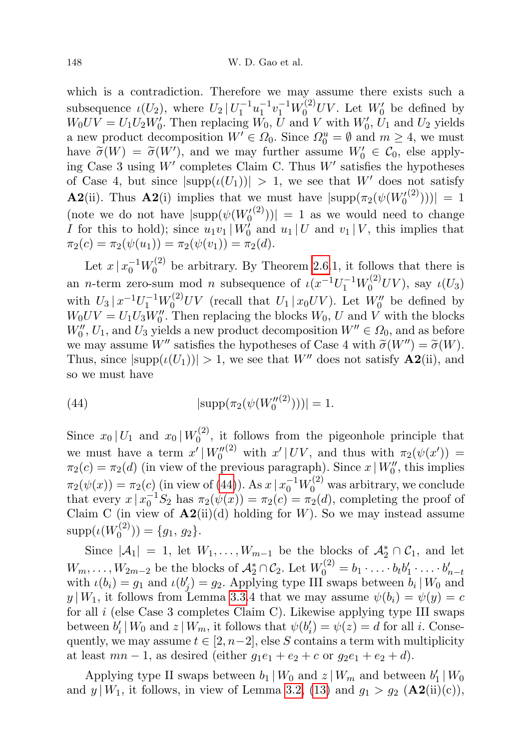which is a contradiction. Therefore we may assume there exists such a subsequence  $\iota(U_2)$ , where  $U_2 | U_1^{-1} u_1^{-1} v_1^{-1} W_0^{(2)} U V$ . Let  $W'_0$  be defined by  $W_0UV = U_1U_2W'_0$ . Then replacing  $W_0$ , U and V with  $W'_0$ ,  $U_1$  and  $U_2$  yields a new product decomposition  $W' \in \Omega_0$ . Since  $\Omega_0^u = \emptyset$  and  $m \geq 4$ , we must have  $\tilde{\sigma}(W) = \tilde{\sigma}(W')$ , and we may further assume  $W'_0 \in \mathcal{C}_0$ , else apply-<br>ing Case 3 using  $W'$  completes Claim C. Thus  $W'$  satisfies the hypotheses ing Case 3 using  $W'$  completes Claim C. Thus  $W'$  satisfies the hypotheses of Case 4, but since  $|\text{supp}(\iota(U_1))| > 1$ , we see that W' does not satisfy **A2**(ii). Thus **A2**(i) implies that we must have  $|\text{supp}(\pi_2(\psi(W_0^{(2)})))|=1$ (note we do not have  $|\text{supp}(\psi(W_0^{(2)}))| = 1$  as we would need to change I for this to hold); since  $u_1v_1|W'_0$  and  $u_1|U$  and  $v_1|V$ , this implies that  $\pi_2(c) = \pi_2(\psi(u_1)) = \pi_2(\psi(v_1)) = \pi_2(d).$ 

Let  $x \, | \, x_0^{-1} W_0^{(2)}$  $b_0^{(2)}$  be arbitrary. By Theorem [2.6.](#page-5-2)1, it follows that there is an *n*-term zero-sum mod *n* subsequence of  $\iota(x^{-1}U_1^{-1}W_0^{(2)}UV)$ , say  $\iota(U_3)$ with  $U_3 | x^{-1} U_1^{-1} W_0^{(2)} UV$  (recall that  $U_1 | x_0 UV$ ). Let  $W_0''$  be defined by  $W_0UV = U_1U_3W_0''$ . Then replacing the blocks  $W_0$ , U and V with the blocks  $W_0'', U_1$ , and  $U_3$  yields a new product decomposition  $W'' \in \Omega_0$ , and as before we may assume W'' satisfies the hypotheses of Case 4 with  $\tilde{\sigma}(W'') = \tilde{\sigma}(W)$ . Thus, since  $|\text{supp}(\iota(U_1))| > 1$ , we see that W'' does not satisfy  $\mathbf{A2}$ (ii), and so we must have

<span id="page-45-0"></span>(44) 
$$
|\text{supp}(\pi_2(\psi(W_0''^{(2)})))|=1.
$$

Since  $x_0 | U_1$  and  $x_0 | W_0^{(2)}$  $\int_0^{2j}$ , it follows from the pigeonhole principle that we must have a term  $x' | W_0''^{(2)}$  with  $x' | UV$ , and thus with  $\pi_2(\psi(x')) =$  $\pi_2(c) = \pi_2(d)$  (in view of the previous paragraph). Since  $x \mid W_0''$ , this implies  $\pi_2(\psi(x)) = \pi_2(c)$  (in view of [\(44\)](#page-45-0)). As  $x \mid x_0^{-1} W_0^{(2)}$  was arbitrary, we conclude that every  $x \mid x_0^{-1} S_2$  has  $\pi_2(\psi(x)) = \pi_2(c) = \pi_2(d)$ , completing the proof of Claim C (in view of  $\mathbf{A2}^{(ii)}(d)$  holding for W). So we may instead assume  $\mathrm{supp}(\iota(W^{(2)}_0$  $\binom{1}{0}$  = {g<sub>1</sub>, g<sub>2</sub>}.

Since  $|\mathcal{A}_1| = 1$ , let  $W_1, \ldots, W_{m-1}$  be the blocks of  $\mathcal{A}_2^* \cap \mathcal{C}_1$ , and let  $W_m, \ldots, W_{2m-2}$  be the blocks of  $\mathcal{A}_2^* \cap \mathcal{C}_2$ . Let  $W_0^{(2)} = b_1 \cdot \ldots \cdot b_t b'_1 \cdot \ldots \cdot b'_{n-t}$ with  $\iota(b_i) = g_1$  and  $\iota(b'_j) = g_2$ . Applying type III swaps between  $b_i | W_0$  and  $y | W_1$ , it follows from Lemma [3.3.](#page-7-0)4 that we may assume  $\psi(b_i) = \psi(y) = c$ for all  $i$  (else Case 3 completes Claim C). Likewise applying type III swaps between  $b'_i | W_0$  and  $z | W_m$ , it follows that  $\psi(b'_i) = \psi(z) = d$  for all *i*. Consequently, we may assume  $t \in [2, n-2]$ , else S contains a term with multiplicity at least  $mn-1$ , as desired (either  $g_1e_1+e_2+c$  or  $g_2e_1+e_2+d$ ).

Applying type II swaps between  $b_1 | W_0$  and  $z | W_m$  and between  $b'_1 | W_0$ and  $y | W_1$ , it follows, in view of Lemma [3.2,](#page-7-1) [\(13\)](#page-27-5) and  $g_1 > g_2$  ( $\mathbf{A2}$ (ii)(c)),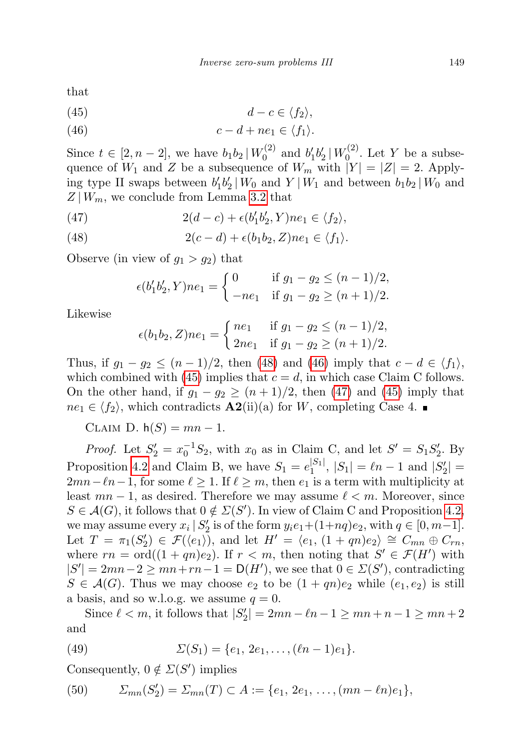that

$$
(45) \t\t d-c \in \langle f_2 \rangle,
$$

(46) 
$$
c-d+ne_1 \in \langle f_1 \rangle.
$$

Since  $t \in [2, n-2]$ , we have  $b_1 b_2 | W_0^{(2)}$  $b'_0{}^{(2)}$  and  $b'_1b'_2\,|\,W_0^{(2)}$  $\binom{1}{0}$ . Let Y be a subsequence of  $W_1$  and Z be a subsequence of  $W_m$  with  $|Y| = |Z| = 2$ . Applying type II swaps between  $b'_1b'_2|W_0$  and  $Y|W_1$  and between  $b_1b_2|W_0$  and  $Z|W_m$ , we conclude from Lemma [3.2](#page-7-1) that

(47) 
$$
2(d-c) + \epsilon(b'_1b'_2, Y)ne_1 \in \langle f_2 \rangle,
$$

(48) 
$$
2(c-d)+\epsilon(b_1b_2,Z)ne_1\in\langle f_1\rangle.
$$

Observe (in view of  $g_1 > g_2$ ) that

$$
\epsilon(b'_1b'_2, Y)ne_1 = \begin{cases} 0 & \text{if } g_1 - g_2 \le (n-1)/2, \\ -ne_1 & \text{if } g_1 - g_2 \ge (n+1)/2. \end{cases}
$$

Likewise

$$
\epsilon(b_1b_2, Z)ne_1 = \begin{cases} ne_1 & \text{if } g_1 - g_2 \le (n-1)/2, \\ 2ne_1 & \text{if } g_1 - g_2 \ge (n+1)/2. \end{cases}
$$

Thus, if  $g_1 - g_2 \leq (n-1)/2$ , then [\(48\)](#page-45-0) and [\(46\)](#page-45-0) imply that  $c - d \in \langle f_1 \rangle$ , which combined with [\(45\)](#page-45-0) implies that  $c = d$ , in which case Claim C follows. On the other hand, if  $g_1 - g_2 \ge (n+1)/2$ , then [\(47\)](#page-45-0) and [\(45\)](#page-45-0) imply that  $ne_1 \in \langle f_2 \rangle$ , which contradicts  $\mathbf{A2}(\mathbf{ii})(\mathbf{a})$  for W, completing Case 4.

CLAIM D.  $h(S) = mn - 1$ .

*Proof.* Let  $S_2' = x_0^{-1}S_2$ , with  $x_0$  as in Claim C, and let  $S' = S_1S_2'$ . By Proposition [4.2](#page-9-1) and Claim B, we have  $S_1 = e_1^{|S_1|}$  $|S_1|$ ,  $|S_1|$  =  $\ell n - 1$  and  $|S_2|$  =  $2mn-\ell n-1$ , for some  $\ell \ge 1$ . If  $\ell \ge m$ , then  $e_1$  is a term with multiplicity at least  $mn - 1$ , as desired. Therefore we may assume  $\ell < m$ . Moreover, since  $S \in \mathcal{A}(G)$ , it follows that  $0 \notin \Sigma(S')$ . In view of Claim C and Proposition [4.2,](#page-9-1) we may assume every  $x_i | S'_2$  is of the form  $y_i e_1 + (1+nq)e_2$ , with  $q \in [0, m-1]$ . Let  $T = \pi_1(S_2') \in \mathcal{F}(\langle e_1 \rangle)$ , and let  $H' = \langle e_1, (1 + qn)e_2 \rangle \cong C_{mn} \oplus C_{rn}$ , where  $rn = \text{ord}((1+qn)e_2)$ . If  $r < m$ , then noting that  $S' \in \mathcal{F}(H')$  with  $|S'| = 2mn-2 \ge mn + rn-1 = D(H')$ , we see that  $0 \in \Sigma(S')$ , contradicting  $S \in \mathcal{A}(G)$ . Thus we may choose  $e_2$  to be  $(1+qn)e_2$  while  $(e_1,e_2)$  is still a basis, and so w.l.o.g. we assume  $q = 0$ .

Since  $\ell < m$ , it follows that  $|S'_2| = 2mn - \ell n - 1 \ge mn + n - 1 \ge mn + 2$ and

(49) 
$$
\Sigma(S_1) = \{e_1, 2e_1, \ldots, (\ell n - 1)e_1\}.
$$

Consequently,  $0 \notin \Sigma(S')$  implies

<span id="page-46-0"></span>(50) 
$$
\Sigma_{mn}(S_2') = \Sigma_{mn}(T) \subset A := \{e_1, 2e_1, \ldots, (mn - \ell n)e_1\},
$$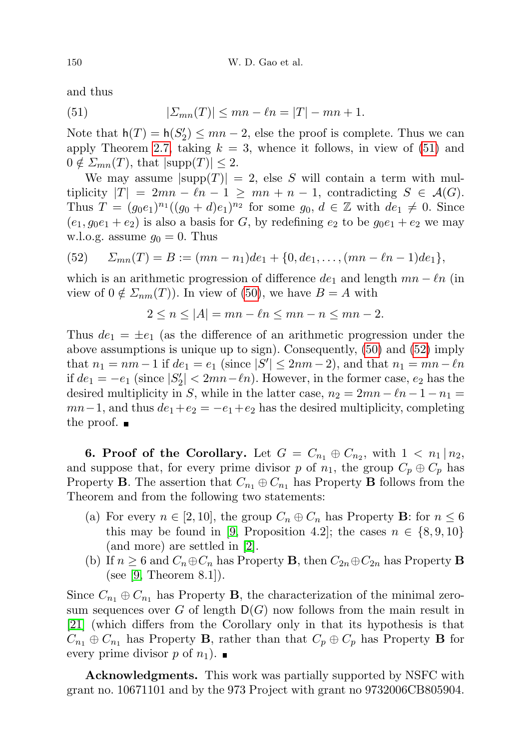and thus

<span id="page-47-1"></span>(51) 
$$
|\Sigma_{mn}(T)| \le mn - \ell n = |T| - mn + 1.
$$

Note that  $h(T) = h(S'_2) \le mn - 2$ , else the proof is complete. Thus we can apply Theorem [2.7,](#page-5-0) taking  $k = 3$ , whence it follows, in view of [\(51\)](#page-47-1) and  $0 \notin \mathcal{Z}_{mn}(T)$ , that  $|\text{supp}(T)| \leq 2$ .

We may assume  $|\text{supp}(T)| = 2$ , else S will contain a term with multiplicity  $|T| = 2mn - \ell n - 1 \geq mn + n - 1$ , contradicting  $S \in \mathcal{A}(G)$ . Thus  $T = (g_0 e_1)^{n_1} ((g_0 + d) e_1)^{n_2}$  for some  $g_0, d \in \mathbb{Z}$  with  $de_1 \neq 0$ . Since  $(e_1, g_0e_1 + e_2)$  is also a basis for G, by redefining  $e_2$  to be  $g_0e_1 + e_2$  we may w.l.o.g. assume  $g_0 = 0$ . Thus

<span id="page-47-2"></span>(52) 
$$
S_{mn}(T) = B := (mn - n_1)de_1 + \{0, de_1, \ldots, (mn - \ell n - 1)de_1\},
$$

which is an arithmetic progression of difference  $de_1$  and length  $mn - \ell n$  (in view of  $0 \notin \mathcal{Z}_{nm}(T)$ . In view of [\(50\)](#page-46-0), we have  $B = A$  with

$$
2 \le n \le |A| = mn - \ell n \le mn - n \le mn - 2.
$$

Thus  $de_1 = \pm e_1$  (as the difference of an arithmetic progression under the above assumptions is unique up to sign). Consequently, [\(50\)](#page-46-0) and [\(52\)](#page-47-2) imply that  $n_1 = nm - 1$  if  $de_1 = e_1$  (since  $|S'| \le 2nm - 2$ ), and that  $n_1 = mn - \ell n$ if  $de_1 = -e_1$  (since  $|S'_2|$  < 2mn− $\ell$ n). However, in the former case,  $e_2$  has the desired multiplicity in S, while in the latter case,  $n_2 = 2mn - \ell n - 1 - n_1 =$  $mn-1$ , and thus  $de_1+e_2 = -e_1+e_2$  has the desired multiplicity, completing the proof.  $\blacksquare$ 

<span id="page-47-0"></span>**6. Proof of the Corollary.** Let  $G = C_{n_1} \oplus C_{n_2}$ , with  $1 < n_1 \mid n_2$ , and suppose that, for every prime divisor p of  $n_1$ , the group  $C_p \oplus C_p$  has Property **B**. The assertion that  $C_{n_1} \oplus C_{n_1}$  has Property **B** follows from the Theorem and from the following two statements:

- (a) For every  $n \in [2, 10]$ , the group  $C_n \oplus C_n$  has Property **B**: for  $n \leq 6$ this may be found in [\[9,](#page-48-7) Proposition 4.2]; the cases  $n \in \{8, 9, 10\}$ (and more) are settled in [\[2\]](#page-48-8).
- (b) If  $n \geq 6$  and  $C_n \oplus C_n$  has Property **B**, then  $C_{2n} \oplus C_{2n}$  has Property **B** (see [\[9,](#page-48-7) Theorem 8.1]).

Since  $C_{n_1} \oplus C_{n_1}$  has Property **B**, the characterization of the minimal zerosum sequences over G of length  $D(G)$  now follows from the main result in [\[21\]](#page-49-1) (which differs from the Corollary only in that its hypothesis is that  $C_{n_1} \oplus C_{n_1}$  has Property **B**, rather than that  $C_p \oplus C_p$  has Property **B** for every prime divisor p of  $n_1$ ).

Acknowledgments. This work was partially supported by NSFC with grant no. 10671101 and by the 973 Project with grant no 9732006CB805904.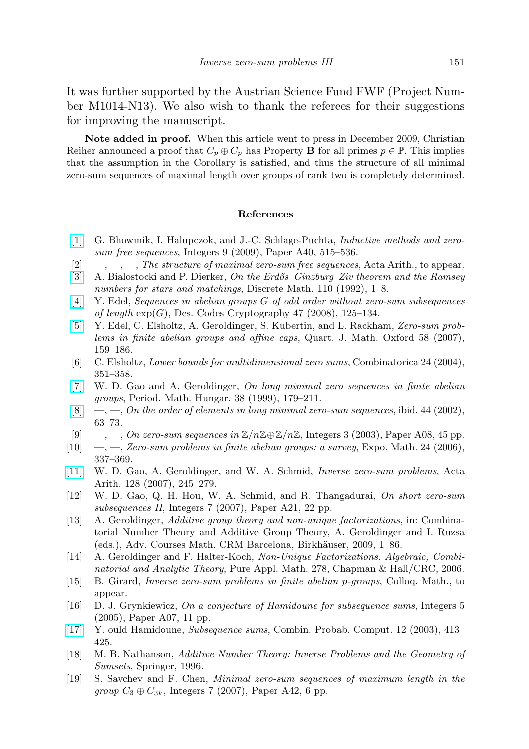It was further supported by the Austrian Science Fund FWF (Project Number M1014-N13). We also wish to thank the referees for their suggestions for improving the manuscript.

Note added in proof. When this article went to press in December 2009, Christian Reiher announced a proof that  $C_p \oplus C_p$  has Property **B** for all primes  $p \in \mathbb{P}$ . This implies that the assumption in the Corollary is satisfied, and thus the structure of all minimal zero-sum sequences of maximal length over groups of rank two is completely determined.

### References

- <span id="page-48-9"></span>[\[1\]](http://dx.doi.org/10.1515/INTEG.2009.042) G. Bhowmik, I. Halupczok, and J.-C. Schlage-Puchta, Inductive methods and zerosum free sequences, Integers 9 (2009), Paper A40, 515–536.
- <span id="page-48-8"></span> $[2] \quad -,-,-$ , The structure of maximal zero-sum free sequences, Acta Arith., to appear.
- <span id="page-48-16"></span>[\[3\]](http://dx.doi.org/10.1016/0012-365X(92)90695-C) A. Bialostocki and P. Dierker, On the Erdős–Ginzburg–Ziv theorem and the Ramsey numbers for stars and matchings, Discrete Math. 110 (1992), 1–8.
- <span id="page-48-14"></span>[\[4\]](http://dx.doi.org/10.1007/s10623-007-9085-2) Y. Edel, Sequences in abelian groups G of odd order without zero-sum subsequences of length  $exp(G)$ , Des. Codes Cryptography 47 (2008), 125–134.
- <span id="page-48-12"></span>[\[5\]](http://dx.doi.org/10.1093/qmath/ham003) Y. Edel, C. Elsholtz, A. Geroldinger, S. Kubertin, and L. Rackham, Zero-sum problems in finite abelian groups and affine caps, Quart. J. Math. Oxford 58 (2007), 159–186.
- <span id="page-48-11"></span>[6] C. Elsholtz, Lower bounds for multidimensional zero sums, Combinatorica 24 (2004), 351–358.
- <span id="page-48-3"></span>[\[7\]](http://dx.doi.org/10.1023/A:1004854508165) W. D. Gao and A. Geroldinger, On long minimal zero sequences in finite abelian groups, Period. Math. Hungar. 38 (1999), 179–211.
- <span id="page-48-4"></span> $[8] \quad -, [8] \quad -,-$ , On the order of elements in long minimal zero-sum sequences, ibid. 44 (2002), 63–73.
- <span id="page-48-7"></span> $[9] \quad -,-$ , On zero-sum sequences in  $\mathbb{Z}/n\mathbb{Z} \oplus \mathbb{Z}/n\mathbb{Z}$ , Integers 3 (2003), Paper A08, 45 pp.
- <span id="page-48-0"></span>[10]  $\quad$ ,  $\quad$ ,  $\quad$  Zero-sum problems in finite abelian groups: a survey, Expo. Math. 24 (2006), 337–369.
- <span id="page-48-10"></span>[\[11\]](http://dx.doi.org/10.4064/aa128-3-5) W. D. Gao, A. Geroldinger, and W. A. Schmid, Inverse zero-sum problems, Acta Arith. 128 (2007), 245–279.
- <span id="page-48-13"></span>[12] W. D. Gao, Q. H. Hou, W. A. Schmid, and R. Thangadurai, On short zero-sum subsequences II, Integers 7 (2007), Paper A21, 22 pp.
- <span id="page-48-1"></span>[13] A. Geroldinger, Additive group theory and non-unique factorizations, in: Combinatorial Number Theory and Additive Group Theory, A. Geroldinger and I. Ruzsa (eds.), Adv. Courses Math. CRM Barcelona, Birkhäuser, 2009, 1–86.
- <span id="page-48-2"></span>[14] A. Geroldinger and F. Halter-Koch, Non-Unique Factorizations. Algebraic, Combinatorial and Analytic Theory, Pure Appl. Math. 278, Chapman & Hall/CRC, 2006.
- <span id="page-48-6"></span>[15] B. Girard, Inverse zero-sum problems in finite abelian p-groups, Colloq. Math., to appear.
- <span id="page-48-18"></span>[16] D. J. Grynkiewicz, On a conjecture of Hamidoune for subsequence sums, Integers 5 (2005), Paper A07, 11 pp.
- <span id="page-48-17"></span>[\[17\]](http://dx.doi.org/10.1017/S0963548302005564) Y. ould Hamidoune, Subsequence sums, Combin. Probab. Comput. 12 (2003), 413– 425.
- <span id="page-48-15"></span>[18] M. B. Nathanson, Additive Number Theory: Inverse Problems and the Geometry of Sumsets, Springer, 1996.
- <span id="page-48-5"></span>[19] S. Savchev and F. Chen, Minimal zero-sum sequences of maximum length in the group  $C_3 \oplus C_{3k}$ , Integers 7 (2007), Paper A42, 6 pp.